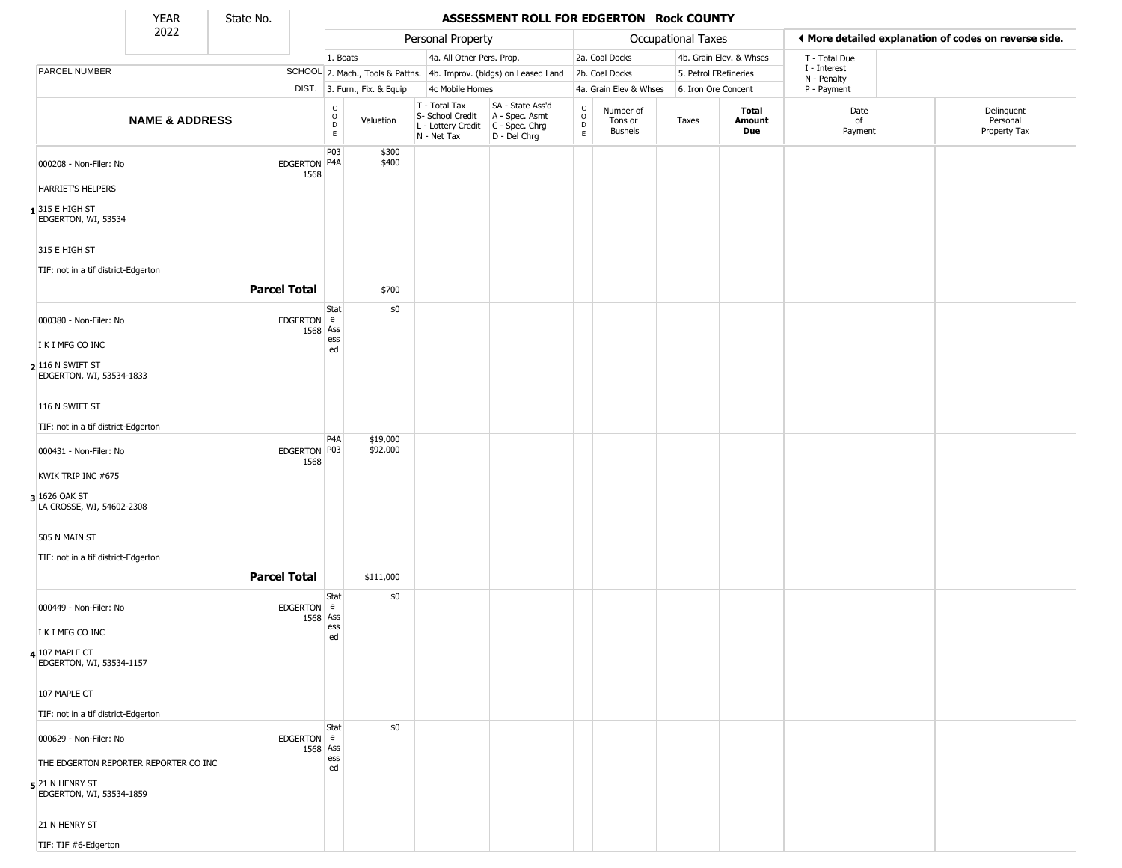State No.

Г

## YEAR State No. **ASSESSMENT ROLL FOR EDGERTON Rock COUNTY**

|                                               | 2022                                  |                      |                                                          |                              | Personal Property                                                      |                                                                      |                                                 |                                        | <b>Occupational Taxes</b> |                         | ◀ More detailed explanation of codes on reverse side. |                                        |
|-----------------------------------------------|---------------------------------------|----------------------|----------------------------------------------------------|------------------------------|------------------------------------------------------------------------|----------------------------------------------------------------------|-------------------------------------------------|----------------------------------------|---------------------------|-------------------------|-------------------------------------------------------|----------------------------------------|
|                                               |                                       |                      | 1. Boats                                                 |                              | 4a. All Other Pers. Prop.                                              |                                                                      |                                                 | 2a. Coal Docks                         |                           | 4b. Grain Elev. & Whses | T - Total Due                                         |                                        |
| PARCEL NUMBER                                 |                                       |                      |                                                          |                              |                                                                        | SCHOOL 2. Mach., Tools & Pattns. 4b. Improv. (bldgs) on Leased Land  |                                                 | 2b. Coal Docks                         | 5. Petrol FRefineries     |                         | I - Interest<br>N - Penalty                           |                                        |
|                                               |                                       |                      |                                                          | DIST. 3. Furn., Fix. & Equip | 4c Mobile Homes                                                        |                                                                      |                                                 | 4a. Grain Elev & Whses                 | 6. Iron Ore Concent       |                         | P - Payment                                           |                                        |
|                                               | <b>NAME &amp; ADDRESS</b>             |                      | $\begin{matrix} 0 \\ 0 \\ D \end{matrix}$<br>$\mathsf E$ | Valuation                    | T - Total Tax<br>S- School Credit<br>L - Lottery Credit<br>N - Net Tax | SA - State Ass'd<br>A - Spec. Asmt<br>C - Spec. Chrg<br>D - Del Chrg | $\begin{array}{c} C \\ C \\ D \\ E \end{array}$ | Number of<br>Tons or<br><b>Bushels</b> | Taxes                     | Total<br>Amount<br>Due  | Date<br>of<br>Payment                                 | Delinquent<br>Personal<br>Property Tax |
| 000208 - Non-Filer: No                        |                                       | EDGERTON P4A<br>1568 | P03                                                      | \$300<br>\$400               |                                                                        |                                                                      |                                                 |                                        |                           |                         |                                                       |                                        |
| <b>HARRIET'S HELPERS</b>                      |                                       |                      |                                                          |                              |                                                                        |                                                                      |                                                 |                                        |                           |                         |                                                       |                                        |
| $1315$ E HIGH ST<br>EDGERTON, WI, 53534       |                                       |                      |                                                          |                              |                                                                        |                                                                      |                                                 |                                        |                           |                         |                                                       |                                        |
| 315 E HIGH ST                                 |                                       |                      |                                                          |                              |                                                                        |                                                                      |                                                 |                                        |                           |                         |                                                       |                                        |
| TIF: not in a tif district-Edgerton           |                                       |                      |                                                          |                              |                                                                        |                                                                      |                                                 |                                        |                           |                         |                                                       |                                        |
|                                               |                                       | <b>Parcel Total</b>  |                                                          | \$700                        |                                                                        |                                                                      |                                                 |                                        |                           |                         |                                                       |                                        |
| 000380 - Non-Filer: No                        |                                       | EDGERTON e           | Stat<br>1568 Ass                                         | \$0                          |                                                                        |                                                                      |                                                 |                                        |                           |                         |                                                       |                                        |
| I K I MFG CO INC                              |                                       |                      | ess<br>ed                                                |                              |                                                                        |                                                                      |                                                 |                                        |                           |                         |                                                       |                                        |
| 2 116 N SWIFT ST<br>EDGERTON, WI, 53534-1833  |                                       |                      |                                                          |                              |                                                                        |                                                                      |                                                 |                                        |                           |                         |                                                       |                                        |
| 116 N SWIFT ST                                |                                       |                      |                                                          |                              |                                                                        |                                                                      |                                                 |                                        |                           |                         |                                                       |                                        |
| TIF: not in a tif district-Edgerton           |                                       |                      |                                                          |                              |                                                                        |                                                                      |                                                 |                                        |                           |                         |                                                       |                                        |
| 000431 - Non-Filer: No                        |                                       | EDGERTON P03<br>1568 | P4A                                                      | \$19,000<br>\$92,000         |                                                                        |                                                                      |                                                 |                                        |                           |                         |                                                       |                                        |
| KWIK TRIP INC #675                            |                                       |                      |                                                          |                              |                                                                        |                                                                      |                                                 |                                        |                           |                         |                                                       |                                        |
| 3 1626 OAK ST<br>LA CROSSE, WI, 54602-2308    |                                       |                      |                                                          |                              |                                                                        |                                                                      |                                                 |                                        |                           |                         |                                                       |                                        |
| 505 N MAIN ST                                 |                                       |                      |                                                          |                              |                                                                        |                                                                      |                                                 |                                        |                           |                         |                                                       |                                        |
| TIF: not in a tif district-Edgerton           |                                       |                      |                                                          |                              |                                                                        |                                                                      |                                                 |                                        |                           |                         |                                                       |                                        |
|                                               |                                       | <b>Parcel Total</b>  |                                                          | \$111,000                    |                                                                        |                                                                      |                                                 |                                        |                           |                         |                                                       |                                        |
| 000449 - Non-Filer: No                        |                                       | EDGERTON e<br>1568   | Stat<br>Ass                                              | \$0                          |                                                                        |                                                                      |                                                 |                                        |                           |                         |                                                       |                                        |
| I K I MFG CO INC                              |                                       |                      | ess<br>ed                                                |                              |                                                                        |                                                                      |                                                 |                                        |                           |                         |                                                       |                                        |
| 4 107 MAPLE CT<br>EDGERTON, WI, 53534-1157    |                                       |                      |                                                          |                              |                                                                        |                                                                      |                                                 |                                        |                           |                         |                                                       |                                        |
| 107 MAPLE CT                                  |                                       |                      |                                                          |                              |                                                                        |                                                                      |                                                 |                                        |                           |                         |                                                       |                                        |
| TIF: not in a tif district-Edgerton           |                                       |                      |                                                          |                              |                                                                        |                                                                      |                                                 |                                        |                           |                         |                                                       |                                        |
| 000629 - Non-Filer: No                        |                                       | EDGERTON e           | Stat<br>1568 Ass                                         | \$0                          |                                                                        |                                                                      |                                                 |                                        |                           |                         |                                                       |                                        |
|                                               | THE EDGERTON REPORTER REPORTER CO INC |                      | ess<br>ed                                                |                              |                                                                        |                                                                      |                                                 |                                        |                           |                         |                                                       |                                        |
| $5$ 21 N HENRY ST<br>EDGERTON, WI, 53534-1859 |                                       |                      |                                                          |                              |                                                                        |                                                                      |                                                 |                                        |                           |                         |                                                       |                                        |
| 21 N HENRY ST                                 |                                       |                      |                                                          |                              |                                                                        |                                                                      |                                                 |                                        |                           |                         |                                                       |                                        |
| TIF: TIF #6-Edgerton                          |                                       |                      |                                                          |                              |                                                                        |                                                                      |                                                 |                                        |                           |                         |                                                       |                                        |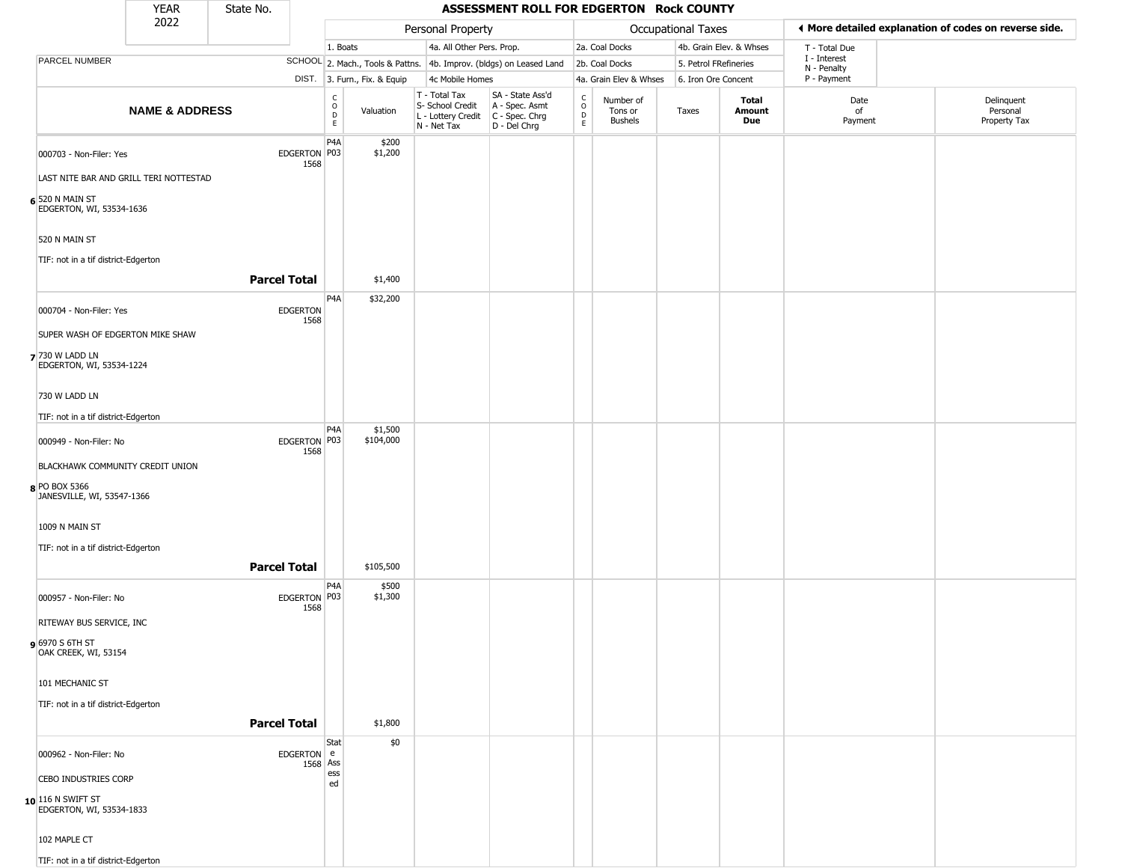|                                                    | <b>YEAR</b>                            | State No.           |                         |                                                          |                              |                                                                        | ASSESSMENT ROLL FOR EDGERTON Rock COUNTY                             |                  |                                        |                    |                         |                             |                                                       |
|----------------------------------------------------|----------------------------------------|---------------------|-------------------------|----------------------------------------------------------|------------------------------|------------------------------------------------------------------------|----------------------------------------------------------------------|------------------|----------------------------------------|--------------------|-------------------------|-----------------------------|-------------------------------------------------------|
|                                                    | 2022                                   |                     |                         |                                                          |                              | Personal Property                                                      |                                                                      |                  |                                        | Occupational Taxes |                         |                             | ♦ More detailed explanation of codes on reverse side. |
|                                                    |                                        |                     |                         | 1. Boats                                                 |                              | 4a. All Other Pers. Prop.                                              |                                                                      |                  | 2a. Coal Docks                         |                    | 4b. Grain Elev. & Whses | T - Total Due               |                                                       |
| PARCEL NUMBER                                      |                                        |                     |                         |                                                          |                              |                                                                        | SCHOOL 2. Mach., Tools & Pattns. 4b. Improv. (bldgs) on Leased Land  |                  | 2b. Coal Docks                         |                    | 5. Petrol FRefineries   | I - Interest<br>N - Penalty |                                                       |
|                                                    |                                        |                     |                         |                                                          | DIST. 3. Furn., Fix. & Equip | 4c Mobile Homes                                                        |                                                                      |                  | 4a. Grain Elev & Whses                 |                    | 6. Iron Ore Concent     | P - Payment                 |                                                       |
|                                                    | <b>NAME &amp; ADDRESS</b>              |                     |                         | $\begin{matrix} C \\ O \\ D \end{matrix}$<br>$\mathsf E$ | Valuation                    | T - Total Tax<br>S- School Credit<br>L - Lottery Credit<br>N - Net Tax | SA - State Ass'd<br>A - Spec. Asmt<br>C - Spec. Chrg<br>D - Del Chrg | C<br>D<br>D<br>E | Number of<br>Tons or<br><b>Bushels</b> | Taxes              | Total<br>Amount<br>Due  | Date<br>of<br>Payment       | Delinquent<br>Personal<br>Property Tax                |
| 000703 - Non-Filer: Yes                            | LAST NITE BAR AND GRILL TERI NOTTESTAD |                     | EDGERTON P03<br>1568    | P4A                                                      | \$200<br>\$1,200             |                                                                        |                                                                      |                  |                                        |                    |                         |                             |                                                       |
| 6 520 N MAIN ST<br>EDGERTON, WI, 53534-1636        |                                        |                     |                         |                                                          |                              |                                                                        |                                                                      |                  |                                        |                    |                         |                             |                                                       |
| 520 N MAIN ST                                      |                                        |                     |                         |                                                          |                              |                                                                        |                                                                      |                  |                                        |                    |                         |                             |                                                       |
| TIF: not in a tif district-Edgerton                |                                        | <b>Parcel Total</b> |                         |                                                          | \$1,400                      |                                                                        |                                                                      |                  |                                        |                    |                         |                             |                                                       |
|                                                    |                                        |                     |                         |                                                          |                              |                                                                        |                                                                      |                  |                                        |                    |                         |                             |                                                       |
| 000704 - Non-Filer: Yes                            |                                        |                     | <b>EDGERTON</b><br>1568 | P4A                                                      | \$32,200                     |                                                                        |                                                                      |                  |                                        |                    |                         |                             |                                                       |
| SUPER WASH OF EDGERTON MIKE SHAW                   |                                        |                     |                         |                                                          |                              |                                                                        |                                                                      |                  |                                        |                    |                         |                             |                                                       |
| <b>7</b> 730 W LADD LN<br>EDGERTON, WI, 53534-1224 |                                        |                     |                         |                                                          |                              |                                                                        |                                                                      |                  |                                        |                    |                         |                             |                                                       |
| 730 W LADD LN                                      |                                        |                     |                         |                                                          |                              |                                                                        |                                                                      |                  |                                        |                    |                         |                             |                                                       |
| TIF: not in a tif district-Edgerton                |                                        |                     |                         |                                                          |                              |                                                                        |                                                                      |                  |                                        |                    |                         |                             |                                                       |
| 000949 - Non-Filer: No                             |                                        |                     | EDGERTON P03<br>1568    | P <sub>4</sub> A                                         | \$1,500<br>\$104,000         |                                                                        |                                                                      |                  |                                        |                    |                         |                             |                                                       |
|                                                    | BLACKHAWK COMMUNITY CREDIT UNION       |                     |                         |                                                          |                              |                                                                        |                                                                      |                  |                                        |                    |                         |                             |                                                       |
| 8 PO BOX 5366<br>JANESVILLE, WI, 53547-1366        |                                        |                     |                         |                                                          |                              |                                                                        |                                                                      |                  |                                        |                    |                         |                             |                                                       |
| 1009 N MAIN ST                                     |                                        |                     |                         |                                                          |                              |                                                                        |                                                                      |                  |                                        |                    |                         |                             |                                                       |
| TIF: not in a tif district-Edgerton                |                                        |                     |                         |                                                          |                              |                                                                        |                                                                      |                  |                                        |                    |                         |                             |                                                       |
|                                                    |                                        | <b>Parcel Total</b> |                         |                                                          | \$105,500                    |                                                                        |                                                                      |                  |                                        |                    |                         |                             |                                                       |
| 000957 - Non-Filer: No                             |                                        |                     | EDGERTON P03<br>1568    | P <sub>4</sub> A                                         | \$500<br>\$1,300             |                                                                        |                                                                      |                  |                                        |                    |                         |                             |                                                       |
| RITEWAY BUS SERVICE, INC                           |                                        |                     |                         |                                                          |                              |                                                                        |                                                                      |                  |                                        |                    |                         |                             |                                                       |
| 6970 S 6TH ST<br>OAK CREEK, WI, 53154              |                                        |                     |                         |                                                          |                              |                                                                        |                                                                      |                  |                                        |                    |                         |                             |                                                       |
| 101 MECHANIC ST                                    |                                        |                     |                         |                                                          |                              |                                                                        |                                                                      |                  |                                        |                    |                         |                             |                                                       |
| TIF: not in a tif district-Edgerton                |                                        |                     |                         |                                                          |                              |                                                                        |                                                                      |                  |                                        |                    |                         |                             |                                                       |
|                                                    |                                        | <b>Parcel Total</b> |                         |                                                          | \$1,800                      |                                                                        |                                                                      |                  |                                        |                    |                         |                             |                                                       |
| 000962 - Non-Filer: No                             |                                        |                     | EDGERTON e              | Stat                                                     | \$0                          |                                                                        |                                                                      |                  |                                        |                    |                         |                             |                                                       |
| <b>CEBO INDUSTRIES CORP</b>                        |                                        |                     | 1568 Ass                | ess                                                      |                              |                                                                        |                                                                      |                  |                                        |                    |                         |                             |                                                       |
| $10$ 116 N SWIFT ST<br>EDGERTON, WI, 53534-1833    |                                        |                     |                         | ed                                                       |                              |                                                                        |                                                                      |                  |                                        |                    |                         |                             |                                                       |
| 102 MAPLE CT                                       |                                        |                     |                         |                                                          |                              |                                                                        |                                                                      |                  |                                        |                    |                         |                             |                                                       |

TIF: not in a tif district-Edgerton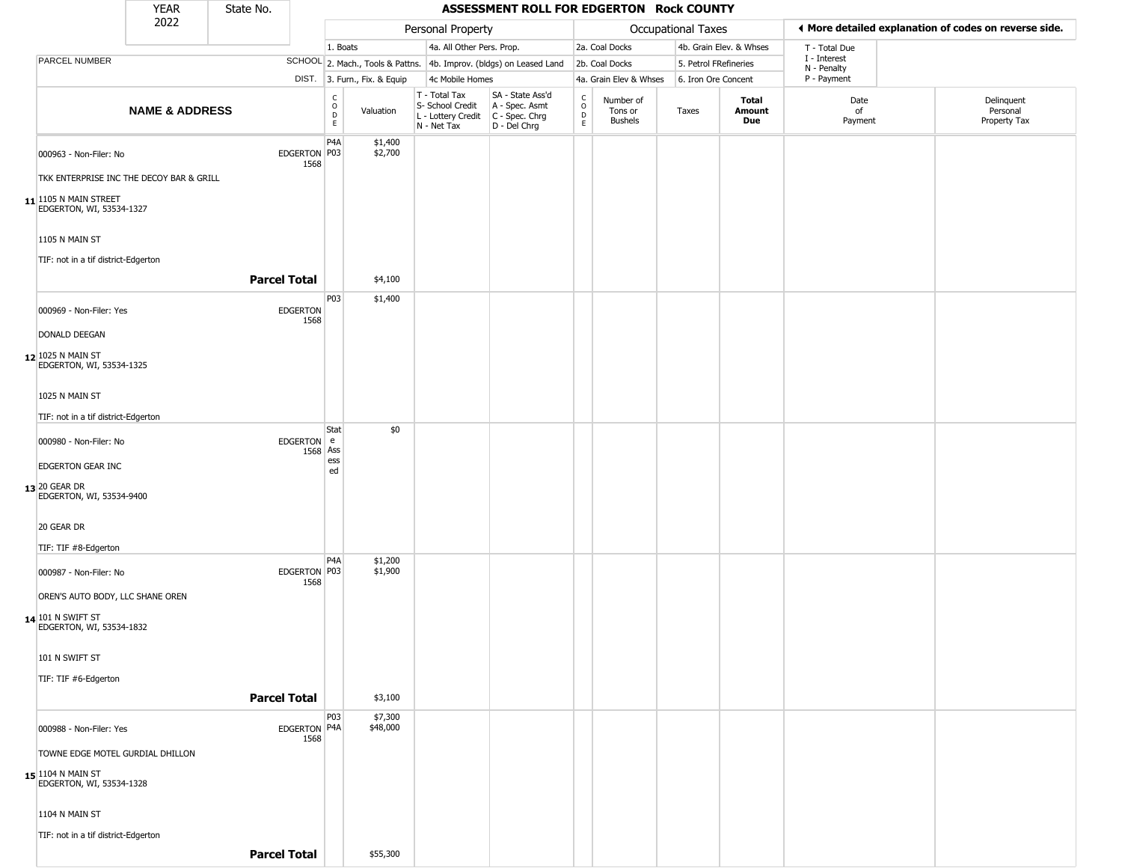|                                                                | <b>YEAR</b>               | State No. |                         |                                   |                              |                                                                                         | ASSESSMENT ROLL FOR EDGERTON Rock COUNTY                            |                                  |                                 |                       |                         |                             |                                                       |
|----------------------------------------------------------------|---------------------------|-----------|-------------------------|-----------------------------------|------------------------------|-----------------------------------------------------------------------------------------|---------------------------------------------------------------------|----------------------------------|---------------------------------|-----------------------|-------------------------|-----------------------------|-------------------------------------------------------|
|                                                                | 2022                      |           |                         |                                   |                              | Personal Property                                                                       |                                                                     |                                  |                                 | Occupational Taxes    |                         |                             | I More detailed explanation of codes on reverse side. |
|                                                                |                           |           |                         | 1. Boats                          |                              | 4a. All Other Pers. Prop.                                                               |                                                                     |                                  | 2a. Coal Docks                  |                       | 4b. Grain Elev. & Whses | T - Total Due               |                                                       |
| PARCEL NUMBER                                                  |                           |           |                         |                                   |                              |                                                                                         | SCHOOL 2. Mach., Tools & Pattns. 4b. Improv. (bldgs) on Leased Land |                                  | 2b. Coal Docks                  | 5. Petrol FRefineries |                         | I - Interest<br>N - Penalty |                                                       |
|                                                                |                           |           |                         |                                   | DIST. 3. Furn., Fix. & Equip | 4c Mobile Homes                                                                         |                                                                     |                                  | 4a. Grain Elev & Whses          | 6. Iron Ore Concent   |                         | P - Payment                 |                                                       |
|                                                                | <b>NAME &amp; ADDRESS</b> |           |                         | $\frac{c}{0}$<br>$\mathsf D$<br>E | Valuation                    | T - Total Tax<br>S- School Credit<br>L - Lottery Credit   C - Spec. Chrg<br>N - Net Tax | SA - State Ass'd<br>A - Spec. Asmt<br>D - Del Chrg                  | C<br>$\circ$<br>D<br>$\mathsf E$ | Number of<br>Tons or<br>Bushels | Taxes                 | Total<br>Amount<br>Due  | Date<br>of<br>Payment       | Delinquent<br>Personal<br>Property Tax                |
| 000963 - Non-Filer: No                                         |                           |           | EDGERTON P03<br>1568    | P4A                               | \$1,400<br>\$2,700           |                                                                                         |                                                                     |                                  |                                 |                       |                         |                             |                                                       |
| TKK ENTERPRISE INC THE DECOY BAR & GRILL                       |                           |           |                         |                                   |                              |                                                                                         |                                                                     |                                  |                                 |                       |                         |                             |                                                       |
| $11$ <sup>1105</sup> N MAIN STREET<br>EDGERTON, WI, 53534-1327 |                           |           |                         |                                   |                              |                                                                                         |                                                                     |                                  |                                 |                       |                         |                             |                                                       |
| 1105 N MAIN ST<br>TIF: not in a tif district-Edgerton          |                           |           |                         |                                   |                              |                                                                                         |                                                                     |                                  |                                 |                       |                         |                             |                                                       |
|                                                                |                           |           | <b>Parcel Total</b>     |                                   | \$4,100                      |                                                                                         |                                                                     |                                  |                                 |                       |                         |                             |                                                       |
| 000969 - Non-Filer: Yes                                        |                           |           | <b>EDGERTON</b><br>1568 | P03                               | \$1,400                      |                                                                                         |                                                                     |                                  |                                 |                       |                         |                             |                                                       |
| <b>DONALD DEEGAN</b>                                           |                           |           |                         |                                   |                              |                                                                                         |                                                                     |                                  |                                 |                       |                         |                             |                                                       |
| 12 1025 N MAIN ST<br>EDGERTON, WI, 53534-1325                  |                           |           |                         |                                   |                              |                                                                                         |                                                                     |                                  |                                 |                       |                         |                             |                                                       |
| 1025 N MAIN ST                                                 |                           |           |                         |                                   |                              |                                                                                         |                                                                     |                                  |                                 |                       |                         |                             |                                                       |
| TIF: not in a tif district-Edgerton                            |                           |           |                         | Stat                              | \$0                          |                                                                                         |                                                                     |                                  |                                 |                       |                         |                             |                                                       |
| 000980 - Non-Filer: No                                         |                           |           | EDGERTON e<br>1568 Ass  |                                   |                              |                                                                                         |                                                                     |                                  |                                 |                       |                         |                             |                                                       |
| EDGERTON GEAR INC                                              |                           |           |                         | ess<br>ed                         |                              |                                                                                         |                                                                     |                                  |                                 |                       |                         |                             |                                                       |
| 13 20 GEAR DR<br>EDGERTON, WI, 53534-9400                      |                           |           |                         |                                   |                              |                                                                                         |                                                                     |                                  |                                 |                       |                         |                             |                                                       |
| 20 GEAR DR                                                     |                           |           |                         |                                   |                              |                                                                                         |                                                                     |                                  |                                 |                       |                         |                             |                                                       |
| TIF: TIF #8-Edgerton                                           |                           |           |                         | P4A                               | \$1,200                      |                                                                                         |                                                                     |                                  |                                 |                       |                         |                             |                                                       |
| 000987 - Non-Filer: No                                         |                           |           | EDGERTON P03<br>1568    |                                   | \$1,900                      |                                                                                         |                                                                     |                                  |                                 |                       |                         |                             |                                                       |
| OREN'S AUTO BODY, LLC SHANE OREN                               |                           |           |                         |                                   |                              |                                                                                         |                                                                     |                                  |                                 |                       |                         |                             |                                                       |
| 14 101 N SWIFT ST<br>EDGERTON, WI, 53534-1832                  |                           |           |                         |                                   |                              |                                                                                         |                                                                     |                                  |                                 |                       |                         |                             |                                                       |
| 101 N SWIFT ST                                                 |                           |           |                         |                                   |                              |                                                                                         |                                                                     |                                  |                                 |                       |                         |                             |                                                       |
| TIF: TIF #6-Edgerton                                           |                           |           |                         |                                   |                              |                                                                                         |                                                                     |                                  |                                 |                       |                         |                             |                                                       |
|                                                                |                           |           | <b>Parcel Total</b>     | P03                               | \$3,100<br>\$7,300           |                                                                                         |                                                                     |                                  |                                 |                       |                         |                             |                                                       |
| 000988 - Non-Filer: Yes                                        |                           |           | EDGERTON P4A<br>1568    |                                   | \$48,000                     |                                                                                         |                                                                     |                                  |                                 |                       |                         |                             |                                                       |
| TOWNE EDGE MOTEL GURDIAL DHILLON                               |                           |           |                         |                                   |                              |                                                                                         |                                                                     |                                  |                                 |                       |                         |                             |                                                       |
| 15 1104 N MAIN ST<br>EDGERTON, WI, 53534-1328                  |                           |           |                         |                                   |                              |                                                                                         |                                                                     |                                  |                                 |                       |                         |                             |                                                       |
| <b>1104 N MAIN ST</b>                                          |                           |           |                         |                                   |                              |                                                                                         |                                                                     |                                  |                                 |                       |                         |                             |                                                       |
| TIF: not in a tif district-Edgerton                            |                           |           |                         |                                   |                              |                                                                                         |                                                                     |                                  |                                 |                       |                         |                             |                                                       |
|                                                                |                           |           | <b>Parcel Total</b>     |                                   | \$55,300                     |                                                                                         |                                                                     |                                  |                                 |                       |                         |                             |                                                       |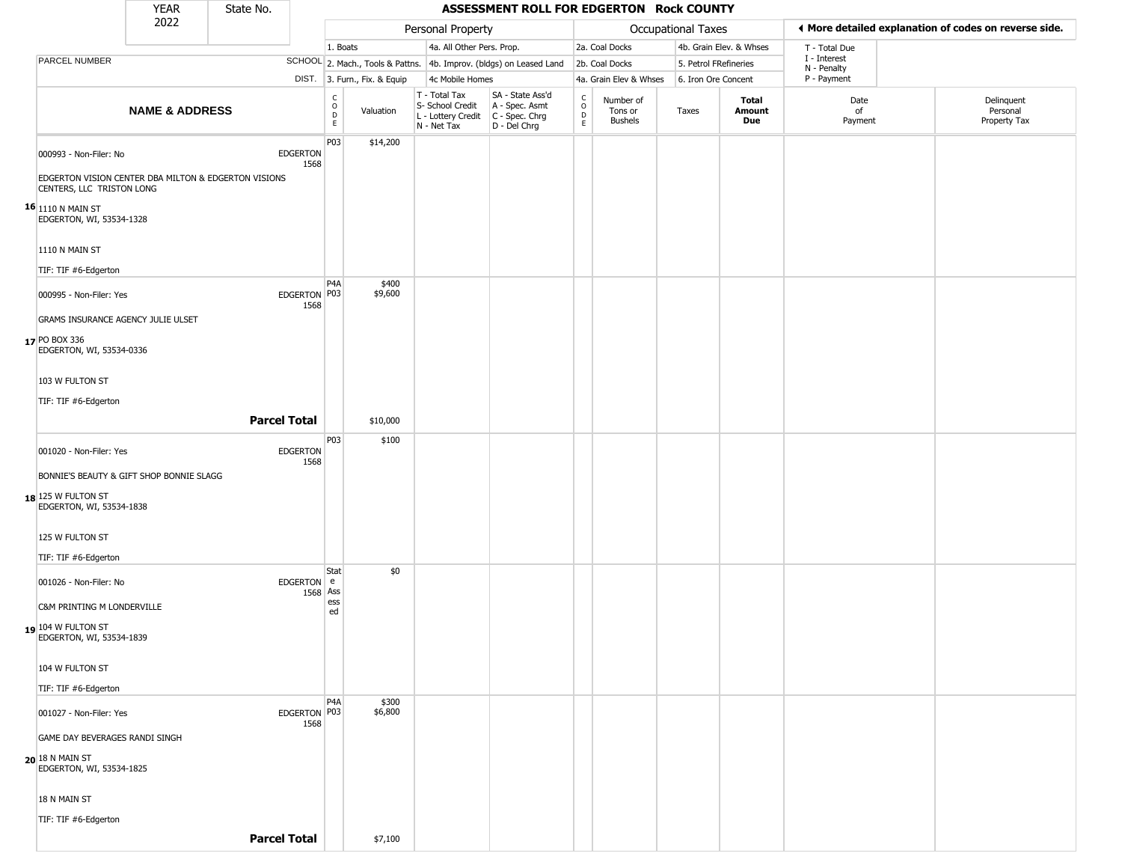|                                                                                                      | <b>YEAR</b>                              | State No.                                            |                         |                                                 |                              |                                                  | ASSESSMENT ROLL FOR EDGERTON Rock COUNTY                                                  |                                                |                                        |                       |                         |                             |                                                       |
|------------------------------------------------------------------------------------------------------|------------------------------------------|------------------------------------------------------|-------------------------|-------------------------------------------------|------------------------------|--------------------------------------------------|-------------------------------------------------------------------------------------------|------------------------------------------------|----------------------------------------|-----------------------|-------------------------|-----------------------------|-------------------------------------------------------|
|                                                                                                      | 2022                                     |                                                      |                         |                                                 |                              | Personal Property                                |                                                                                           |                                                |                                        | Occupational Taxes    |                         |                             | I More detailed explanation of codes on reverse side. |
|                                                                                                      |                                          |                                                      |                         | 1. Boats                                        |                              | 4a. All Other Pers. Prop.                        |                                                                                           |                                                | 2a. Coal Docks                         |                       | 4b. Grain Elev. & Whses | T - Total Due               |                                                       |
| PARCEL NUMBER                                                                                        |                                          |                                                      |                         |                                                 |                              |                                                  | SCHOOL 2. Mach., Tools & Pattns. 4b. Improv. (bldgs) on Leased Land                       |                                                | 2b. Coal Docks                         | 5. Petrol FRefineries |                         | I - Interest<br>N - Penalty |                                                       |
|                                                                                                      |                                          |                                                      |                         |                                                 | DIST. 3. Furn., Fix. & Equip | 4c Mobile Homes                                  |                                                                                           |                                                | 4a. Grain Elev & Whses                 | 6. Iron Ore Concent   |                         | P - Payment                 |                                                       |
|                                                                                                      | <b>NAME &amp; ADDRESS</b>                |                                                      |                         | $\begin{array}{c} C \\ O \\ D \\ E \end{array}$ | Valuation                    | T - Total Tax<br>S- School Credit<br>N - Net Tax | SA - State Ass'd<br>A - Spec. Asmt<br>L - Lottery Credit   C - Spec. Chrg<br>D - Del Chrg | $\begin{matrix} 0 \\ 0 \\ D \end{matrix}$<br>E | Number of<br>Tons or<br><b>Bushels</b> | Taxes                 | Total<br>Amount<br>Due  | Date<br>of<br>Payment       | Delinquent<br>Personal<br>Property Tax                |
| 000993 - Non-Filer: No                                                                               |                                          | EDGERTON VISION CENTER DBA MILTON & EDGERTON VISIONS | <b>EDGERTON</b><br>1568 | P03                                             | \$14,200                     |                                                  |                                                                                           |                                                |                                        |                       |                         |                             |                                                       |
| CENTERS, LLC TRISTON LONG<br>$\mathbf{^{16}} _{\mathbf{1110}}$ n main st<br>EDGERTON, WI, 53534-1328 |                                          |                                                      |                         |                                                 |                              |                                                  |                                                                                           |                                                |                                        |                       |                         |                             |                                                       |
| 1110 N MAIN ST                                                                                       |                                          |                                                      |                         |                                                 |                              |                                                  |                                                                                           |                                                |                                        |                       |                         |                             |                                                       |
| TIF: TIF #6-Edgerton                                                                                 |                                          |                                                      |                         |                                                 |                              |                                                  |                                                                                           |                                                |                                        |                       |                         |                             |                                                       |
| 000995 - Non-Filer: Yes                                                                              |                                          |                                                      | EDGERTON P03<br>1568    | P <sub>4</sub> A                                | \$400<br>\$9,600             |                                                  |                                                                                           |                                                |                                        |                       |                         |                             |                                                       |
|                                                                                                      | GRAMS INSURANCE AGENCY JULIE ULSET       |                                                      |                         |                                                 |                              |                                                  |                                                                                           |                                                |                                        |                       |                         |                             |                                                       |
| 17 PO BOX 336<br>EDGERTON, WI, 53534-0336                                                            |                                          |                                                      |                         |                                                 |                              |                                                  |                                                                                           |                                                |                                        |                       |                         |                             |                                                       |
| 103 W FULTON ST                                                                                      |                                          |                                                      |                         |                                                 |                              |                                                  |                                                                                           |                                                |                                        |                       |                         |                             |                                                       |
| TIF: TIF #6-Edgerton                                                                                 |                                          |                                                      |                         |                                                 |                              |                                                  |                                                                                           |                                                |                                        |                       |                         |                             |                                                       |
|                                                                                                      |                                          | <b>Parcel Total</b>                                  |                         |                                                 | \$10,000                     |                                                  |                                                                                           |                                                |                                        |                       |                         |                             |                                                       |
| 001020 - Non-Filer: Yes                                                                              |                                          |                                                      | <b>EDGERTON</b>         | P03                                             | \$100                        |                                                  |                                                                                           |                                                |                                        |                       |                         |                             |                                                       |
|                                                                                                      |                                          |                                                      | 1568                    |                                                 |                              |                                                  |                                                                                           |                                                |                                        |                       |                         |                             |                                                       |
| $18$ 125 W FULTON ST<br>EDGERTON, WI, 53534-1838                                                     | BONNIE'S BEAUTY & GIFT SHOP BONNIE SLAGG |                                                      |                         |                                                 |                              |                                                  |                                                                                           |                                                |                                        |                       |                         |                             |                                                       |
| 125 W FULTON ST                                                                                      |                                          |                                                      |                         |                                                 |                              |                                                  |                                                                                           |                                                |                                        |                       |                         |                             |                                                       |
| TIF: TIF #6-Edgerton                                                                                 |                                          |                                                      |                         |                                                 |                              |                                                  |                                                                                           |                                                |                                        |                       |                         |                             |                                                       |
| 001026 - Non-Filer: No                                                                               |                                          |                                                      | EDGERTON e<br>1568 Ass  | Stat<br>ess                                     | \$0                          |                                                  |                                                                                           |                                                |                                        |                       |                         |                             |                                                       |
| C&M PRINTING M LONDERVILLE                                                                           |                                          |                                                      |                         | ed                                              |                              |                                                  |                                                                                           |                                                |                                        |                       |                         |                             |                                                       |
| 19 104 W FULTON ST<br>EDGERTON, WI, 53534-1839                                                       |                                          |                                                      |                         |                                                 |                              |                                                  |                                                                                           |                                                |                                        |                       |                         |                             |                                                       |
| 104 W FULTON ST                                                                                      |                                          |                                                      |                         |                                                 |                              |                                                  |                                                                                           |                                                |                                        |                       |                         |                             |                                                       |
| TIF: TIF #6-Edgerton                                                                                 |                                          |                                                      |                         |                                                 |                              |                                                  |                                                                                           |                                                |                                        |                       |                         |                             |                                                       |
| 001027 - Non-Filer: Yes                                                                              |                                          |                                                      | EDGERTON P03<br>1568    | P <sub>4</sub> A                                | \$300<br>\$6,800             |                                                  |                                                                                           |                                                |                                        |                       |                         |                             |                                                       |
| GAME DAY BEVERAGES RANDI SINGH                                                                       |                                          |                                                      |                         |                                                 |                              |                                                  |                                                                                           |                                                |                                        |                       |                         |                             |                                                       |
| 20 18 N MAIN ST<br>EDGERTON, WI, 53534-1825                                                          |                                          |                                                      |                         |                                                 |                              |                                                  |                                                                                           |                                                |                                        |                       |                         |                             |                                                       |
| 18 N MAIN ST                                                                                         |                                          |                                                      |                         |                                                 |                              |                                                  |                                                                                           |                                                |                                        |                       |                         |                             |                                                       |
| TIF: TIF #6-Edgerton                                                                                 |                                          |                                                      |                         |                                                 |                              |                                                  |                                                                                           |                                                |                                        |                       |                         |                             |                                                       |
|                                                                                                      |                                          | <b>Parcel Total</b>                                  |                         |                                                 | \$7,100                      |                                                  |                                                                                           |                                                |                                        |                       |                         |                             |                                                       |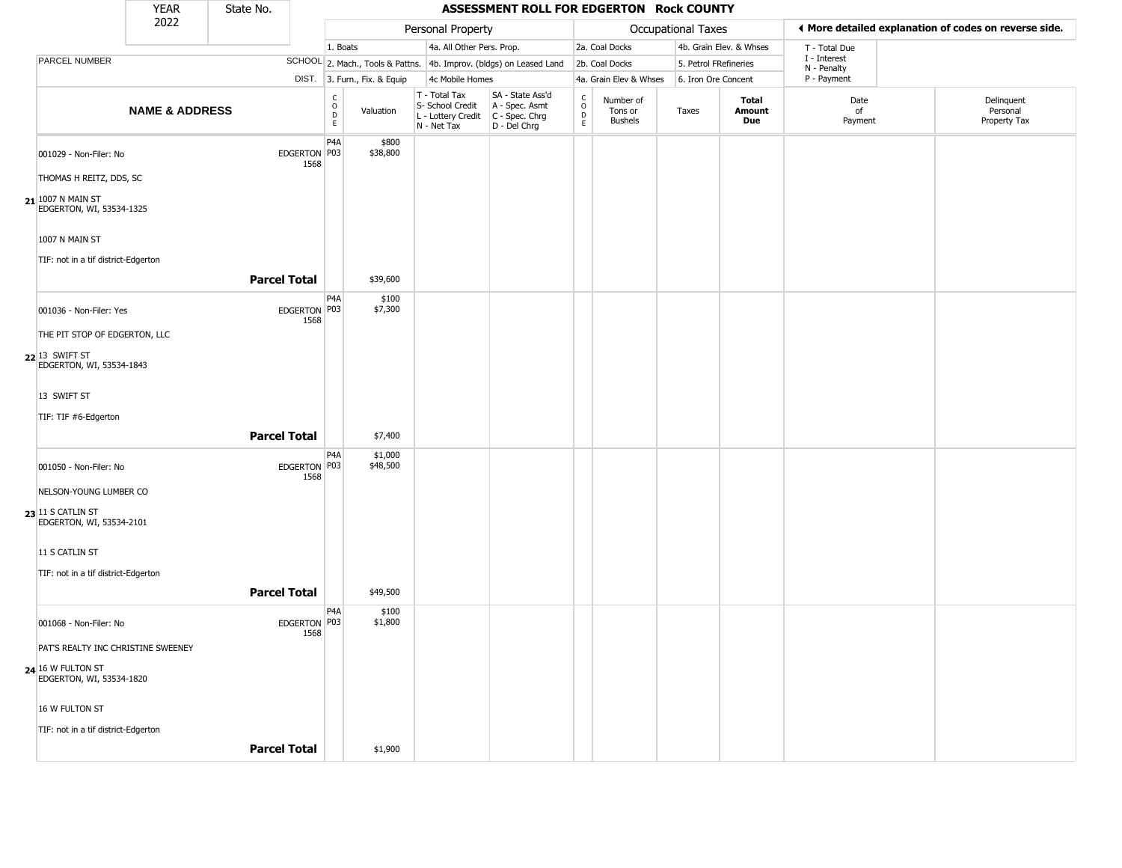|                                                 | <b>YEAR</b>               | State No.           |                      |                        |                              |                                                                        | ASSESSMENT ROLL FOR EDGERTON Rock COUNTY                             |                                                          |                                        |                       |                         |                             |                                                       |
|-------------------------------------------------|---------------------------|---------------------|----------------------|------------------------|------------------------------|------------------------------------------------------------------------|----------------------------------------------------------------------|----------------------------------------------------------|----------------------------------------|-----------------------|-------------------------|-----------------------------|-------------------------------------------------------|
|                                                 | 2022                      |                     |                      |                        |                              | Personal Property                                                      |                                                                      |                                                          |                                        | Occupational Taxes    |                         |                             | ◀ More detailed explanation of codes on reverse side. |
|                                                 |                           |                     |                      | 1. Boats               |                              | 4a. All Other Pers. Prop.                                              |                                                                      |                                                          | 2a. Coal Docks                         |                       | 4b. Grain Elev. & Whses | T - Total Due               |                                                       |
| PARCEL NUMBER                                   |                           |                     |                      |                        |                              |                                                                        | SCHOOL 2. Mach., Tools & Pattns. 4b. Improv. (bldgs) on Leased Land  |                                                          | 2b. Coal Docks                         | 5. Petrol FRefineries |                         | I - Interest<br>N - Penalty |                                                       |
|                                                 |                           |                     |                      |                        | DIST. 3. Furn., Fix. & Equip | 4c Mobile Homes                                                        |                                                                      |                                                          | 4a. Grain Elev & Whses                 | 6. Iron Ore Concent   |                         | P - Payment                 |                                                       |
|                                                 | <b>NAME &amp; ADDRESS</b> |                     |                      | C<br>$\circ$<br>D<br>E | Valuation                    | T - Total Tax<br>S- School Credit<br>L - Lottery Credit<br>N - Net Tax | SA - State Ass'd<br>A - Spec. Asmt<br>C - Spec. Chrg<br>D - Del Chrg | $\begin{smallmatrix} C \\ O \\ D \end{smallmatrix}$<br>E | Number of<br>Tons or<br><b>Bushels</b> | Taxes                 | Total<br>Amount<br>Due  | Date<br>of<br>Payment       | Delinquent<br>Personal<br>Property Tax                |
| 001029 - Non-Filer: No                          |                           |                     | EDGERTON P03<br>1568 | P <sub>4</sub> A       | \$800<br>\$38,800            |                                                                        |                                                                      |                                                          |                                        |                       |                         |                             |                                                       |
| THOMAS H REITZ, DDS, SC                         |                           |                     |                      |                        |                              |                                                                        |                                                                      |                                                          |                                        |                       |                         |                             |                                                       |
| $21$ 1007 N MAIN ST<br>EDGERTON, WI, 53534-1325 |                           |                     |                      |                        |                              |                                                                        |                                                                      |                                                          |                                        |                       |                         |                             |                                                       |
| 1007 N MAIN ST                                  |                           |                     |                      |                        |                              |                                                                        |                                                                      |                                                          |                                        |                       |                         |                             |                                                       |
| TIF: not in a tif district-Edgerton             |                           |                     |                      |                        |                              |                                                                        |                                                                      |                                                          |                                        |                       |                         |                             |                                                       |
|                                                 |                           | <b>Parcel Total</b> |                      |                        | \$39,600                     |                                                                        |                                                                      |                                                          |                                        |                       |                         |                             |                                                       |
| 001036 - Non-Filer: Yes                         |                           |                     | EDGERTON P03<br>1568 | P4A                    | \$100<br>\$7,300             |                                                                        |                                                                      |                                                          |                                        |                       |                         |                             |                                                       |
| THE PIT STOP OF EDGERTON, LLC                   |                           |                     |                      |                        |                              |                                                                        |                                                                      |                                                          |                                        |                       |                         |                             |                                                       |
| $22$ 13 SWIFT ST<br>EDGERTON, WI, 53534-1843    |                           |                     |                      |                        |                              |                                                                        |                                                                      |                                                          |                                        |                       |                         |                             |                                                       |
| 13 SWIFT ST                                     |                           |                     |                      |                        |                              |                                                                        |                                                                      |                                                          |                                        |                       |                         |                             |                                                       |
| TIF: TIF #6-Edgerton                            |                           |                     |                      |                        |                              |                                                                        |                                                                      |                                                          |                                        |                       |                         |                             |                                                       |
|                                                 |                           | <b>Parcel Total</b> |                      |                        | \$7,400                      |                                                                        |                                                                      |                                                          |                                        |                       |                         |                             |                                                       |
| 001050 - Non-Filer: No                          |                           |                     | EDGERTON P03<br>1568 | P4A                    | \$1,000<br>\$48,500          |                                                                        |                                                                      |                                                          |                                        |                       |                         |                             |                                                       |
| NELSON-YOUNG LUMBER CO                          |                           |                     |                      |                        |                              |                                                                        |                                                                      |                                                          |                                        |                       |                         |                             |                                                       |
| 23 11 S CATLIN ST<br>EDGERTON, WI, 53534-2101   |                           |                     |                      |                        |                              |                                                                        |                                                                      |                                                          |                                        |                       |                         |                             |                                                       |
| 11 S CATLIN ST                                  |                           |                     |                      |                        |                              |                                                                        |                                                                      |                                                          |                                        |                       |                         |                             |                                                       |
| TIF: not in a tif district-Edgerton             |                           |                     |                      |                        |                              |                                                                        |                                                                      |                                                          |                                        |                       |                         |                             |                                                       |
|                                                 |                           | <b>Parcel Total</b> |                      |                        | \$49,500                     |                                                                        |                                                                      |                                                          |                                        |                       |                         |                             |                                                       |
| 001068 - Non-Filer: No                          |                           |                     | EDGERTON P03<br>1568 | P <sub>4</sub> A       | \$100<br>\$1,800             |                                                                        |                                                                      |                                                          |                                        |                       |                         |                             |                                                       |
| PAT'S REALTY INC CHRISTINE SWEENEY              |                           |                     |                      |                        |                              |                                                                        |                                                                      |                                                          |                                        |                       |                         |                             |                                                       |
| $24$ 16 W FULTON ST<br>EDGERTON, WI, 53534-1820 |                           |                     |                      |                        |                              |                                                                        |                                                                      |                                                          |                                        |                       |                         |                             |                                                       |
| 16 W FULTON ST                                  |                           |                     |                      |                        |                              |                                                                        |                                                                      |                                                          |                                        |                       |                         |                             |                                                       |
| TIF: not in a tif district-Edgerton             |                           |                     |                      |                        |                              |                                                                        |                                                                      |                                                          |                                        |                       |                         |                             |                                                       |
|                                                 |                           | <b>Parcel Total</b> |                      |                        | \$1,900                      |                                                                        |                                                                      |                                                          |                                        |                       |                         |                             |                                                       |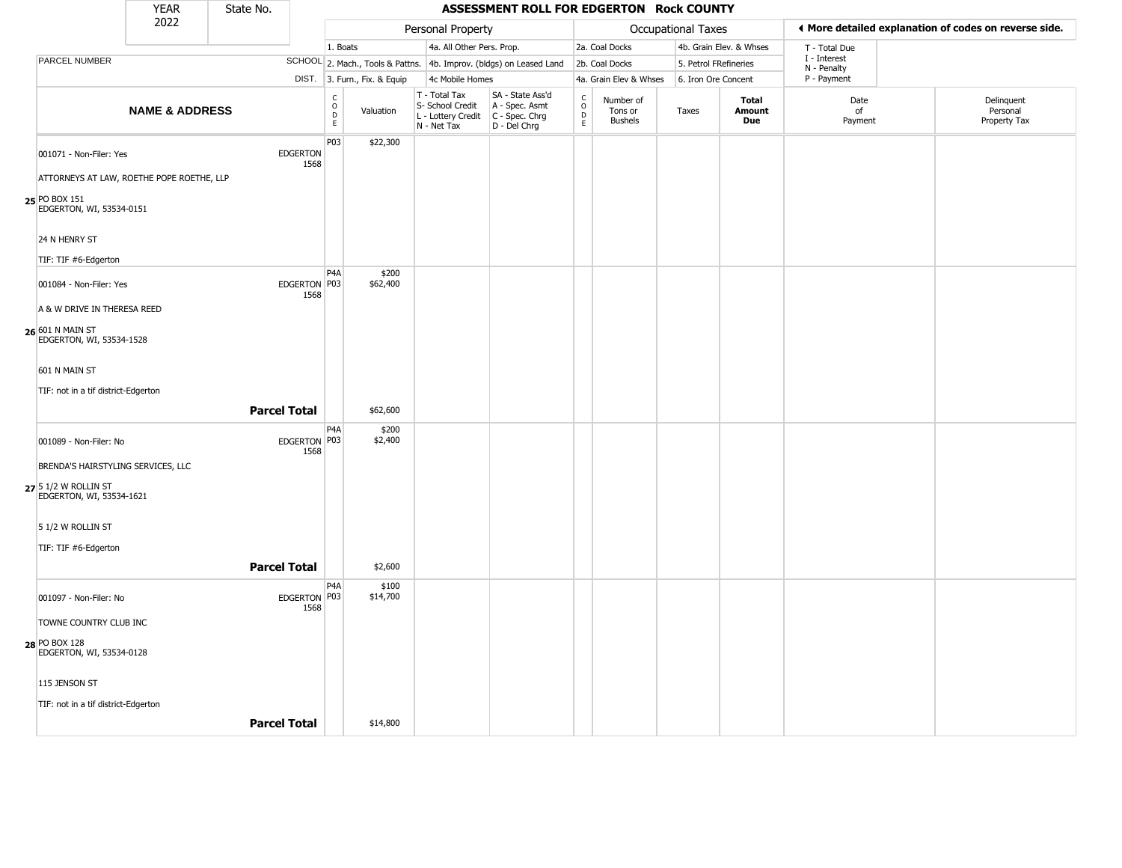|                                                  | <b>YEAR</b>               | State No. |                         |                        |                                  |                                                                        | ASSESSMENT ROLL FOR EDGERTON Rock COUNTY                             |                                                                    |                                        |                           |                         |                             |                                                       |
|--------------------------------------------------|---------------------------|-----------|-------------------------|------------------------|----------------------------------|------------------------------------------------------------------------|----------------------------------------------------------------------|--------------------------------------------------------------------|----------------------------------------|---------------------------|-------------------------|-----------------------------|-------------------------------------------------------|
|                                                  | 2022                      |           |                         |                        |                                  | Personal Property                                                      |                                                                      |                                                                    |                                        | <b>Occupational Taxes</b> |                         |                             | I More detailed explanation of codes on reverse side. |
|                                                  |                           |           |                         | 1. Boats               |                                  | 4a. All Other Pers. Prop.                                              |                                                                      |                                                                    | 2a. Coal Docks                         |                           | 4b. Grain Elev. & Whses | T - Total Due               |                                                       |
| <b>PARCEL NUMBER</b>                             |                           |           |                         |                        | SCHOOL 2. Mach., Tools & Pattns. |                                                                        | 4b. Improv. (bldgs) on Leased Land                                   |                                                                    | 2b. Coal Docks                         |                           | 5. Petrol FRefineries   | I - Interest<br>N - Penalty |                                                       |
|                                                  |                           |           |                         |                        | DIST. 3. Furn., Fix. & Equip     | 4c Mobile Homes                                                        |                                                                      |                                                                    | 4a. Grain Elev & Whses                 |                           | 6. Iron Ore Concent     | P - Payment                 |                                                       |
|                                                  | <b>NAME &amp; ADDRESS</b> |           |                         | $\rm ^c_{o}$<br>D<br>E | Valuation                        | T - Total Tax<br>S- School Credit<br>L - Lottery Credit<br>N - Net Tax | SA - State Ass'd<br>A - Spec. Asmt<br>C - Spec. Chrg<br>D - Del Chrg | $\begin{smallmatrix} C \\ 0 \\ D \end{smallmatrix}$<br>$\mathsf E$ | Number of<br>Tons or<br><b>Bushels</b> | Taxes                     | Total<br>Amount<br>Due  | Date<br>of<br>Payment       | Delinquent<br>Personal<br>Property Tax                |
| 001071 - Non-Filer: Yes                          |                           |           | <b>EDGERTON</b><br>1568 | P03                    | \$22,300                         |                                                                        |                                                                      |                                                                    |                                        |                           |                         |                             |                                                       |
| ATTORNEYS AT LAW, ROETHE POPE ROETHE, LLP        |                           |           |                         |                        |                                  |                                                                        |                                                                      |                                                                    |                                        |                           |                         |                             |                                                       |
| 25 PO BOX 151<br>EDGERTON, WI, 53534-0151        |                           |           |                         |                        |                                  |                                                                        |                                                                      |                                                                    |                                        |                           |                         |                             |                                                       |
| 24 N HENRY ST                                    |                           |           |                         |                        |                                  |                                                                        |                                                                      |                                                                    |                                        |                           |                         |                             |                                                       |
| TIF: TIF #6-Edgerton                             |                           |           |                         |                        |                                  |                                                                        |                                                                      |                                                                    |                                        |                           |                         |                             |                                                       |
| 001084 - Non-Filer: Yes                          |                           |           | EDGERTON P03<br>1568    | P <sub>4</sub> A       | \$200<br>\$62,400                |                                                                        |                                                                      |                                                                    |                                        |                           |                         |                             |                                                       |
| A & W DRIVE IN THERESA REED                      |                           |           |                         |                        |                                  |                                                                        |                                                                      |                                                                    |                                        |                           |                         |                             |                                                       |
| 26 601 N MAIN ST<br>EDGERTON, WI, 53534-1528     |                           |           |                         |                        |                                  |                                                                        |                                                                      |                                                                    |                                        |                           |                         |                             |                                                       |
| 601 N MAIN ST                                    |                           |           |                         |                        |                                  |                                                                        |                                                                      |                                                                    |                                        |                           |                         |                             |                                                       |
| TIF: not in a tif district-Edgerton              |                           |           |                         |                        |                                  |                                                                        |                                                                      |                                                                    |                                        |                           |                         |                             |                                                       |
|                                                  |                           |           | <b>Parcel Total</b>     |                        | \$62,600                         |                                                                        |                                                                      |                                                                    |                                        |                           |                         |                             |                                                       |
| 001089 - Non-Filer: No                           |                           |           | EDGERTON P03<br>1568    | P <sub>4</sub> A       | \$200<br>\$2,400                 |                                                                        |                                                                      |                                                                    |                                        |                           |                         |                             |                                                       |
| BRENDA'S HAIRSTYLING SERVICES, LLC               |                           |           |                         |                        |                                  |                                                                        |                                                                      |                                                                    |                                        |                           |                         |                             |                                                       |
| 27 5 1/2 W ROLLIN ST<br>EDGERTON, WI, 53534-1621 |                           |           |                         |                        |                                  |                                                                        |                                                                      |                                                                    |                                        |                           |                         |                             |                                                       |
| 5 1/2 W ROLLIN ST                                |                           |           |                         |                        |                                  |                                                                        |                                                                      |                                                                    |                                        |                           |                         |                             |                                                       |
| TIF: TIF #6-Edgerton                             |                           |           |                         |                        |                                  |                                                                        |                                                                      |                                                                    |                                        |                           |                         |                             |                                                       |
|                                                  |                           |           | <b>Parcel Total</b>     |                        | \$2,600                          |                                                                        |                                                                      |                                                                    |                                        |                           |                         |                             |                                                       |
| 001097 - Non-Filer: No                           |                           |           | EDGERTON   P03<br>1568  | P4A                    | \$100<br>\$14,700                |                                                                        |                                                                      |                                                                    |                                        |                           |                         |                             |                                                       |
| TOWNE COUNTRY CLUB INC                           |                           |           |                         |                        |                                  |                                                                        |                                                                      |                                                                    |                                        |                           |                         |                             |                                                       |
| 28 PO BOX 128<br>EDGERTON, WI, 53534-0128        |                           |           |                         |                        |                                  |                                                                        |                                                                      |                                                                    |                                        |                           |                         |                             |                                                       |

115 JENSON ST

TIF: not in a tif district-Edgerton

**Parcel Total** \$14,800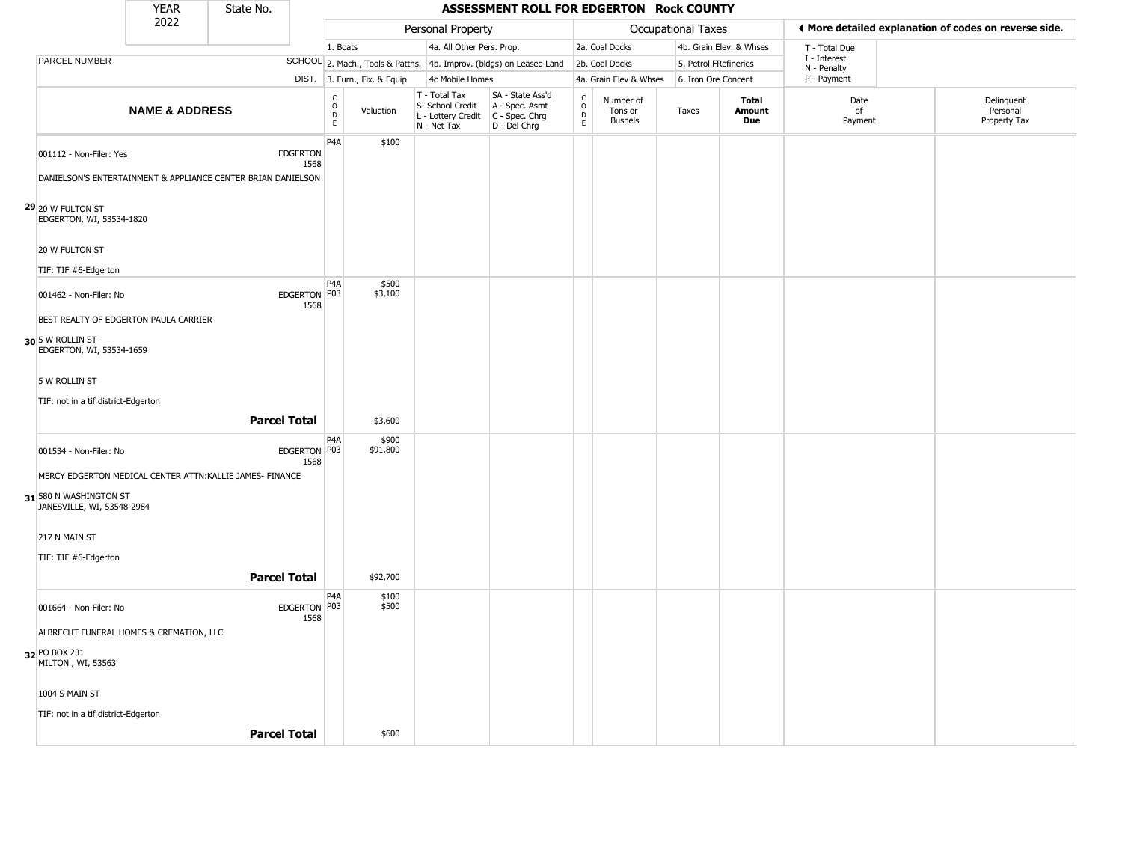|                                                                 | <b>YEAR</b>               | State No.                                                    |                         |                                |                              |                                                                                       | ASSESSMENT ROLL FOR EDGERTON Rock COUNTY                            |                          |                                        |                           |                         |                             |                                                       |
|-----------------------------------------------------------------|---------------------------|--------------------------------------------------------------|-------------------------|--------------------------------|------------------------------|---------------------------------------------------------------------------------------|---------------------------------------------------------------------|--------------------------|----------------------------------------|---------------------------|-------------------------|-----------------------------|-------------------------------------------------------|
|                                                                 | 2022                      |                                                              |                         |                                |                              | Personal Property                                                                     |                                                                     |                          |                                        | <b>Occupational Taxes</b> |                         |                             | ◀ More detailed explanation of codes on reverse side. |
|                                                                 |                           |                                                              |                         | 1. Boats                       |                              | 4a. All Other Pers. Prop.                                                             |                                                                     |                          | 2a. Coal Docks                         |                           | 4b. Grain Elev. & Whses | T - Total Due               |                                                       |
| PARCEL NUMBER                                                   |                           |                                                              |                         |                                |                              |                                                                                       | SCHOOL 2. Mach., Tools & Pattns. 4b. Improv. (bldgs) on Leased Land |                          | 2b. Coal Docks                         |                           | 5. Petrol FRefineries   | I - Interest<br>N - Penalty |                                                       |
|                                                                 |                           |                                                              |                         |                                | DIST. 3. Furn., Fix. & Equip | 4c Mobile Homes                                                                       |                                                                     |                          | 4a. Grain Elev & Whses                 |                           | 6. Iron Ore Concent     | P - Payment                 |                                                       |
|                                                                 | <b>NAME &amp; ADDRESS</b> |                                                              |                         | $\rm _o^c$<br>$\mathsf D$<br>E | Valuation                    | T - Total Tax<br>S- School Credit<br>L - Lottery Credit C - Spec. Chrg<br>N - Net Tax | SA - State Ass'd<br>A - Spec. Asmt<br>$D - Del Chrg$                | $\int_{0}^{c}$<br>D<br>E | Number of<br>Tons or<br><b>Bushels</b> | Taxes                     | Total<br>Amount<br>Due  | Date<br>of<br>Payment       | Delinquent<br>Personal<br>Property Tax                |
| 001112 - Non-Filer: Yes                                         |                           |                                                              | <b>EDGERTON</b><br>1568 | P <sub>4</sub> A               | \$100                        |                                                                                       |                                                                     |                          |                                        |                           |                         |                             |                                                       |
|                                                                 |                           | DANIELSON'S ENTERTAINMENT & APPLIANCE CENTER BRIAN DANIELSON |                         |                                |                              |                                                                                       |                                                                     |                          |                                        |                           |                         |                             |                                                       |
| 29 20 W FULTON ST<br>EDGERTON, WI, 53534-1820<br>20 W FULTON ST |                           |                                                              |                         |                                |                              |                                                                                       |                                                                     |                          |                                        |                           |                         |                             |                                                       |
|                                                                 |                           |                                                              |                         |                                |                              |                                                                                       |                                                                     |                          |                                        |                           |                         |                             |                                                       |
| TIF: TIF #6-Edgerton<br>001462 - Non-Filer: No                  |                           |                                                              | EDGERTON P03<br>1568    | P <sub>4</sub> A               | \$500<br>\$3,100             |                                                                                       |                                                                     |                          |                                        |                           |                         |                             |                                                       |
| BEST REALTY OF EDGERTON PAULA CARRIER                           |                           |                                                              |                         |                                |                              |                                                                                       |                                                                     |                          |                                        |                           |                         |                             |                                                       |
| 30 5 W ROLLIN ST<br>EDGERTON, WI, 53534-1659                    |                           |                                                              |                         |                                |                              |                                                                                       |                                                                     |                          |                                        |                           |                         |                             |                                                       |
| 5 W ROLLIN ST                                                   |                           |                                                              |                         |                                |                              |                                                                                       |                                                                     |                          |                                        |                           |                         |                             |                                                       |
| TIF: not in a tif district-Edgerton                             |                           |                                                              |                         |                                |                              |                                                                                       |                                                                     |                          |                                        |                           |                         |                             |                                                       |
|                                                                 |                           |                                                              |                         |                                |                              |                                                                                       |                                                                     |                          |                                        |                           |                         |                             |                                                       |
|                                                                 |                           | <b>Parcel Total</b>                                          |                         |                                | \$3,600                      |                                                                                       |                                                                     |                          |                                        |                           |                         |                             |                                                       |
| 001534 - Non-Filer: No                                          |                           |                                                              | EDGERTON P03<br>1568    | P <sub>4</sub> A               | \$900<br>\$91,800            |                                                                                       |                                                                     |                          |                                        |                           |                         |                             |                                                       |
|                                                                 |                           | MERCY EDGERTON MEDICAL CENTER ATTN: KALLIE JAMES- FINANCE    |                         |                                |                              |                                                                                       |                                                                     |                          |                                        |                           |                         |                             |                                                       |
| 31 580 N WASHINGTON ST<br>JANESVILLE, WI, 53548-2984            |                           |                                                              |                         |                                |                              |                                                                                       |                                                                     |                          |                                        |                           |                         |                             |                                                       |
| 217 N MAIN ST                                                   |                           |                                                              |                         |                                |                              |                                                                                       |                                                                     |                          |                                        |                           |                         |                             |                                                       |
| TIF: TIF #6-Edgerton                                            |                           |                                                              |                         |                                |                              |                                                                                       |                                                                     |                          |                                        |                           |                         |                             |                                                       |
|                                                                 |                           | <b>Parcel Total</b>                                          |                         |                                | \$92,700                     |                                                                                       |                                                                     |                          |                                        |                           |                         |                             |                                                       |
| 001664 - Non-Filer: No                                          |                           |                                                              | EDGERTON P03<br>1568    | P <sub>4</sub> A               | \$100<br>\$500               |                                                                                       |                                                                     |                          |                                        |                           |                         |                             |                                                       |
| ALBRECHT FUNERAL HOMES & CREMATION, LLC                         |                           |                                                              |                         |                                |                              |                                                                                       |                                                                     |                          |                                        |                           |                         |                             |                                                       |
| 32 PO BOX 231<br>MILTON, WI, 53563                              |                           |                                                              |                         |                                |                              |                                                                                       |                                                                     |                          |                                        |                           |                         |                             |                                                       |
| 1004 S MAIN ST                                                  |                           |                                                              |                         |                                |                              |                                                                                       |                                                                     |                          |                                        |                           |                         |                             |                                                       |
| TIF: not in a tif district-Edgerton                             |                           |                                                              |                         |                                |                              |                                                                                       |                                                                     |                          |                                        |                           |                         |                             |                                                       |
|                                                                 |                           | <b>Parcel Total</b>                                          |                         |                                | \$600                        |                                                                                       |                                                                     |                          |                                        |                           |                         |                             |                                                       |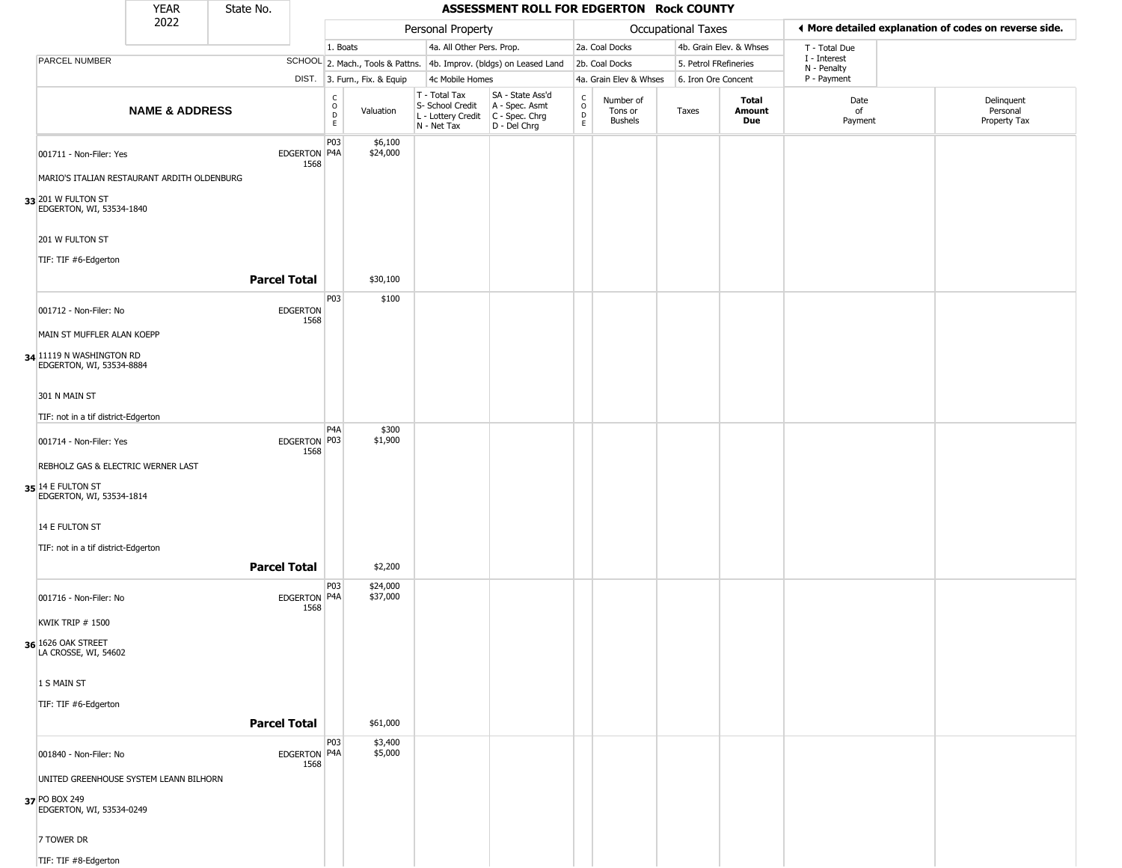|                                                      | <b>YEAR</b>                                 | State No.           |                         |                                             |                              |                                                                                       | ASSESSMENT ROLL FOR EDGERTON Rock COUNTY                            |                                    |                                        |                       |                         |                             |                                                       |  |
|------------------------------------------------------|---------------------------------------------|---------------------|-------------------------|---------------------------------------------|------------------------------|---------------------------------------------------------------------------------------|---------------------------------------------------------------------|------------------------------------|----------------------------------------|-----------------------|-------------------------|-----------------------------|-------------------------------------------------------|--|
|                                                      | 2022                                        |                     |                         |                                             |                              | Personal Property                                                                     |                                                                     |                                    |                                        | Occupational Taxes    |                         |                             | I More detailed explanation of codes on reverse side. |  |
|                                                      |                                             |                     |                         | 1. Boats                                    |                              | 4a. All Other Pers. Prop.                                                             |                                                                     |                                    | 2a. Coal Docks                         |                       | 4b. Grain Elev. & Whses | T - Total Due               |                                                       |  |
| PARCEL NUMBER                                        |                                             |                     |                         |                                             |                              |                                                                                       | SCHOOL 2. Mach., Tools & Pattns. 4b. Improv. (bldgs) on Leased Land |                                    | 2b. Coal Docks                         | 5. Petrol FRefineries |                         | I - Interest<br>N - Penalty |                                                       |  |
|                                                      |                                             |                     |                         |                                             | DIST. 3. Furn., Fix. & Equip | 4c Mobile Homes                                                                       |                                                                     |                                    | 4a. Grain Elev & Whses                 | 6. Iron Ore Concent   |                         | P - Payment                 |                                                       |  |
|                                                      | <b>NAME &amp; ADDRESS</b>                   |                     |                         | $\frac{c}{0}$<br>$\mathsf D$<br>$\mathsf E$ | Valuation                    | T - Total Tax<br>S- School Credit<br>L - Lottery Credit C - Spec. Chrg<br>N - Net Tax | SA - State Ass'd<br>A - Spec. Asmt<br>D - Del Chrg                  | $\rm_{o}^{c}$<br>$\mathsf{D}$<br>E | Number of<br>Tons or<br><b>Bushels</b> | Taxes                 | Total<br>Amount<br>Due  | Date<br>of<br>Payment       | Delinquent<br>Personal<br>Property Tax                |  |
| 001711 - Non-Filer: Yes                              |                                             |                     | EDGERTON P4A            | P03                                         | \$6,100<br>\$24,000          |                                                                                       |                                                                     |                                    |                                        |                       |                         |                             |                                                       |  |
|                                                      | MARIO'S ITALIAN RESTAURANT ARDITH OLDENBURG |                     | 1568                    |                                             |                              |                                                                                       |                                                                     |                                    |                                        |                       |                         |                             |                                                       |  |
| 33 201 W FULTON ST<br>EDGERTON, WI, 53534-1840       |                                             |                     |                         |                                             |                              |                                                                                       |                                                                     |                                    |                                        |                       |                         |                             |                                                       |  |
| 201 W FULTON ST                                      |                                             |                     |                         |                                             |                              |                                                                                       |                                                                     |                                    |                                        |                       |                         |                             |                                                       |  |
| TIF: TIF #6-Edgerton                                 |                                             |                     |                         |                                             |                              |                                                                                       |                                                                     |                                    |                                        |                       |                         |                             |                                                       |  |
|                                                      |                                             | <b>Parcel Total</b> |                         |                                             | \$30,100                     |                                                                                       |                                                                     |                                    |                                        |                       |                         |                             |                                                       |  |
| 001712 - Non-Filer: No                               |                                             |                     | <b>EDGERTON</b><br>1568 | P03                                         | \$100                        |                                                                                       |                                                                     |                                    |                                        |                       |                         |                             |                                                       |  |
| MAIN ST MUFFLER ALAN KOEPP                           |                                             |                     |                         |                                             |                              |                                                                                       |                                                                     |                                    |                                        |                       |                         |                             |                                                       |  |
| 34 11119 N WASHINGTON RD<br>EDGERTON, WI, 53534-8884 |                                             |                     |                         |                                             |                              |                                                                                       |                                                                     |                                    |                                        |                       |                         |                             |                                                       |  |
| 301 N MAIN ST                                        |                                             |                     |                         |                                             |                              |                                                                                       |                                                                     |                                    |                                        |                       |                         |                             |                                                       |  |
| TIF: not in a tif district-Edgerton                  |                                             |                     |                         |                                             |                              |                                                                                       |                                                                     |                                    |                                        |                       |                         |                             |                                                       |  |
| 001714 - Non-Filer: Yes                              |                                             |                     | EDGERTON P03<br>1568    | P <sub>4</sub> A                            | \$300<br>\$1,900             |                                                                                       |                                                                     |                                    |                                        |                       |                         |                             |                                                       |  |
| REBHOLZ GAS & ELECTRIC WERNER LAST                   |                                             |                     |                         |                                             |                              |                                                                                       |                                                                     |                                    |                                        |                       |                         |                             |                                                       |  |
| 35 14 E FULTON ST<br>EDGERTON, WI, 53534-1814        |                                             |                     |                         |                                             |                              |                                                                                       |                                                                     |                                    |                                        |                       |                         |                             |                                                       |  |
| 14 E FULTON ST                                       |                                             |                     |                         |                                             |                              |                                                                                       |                                                                     |                                    |                                        |                       |                         |                             |                                                       |  |
| TIF: not in a tif district-Edgerton                  |                                             |                     |                         |                                             |                              |                                                                                       |                                                                     |                                    |                                        |                       |                         |                             |                                                       |  |
|                                                      |                                             | <b>Parcel Total</b> |                         |                                             | \$2,200                      |                                                                                       |                                                                     |                                    |                                        |                       |                         |                             |                                                       |  |
| 001716 - Non-Filer: No                               |                                             |                     | EDGERTON P4A<br>1568    | P03                                         | \$24,000<br>\$37,000         |                                                                                       |                                                                     |                                    |                                        |                       |                         |                             |                                                       |  |
| <b>KWIK TRIP # 1500</b>                              |                                             |                     |                         |                                             |                              |                                                                                       |                                                                     |                                    |                                        |                       |                         |                             |                                                       |  |
| 36 1626 OAK STREET<br>LA CROSSE, WI, 54602           |                                             |                     |                         |                                             |                              |                                                                                       |                                                                     |                                    |                                        |                       |                         |                             |                                                       |  |
| 1 S MAIN ST                                          |                                             |                     |                         |                                             |                              |                                                                                       |                                                                     |                                    |                                        |                       |                         |                             |                                                       |  |
| TIF: TIF #6-Edgerton                                 |                                             |                     |                         |                                             |                              |                                                                                       |                                                                     |                                    |                                        |                       |                         |                             |                                                       |  |
|                                                      |                                             | <b>Parcel Total</b> |                         |                                             | \$61,000                     |                                                                                       |                                                                     |                                    |                                        |                       |                         |                             |                                                       |  |
| 001840 - Non-Filer: No                               |                                             |                     | EDGERTON P4A<br>1568    | P03                                         | \$3,400<br>\$5,000           |                                                                                       |                                                                     |                                    |                                        |                       |                         |                             |                                                       |  |
|                                                      | UNITED GREENHOUSE SYSTEM LEANN BILHORN      |                     |                         |                                             |                              |                                                                                       |                                                                     |                                    |                                        |                       |                         |                             |                                                       |  |
| 37 PO BOX 249<br>EDGERTON, WI, 53534-0249            |                                             |                     |                         |                                             |                              |                                                                                       |                                                                     |                                    |                                        |                       |                         |                             |                                                       |  |
| 7 TOWER DR                                           |                                             |                     |                         |                                             |                              |                                                                                       |                                                                     |                                    |                                        |                       |                         |                             |                                                       |  |
| TIF: TIF #8-Edgerton                                 |                                             |                     |                         |                                             |                              |                                                                                       |                                                                     |                                    |                                        |                       |                         |                             |                                                       |  |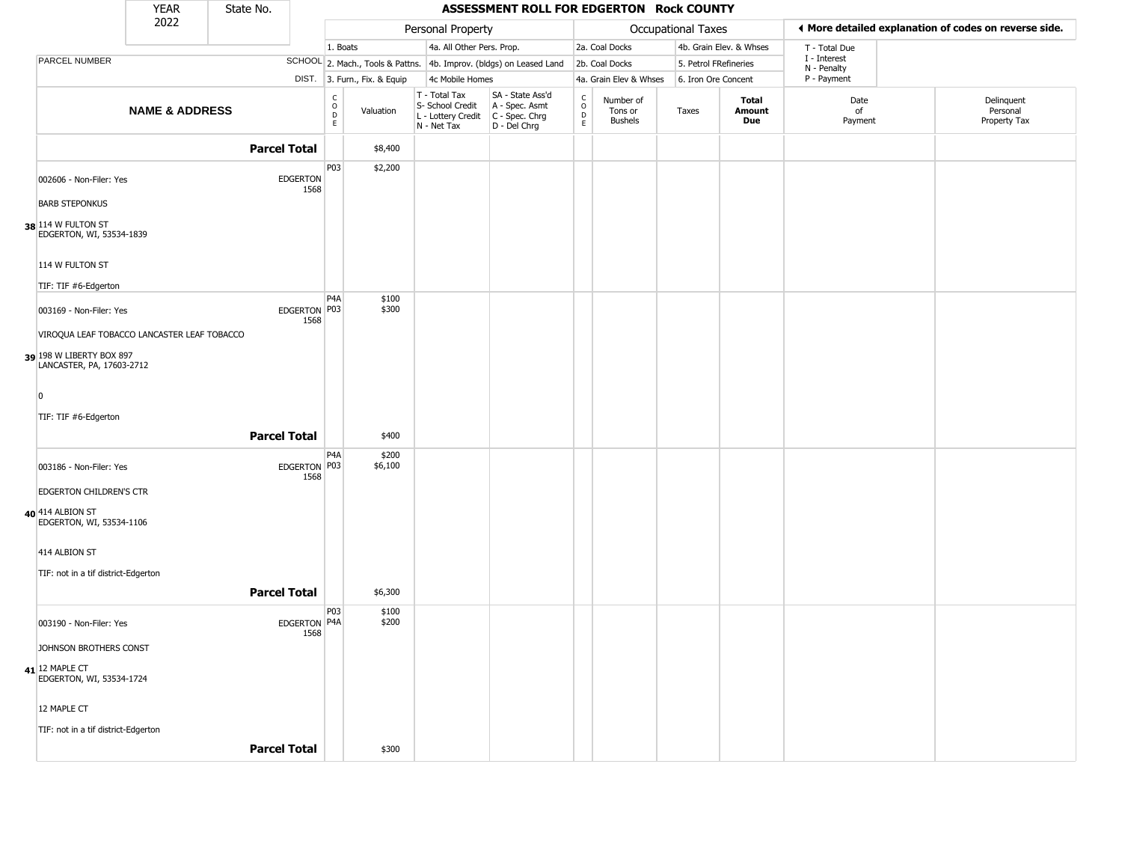|                                                       | <b>YEAR</b>               | State No. |                         |                              |                              |                                                                        | ASSESSMENT ROLL FOR EDGERTON Rock COUNTY                             |                                                 |                                        |                    |                         |                            |                                                       |
|-------------------------------------------------------|---------------------------|-----------|-------------------------|------------------------------|------------------------------|------------------------------------------------------------------------|----------------------------------------------------------------------|-------------------------------------------------|----------------------------------------|--------------------|-------------------------|----------------------------|-------------------------------------------------------|
|                                                       | 2022                      |           |                         |                              |                              | Personal Property                                                      |                                                                      |                                                 |                                        | Occupational Taxes |                         |                            | ♦ More detailed explanation of codes on reverse side. |
|                                                       |                           |           |                         | 1. Boats                     |                              | 4a. All Other Pers. Prop.                                              |                                                                      |                                                 | 2a. Coal Docks                         |                    | 4b. Grain Elev. & Whses | T - Total Due              |                                                       |
| PARCEL NUMBER                                         |                           |           |                         |                              |                              |                                                                        | SCHOOL 2. Mach., Tools & Pattns. 4b. Improv. (bldgs) on Leased Land  |                                                 | 2b. Coal Docks                         |                    | 5. Petrol FRefineries   | I - Interest               |                                                       |
|                                                       |                           |           |                         |                              | DIST. 3. Furn., Fix. & Equip | 4c Mobile Homes                                                        |                                                                      |                                                 | 4a. Grain Elev & Whses                 |                    | 6. Iron Ore Concent     | N - Penalty<br>P - Payment |                                                       |
|                                                       | <b>NAME &amp; ADDRESS</b> |           |                         | $_{\rm o}^{\rm c}$<br>D<br>E | Valuation                    | T - Total Tax<br>S- School Credit<br>L - Lottery Credit<br>N - Net Tax | SA - State Ass'd<br>A - Spec. Asmt<br>C - Spec. Chrg<br>D - Del Chrg | $\begin{array}{c} C \\ O \\ D \\ E \end{array}$ | Number of<br>Tons or<br><b>Bushels</b> | Taxes              | Total<br>Amount<br>Due  | Date<br>of<br>Payment      | Delinquent<br>Personal<br>Property Tax                |
|                                                       |                           |           | <b>Parcel Total</b>     |                              | \$8,400                      |                                                                        |                                                                      |                                                 |                                        |                    |                         |                            |                                                       |
| 002606 - Non-Filer: Yes                               |                           |           | <b>EDGERTON</b><br>1568 | P03                          | \$2,200                      |                                                                        |                                                                      |                                                 |                                        |                    |                         |                            |                                                       |
| <b>BARB STEPONKUS</b>                                 |                           |           |                         |                              |                              |                                                                        |                                                                      |                                                 |                                        |                    |                         |                            |                                                       |
| 38 114 W FULTON ST<br>EDGERTON, WI, 53534-1839        |                           |           |                         |                              |                              |                                                                        |                                                                      |                                                 |                                        |                    |                         |                            |                                                       |
| 114 W FULTON ST                                       |                           |           |                         |                              |                              |                                                                        |                                                                      |                                                 |                                        |                    |                         |                            |                                                       |
| TIF: TIF #6-Edgerton                                  |                           |           |                         |                              |                              |                                                                        |                                                                      |                                                 |                                        |                    |                         |                            |                                                       |
| 003169 - Non-Filer: Yes                               |                           |           | EDGERTON P03<br>1568    | P <sub>4</sub> A             | \$100<br>\$300               |                                                                        |                                                                      |                                                 |                                        |                    |                         |                            |                                                       |
| VIROQUA LEAF TOBACCO LANCASTER LEAF TOBACCO           |                           |           |                         |                              |                              |                                                                        |                                                                      |                                                 |                                        |                    |                         |                            |                                                       |
| 39 198 W LIBERTY BOX 897<br>LANCASTER, PA, 17603-2712 |                           |           |                         |                              |                              |                                                                        |                                                                      |                                                 |                                        |                    |                         |                            |                                                       |
| $\overline{0}$                                        |                           |           |                         |                              |                              |                                                                        |                                                                      |                                                 |                                        |                    |                         |                            |                                                       |
| TIF: TIF #6-Edgerton                                  |                           |           |                         |                              |                              |                                                                        |                                                                      |                                                 |                                        |                    |                         |                            |                                                       |
|                                                       |                           |           | <b>Parcel Total</b>     |                              | \$400                        |                                                                        |                                                                      |                                                 |                                        |                    |                         |                            |                                                       |
| 003186 - Non-Filer: Yes                               |                           |           | EDGERTON P03<br>1568    | P <sub>4</sub> A             | \$200<br>\$6,100             |                                                                        |                                                                      |                                                 |                                        |                    |                         |                            |                                                       |
| EDGERTON CHILDREN'S CTR                               |                           |           |                         |                              |                              |                                                                        |                                                                      |                                                 |                                        |                    |                         |                            |                                                       |
| 40 414 ALBION ST<br>EDGERTON, WI, 53534-1106          |                           |           |                         |                              |                              |                                                                        |                                                                      |                                                 |                                        |                    |                         |                            |                                                       |
| 414 ALBION ST                                         |                           |           |                         |                              |                              |                                                                        |                                                                      |                                                 |                                        |                    |                         |                            |                                                       |
| TIF: not in a tif district-Edgerton                   |                           |           |                         |                              |                              |                                                                        |                                                                      |                                                 |                                        |                    |                         |                            |                                                       |
|                                                       |                           |           | <b>Parcel Total</b>     |                              | \$6,300                      |                                                                        |                                                                      |                                                 |                                        |                    |                         |                            |                                                       |
| 003190 - Non-Filer: Yes                               |                           |           | EDGERTON P4A<br>1568    | P03                          | \$100<br>\$200               |                                                                        |                                                                      |                                                 |                                        |                    |                         |                            |                                                       |
| JOHNSON BROTHERS CONST                                |                           |           |                         |                              |                              |                                                                        |                                                                      |                                                 |                                        |                    |                         |                            |                                                       |
| 41 12 MAPLE CT<br>EDGERTON, WI, 53534-1724            |                           |           |                         |                              |                              |                                                                        |                                                                      |                                                 |                                        |                    |                         |                            |                                                       |
| 12 MAPLE CT                                           |                           |           |                         |                              |                              |                                                                        |                                                                      |                                                 |                                        |                    |                         |                            |                                                       |
| TIF: not in a tif district-Edgerton                   |                           |           |                         |                              |                              |                                                                        |                                                                      |                                                 |                                        |                    |                         |                            |                                                       |
|                                                       |                           |           | <b>Parcel Total</b>     |                              | \$300                        |                                                                        |                                                                      |                                                 |                                        |                    |                         |                            |                                                       |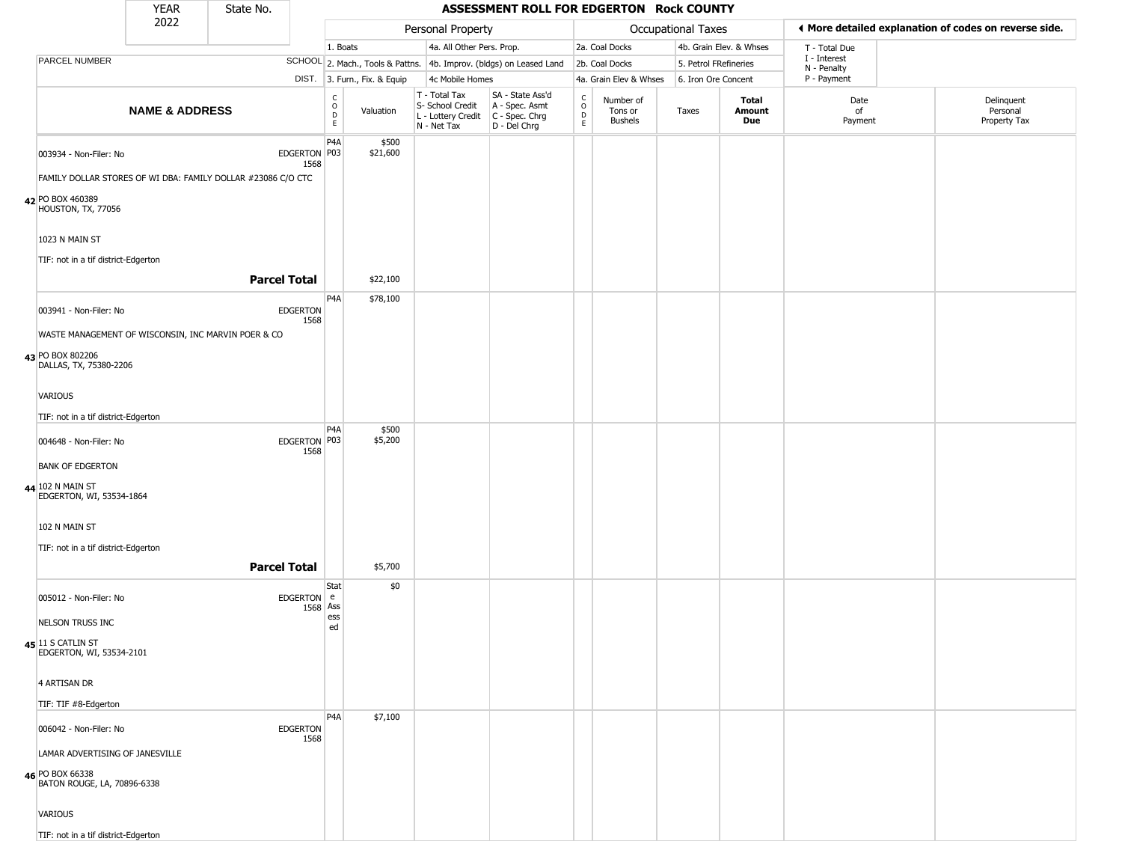|                                                                                   | <b>YEAR</b>               | State No.                                                    |                                                 |                              |                                                                                         | ASSESSMENT ROLL FOR EDGERTON Rock COUNTY                            |                                              |                                        |                           |                         |                             |                                                       |
|-----------------------------------------------------------------------------------|---------------------------|--------------------------------------------------------------|-------------------------------------------------|------------------------------|-----------------------------------------------------------------------------------------|---------------------------------------------------------------------|----------------------------------------------|----------------------------------------|---------------------------|-------------------------|-----------------------------|-------------------------------------------------------|
|                                                                                   | 2022                      |                                                              |                                                 |                              | Personal Property                                                                       |                                                                     |                                              |                                        | <b>Occupational Taxes</b> |                         |                             | ♦ More detailed explanation of codes on reverse side. |
|                                                                                   |                           |                                                              |                                                 | 1. Boats                     | 4a. All Other Pers. Prop.                                                               |                                                                     |                                              | 2a. Coal Docks                         |                           | 4b. Grain Elev. & Whses | T - Total Due               |                                                       |
| PARCEL NUMBER                                                                     |                           |                                                              |                                                 |                              |                                                                                         | SCHOOL 2. Mach., Tools & Pattns. 4b. Improv. (bldgs) on Leased Land |                                              | 2b. Coal Docks                         | 5. Petrol FRefineries     |                         | I - Interest<br>N - Penalty |                                                       |
|                                                                                   |                           |                                                              |                                                 | DIST. 3. Furn., Fix. & Equip | 4c Mobile Homes                                                                         |                                                                     |                                              | 4a. Grain Elev & Whses                 | 6. Iron Ore Concent       |                         | P - Payment                 |                                                       |
|                                                                                   | <b>NAME &amp; ADDRESS</b> |                                                              | $\begin{array}{c} C \\ O \\ D \\ E \end{array}$ | Valuation                    | T - Total Tax<br>S- School Credit<br>L - Lottery Credit   C - Spec. Chrg<br>N - Net Tax | SA - State Ass'd<br>A - Spec. Asmt<br>D - Del Chrg                  | $\begin{array}{c}\nC \\ O \\ D\n\end{array}$ | Number of<br>Tons or<br><b>Bushels</b> | Taxes                     | Total<br>Amount<br>Due  | Date<br>of<br>Payment       | Delinquent<br>Personal<br>Property Tax                |
| 003934 - Non-Filer: No                                                            |                           | EDGERTON P03<br>1568                                         | P <sub>4</sub> A                                | \$500<br>\$21,600            |                                                                                         |                                                                     |                                              |                                        |                           |                         |                             |                                                       |
|                                                                                   |                           | FAMILY DOLLAR STORES OF WI DBA: FAMILY DOLLAR #23086 C/O CTC |                                                 |                              |                                                                                         |                                                                     |                                              |                                        |                           |                         |                             |                                                       |
| 42 PO BOX 460389<br>HOUSTON, TX, 77056                                            |                           |                                                              |                                                 |                              |                                                                                         |                                                                     |                                              |                                        |                           |                         |                             |                                                       |
| 1023 N MAIN ST<br>TIF: not in a tif district-Edgerton                             |                           |                                                              |                                                 |                              |                                                                                         |                                                                     |                                              |                                        |                           |                         |                             |                                                       |
|                                                                                   |                           | <b>Parcel Total</b>                                          |                                                 | \$22,100                     |                                                                                         |                                                                     |                                              |                                        |                           |                         |                             |                                                       |
| 003941 - Non-Filer: No                                                            |                           | <b>EDGERTON</b><br>1568                                      | P <sub>4</sub> A                                | \$78,100                     |                                                                                         |                                                                     |                                              |                                        |                           |                         |                             |                                                       |
| WASTE MANAGEMENT OF WISCONSIN, INC MARVIN POER & CO                               |                           |                                                              |                                                 |                              |                                                                                         |                                                                     |                                              |                                        |                           |                         |                             |                                                       |
| 43 PO BOX 802206<br>DALLAS, TX, 75380-2206                                        |                           |                                                              |                                                 |                              |                                                                                         |                                                                     |                                              |                                        |                           |                         |                             |                                                       |
| VARIOUS                                                                           |                           |                                                              |                                                 |                              |                                                                                         |                                                                     |                                              |                                        |                           |                         |                             |                                                       |
| TIF: not in a tif district-Edgerton                                               |                           |                                                              |                                                 |                              |                                                                                         |                                                                     |                                              |                                        |                           |                         |                             |                                                       |
| 004648 - Non-Filer: No                                                            |                           | EDGERTON P03<br>1568                                         | P <sub>4</sub> A                                | \$500<br>\$5,200             |                                                                                         |                                                                     |                                              |                                        |                           |                         |                             |                                                       |
| <b>BANK OF EDGERTON</b>                                                           |                           |                                                              |                                                 |                              |                                                                                         |                                                                     |                                              |                                        |                           |                         |                             |                                                       |
| 44 102 N MAIN ST<br>EDGERTON, WI, 53534-1864                                      |                           |                                                              |                                                 |                              |                                                                                         |                                                                     |                                              |                                        |                           |                         |                             |                                                       |
| 102 N MAIN ST                                                                     |                           |                                                              |                                                 |                              |                                                                                         |                                                                     |                                              |                                        |                           |                         |                             |                                                       |
| TIF: not in a tif district-Edgerton                                               |                           |                                                              |                                                 |                              |                                                                                         |                                                                     |                                              |                                        |                           |                         |                             |                                                       |
|                                                                                   |                           | <b>Parcel Total</b>                                          |                                                 | \$5,700                      |                                                                                         |                                                                     |                                              |                                        |                           |                         |                             |                                                       |
| 005012 - Non-Filer: No                                                            |                           | <b>EDGERTON</b><br>1568                                      | Stat<br>e<br>Ass                                | \$0                          |                                                                                         |                                                                     |                                              |                                        |                           |                         |                             |                                                       |
| NELSON TRUSS INC                                                                  |                           |                                                              | ess<br>ed                                       |                              |                                                                                         |                                                                     |                                              |                                        |                           |                         |                             |                                                       |
| 45 11 S CATLIN ST<br>EDGERTON, WI, 53534-2101                                     |                           |                                                              |                                                 |                              |                                                                                         |                                                                     |                                              |                                        |                           |                         |                             |                                                       |
| 4 ARTISAN DR                                                                      |                           |                                                              |                                                 |                              |                                                                                         |                                                                     |                                              |                                        |                           |                         |                             |                                                       |
| TIF: TIF #8-Edgerton                                                              |                           |                                                              |                                                 |                              |                                                                                         |                                                                     |                                              |                                        |                           |                         |                             |                                                       |
| 006042 - Non-Filer: No                                                            |                           | <b>EDGERTON</b><br>1568                                      | P <sub>4</sub> A                                | \$7,100                      |                                                                                         |                                                                     |                                              |                                        |                           |                         |                             |                                                       |
| LAMAR ADVERTISING OF JANESVILLE<br>46 PO BOX 66338<br>BATON ROUGE, LA, 70896-6338 |                           |                                                              |                                                 |                              |                                                                                         |                                                                     |                                              |                                        |                           |                         |                             |                                                       |
| VARIOUS                                                                           |                           |                                                              |                                                 |                              |                                                                                         |                                                                     |                                              |                                        |                           |                         |                             |                                                       |
| TIF: not in a tif district-Edgerton                                               |                           |                                                              |                                                 |                              |                                                                                         |                                                                     |                                              |                                        |                           |                         |                             |                                                       |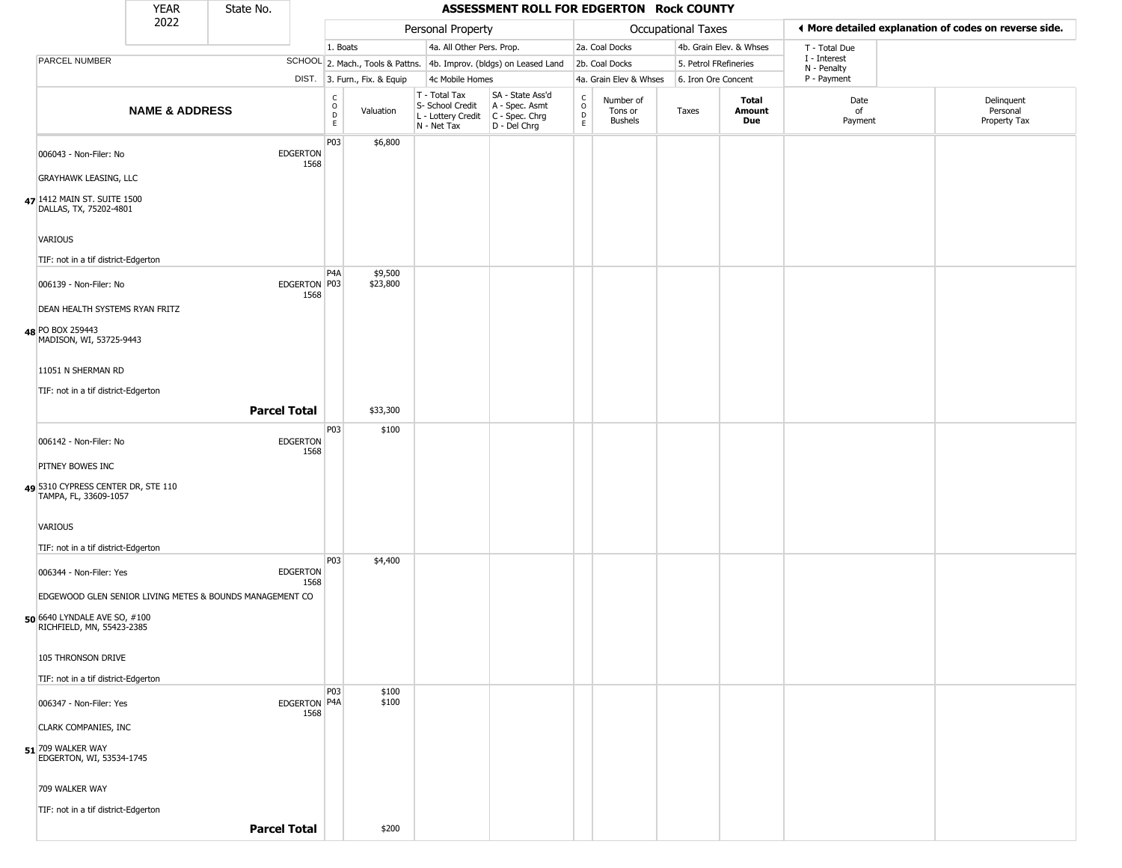|                                                             | <b>YEAR</b>               | State No. |                         |                         |                              |                                                                        | ASSESSMENT ROLL FOR EDGERTON Rock COUNTY                             |                                                          |                                        |                       |                         |                             |                                                       |
|-------------------------------------------------------------|---------------------------|-----------|-------------------------|-------------------------|------------------------------|------------------------------------------------------------------------|----------------------------------------------------------------------|----------------------------------------------------------|----------------------------------------|-----------------------|-------------------------|-----------------------------|-------------------------------------------------------|
|                                                             | 2022                      |           |                         |                         |                              | Personal Property                                                      |                                                                      |                                                          |                                        | Occupational Taxes    |                         |                             | ◀ More detailed explanation of codes on reverse side. |
|                                                             |                           |           |                         | 1. Boats                |                              | 4a. All Other Pers. Prop.                                              |                                                                      |                                                          | 2a. Coal Docks                         |                       | 4b. Grain Elev. & Whses | T - Total Due               |                                                       |
| PARCEL NUMBER                                               |                           |           |                         |                         |                              |                                                                        | SCHOOL 2. Mach., Tools & Pattns. 4b. Improv. (bldgs) on Leased Land  |                                                          | 2b. Coal Docks                         | 5. Petrol FRefineries |                         | I - Interest<br>N - Penalty |                                                       |
|                                                             |                           |           |                         |                         | DIST. 3. Furn., Fix. & Equip | 4c Mobile Homes                                                        |                                                                      |                                                          | 4a. Grain Elev & Whses                 | 6. Iron Ore Concent   |                         | P - Payment                 |                                                       |
|                                                             | <b>NAME &amp; ADDRESS</b> |           |                         | C<br>$\circ$<br>D<br>E. | Valuation                    | T - Total Tax<br>S- School Credit<br>L - Lottery Credit<br>N - Net Tax | SA - State Ass'd<br>A - Spec. Asmt<br>C - Spec. Chrg<br>D - Del Chrg | $\begin{smallmatrix} C \\ 0 \\ D \end{smallmatrix}$<br>E | Number of<br>Tons or<br><b>Bushels</b> | Taxes                 | Total<br>Amount<br>Due  | Date<br>of<br>Payment       | Delinquent<br>Personal<br>Property Tax                |
| 006043 - Non-Filer: No<br><b>GRAYHAWK LEASING, LLC</b>      |                           |           | <b>EDGERTON</b><br>1568 | P03                     | \$6,800                      |                                                                        |                                                                      |                                                          |                                        |                       |                         |                             |                                                       |
|                                                             |                           |           |                         |                         |                              |                                                                        |                                                                      |                                                          |                                        |                       |                         |                             |                                                       |
| 47 1412 MAIN ST. SUITE 1500<br>DALLAS, TX, 75202-4801       |                           |           |                         |                         |                              |                                                                        |                                                                      |                                                          |                                        |                       |                         |                             |                                                       |
| VARIOUS                                                     |                           |           |                         |                         |                              |                                                                        |                                                                      |                                                          |                                        |                       |                         |                             |                                                       |
| TIF: not in a tif district-Edgerton                         |                           |           |                         |                         |                              |                                                                        |                                                                      |                                                          |                                        |                       |                         |                             |                                                       |
| 006139 - Non-Filer: No                                      |                           |           | EDGERTON P03<br>1568    | P <sub>4</sub> A        | \$9,500<br>\$23,800          |                                                                        |                                                                      |                                                          |                                        |                       |                         |                             |                                                       |
| DEAN HEALTH SYSTEMS RYAN FRITZ                              |                           |           |                         |                         |                              |                                                                        |                                                                      |                                                          |                                        |                       |                         |                             |                                                       |
| 48 PO BOX 259443<br>MADISON, WI, 53725-9443                 |                           |           |                         |                         |                              |                                                                        |                                                                      |                                                          |                                        |                       |                         |                             |                                                       |
| 11051 N SHERMAN RD                                          |                           |           |                         |                         |                              |                                                                        |                                                                      |                                                          |                                        |                       |                         |                             |                                                       |
| TIF: not in a tif district-Edgerton                         |                           |           |                         |                         |                              |                                                                        |                                                                      |                                                          |                                        |                       |                         |                             |                                                       |
|                                                             |                           |           | <b>Parcel Total</b>     |                         | \$33,300                     |                                                                        |                                                                      |                                                          |                                        |                       |                         |                             |                                                       |
| 006142 - Non-Filer: No                                      |                           |           | <b>EDGERTON</b><br>1568 | P03                     | \$100                        |                                                                        |                                                                      |                                                          |                                        |                       |                         |                             |                                                       |
| PITNEY BOWES INC                                            |                           |           |                         |                         |                              |                                                                        |                                                                      |                                                          |                                        |                       |                         |                             |                                                       |
| 49 5310 CYPRESS CENTER DR, STE 110<br>TAMPA, FL, 33609-1057 |                           |           |                         |                         |                              |                                                                        |                                                                      |                                                          |                                        |                       |                         |                             |                                                       |
| VARIOUS                                                     |                           |           |                         |                         |                              |                                                                        |                                                                      |                                                          |                                        |                       |                         |                             |                                                       |
| TIF: not in a tif district-Edgerton                         |                           |           |                         |                         |                              |                                                                        |                                                                      |                                                          |                                        |                       |                         |                             |                                                       |
| 006344 - Non-Filer: Yes                                     |                           |           | <b>EDGERTON</b><br>1568 | P03                     | \$4,400                      |                                                                        |                                                                      |                                                          |                                        |                       |                         |                             |                                                       |
| EDGEWOOD GLEN SENIOR LIVING METES & BOUNDS MANAGEMENT CO    |                           |           |                         |                         |                              |                                                                        |                                                                      |                                                          |                                        |                       |                         |                             |                                                       |
| 50 6640 LYNDALE AVE SO, #100<br>RICHFIELD, MN, 55423-2385   |                           |           |                         |                         |                              |                                                                        |                                                                      |                                                          |                                        |                       |                         |                             |                                                       |
| 105 THRONSON DRIVE                                          |                           |           |                         |                         |                              |                                                                        |                                                                      |                                                          |                                        |                       |                         |                             |                                                       |
| TIF: not in a tif district-Edgerton                         |                           |           |                         |                         |                              |                                                                        |                                                                      |                                                          |                                        |                       |                         |                             |                                                       |
| 006347 - Non-Filer: Yes                                     |                           |           | EDGERTON P4A<br>1568    | <b>P03</b>              | \$100<br>\$100               |                                                                        |                                                                      |                                                          |                                        |                       |                         |                             |                                                       |
| <b>CLARK COMPANIES, INC</b>                                 |                           |           |                         |                         |                              |                                                                        |                                                                      |                                                          |                                        |                       |                         |                             |                                                       |
| 51 709 WALKER WAY<br>EDGERTON, WI, 53534-1745               |                           |           |                         |                         |                              |                                                                        |                                                                      |                                                          |                                        |                       |                         |                             |                                                       |
| 709 WALKER WAY                                              |                           |           |                         |                         |                              |                                                                        |                                                                      |                                                          |                                        |                       |                         |                             |                                                       |
| TIF: not in a tif district-Edgerton                         |                           |           |                         |                         |                              |                                                                        |                                                                      |                                                          |                                        |                       |                         |                             |                                                       |
|                                                             |                           |           | <b>Parcel Total</b>     |                         | \$200                        |                                                                        |                                                                      |                                                          |                                        |                       |                         |                             |                                                       |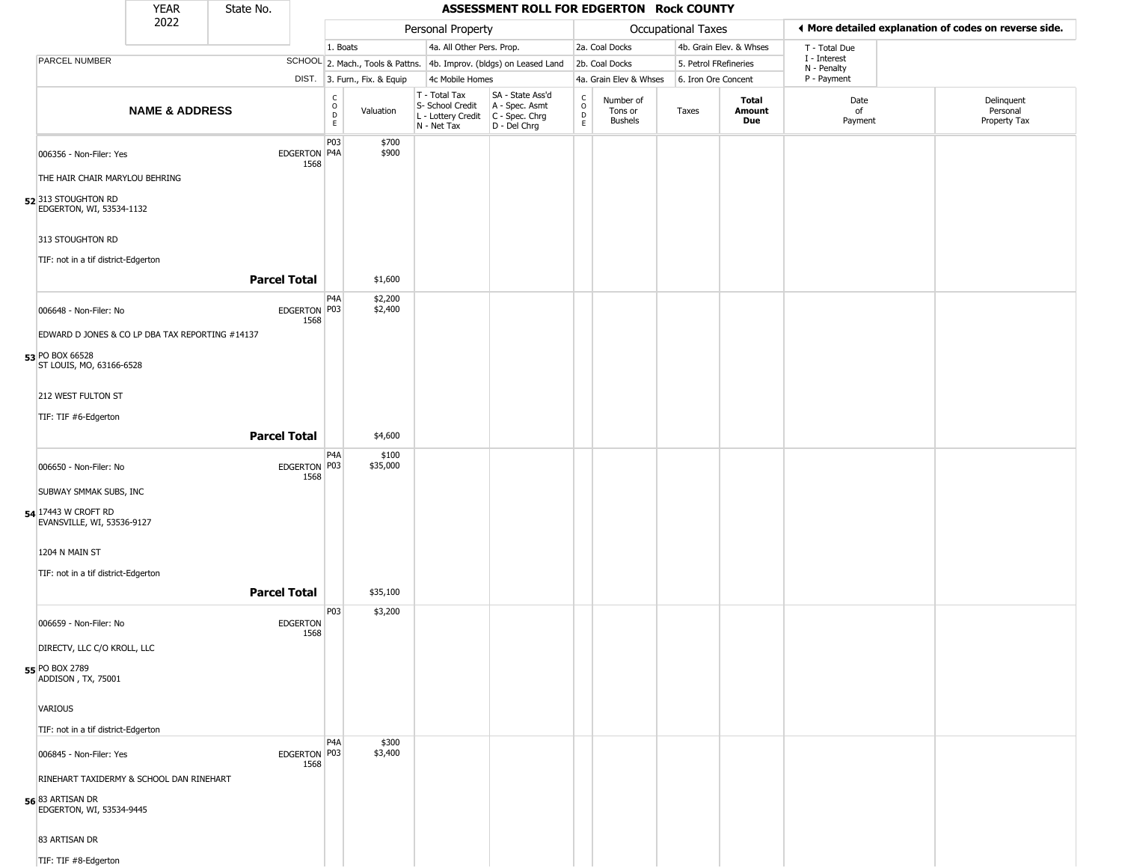|                                                            | <b>YEAR</b>                                     | State No.               |                                   |                              |                                                                                       | ASSESSMENT ROLL FOR EDGERTON Rock COUNTY                            |                         |                                        |                       |                         |                             |                                                       |
|------------------------------------------------------------|-------------------------------------------------|-------------------------|-----------------------------------|------------------------------|---------------------------------------------------------------------------------------|---------------------------------------------------------------------|-------------------------|----------------------------------------|-----------------------|-------------------------|-----------------------------|-------------------------------------------------------|
|                                                            | 2022                                            |                         |                                   |                              | Personal Property                                                                     |                                                                     |                         |                                        | Occupational Taxes    |                         |                             | ◀ More detailed explanation of codes on reverse side. |
|                                                            |                                                 |                         | 1. Boats                          |                              | 4a. All Other Pers. Prop.                                                             |                                                                     |                         | 2a. Coal Docks                         |                       | 4b. Grain Elev. & Whses | T - Total Due               |                                                       |
| PARCEL NUMBER                                              |                                                 |                         |                                   |                              |                                                                                       | SCHOOL 2. Mach., Tools & Pattns. 4b. Improv. (bldgs) on Leased Land |                         | 2b. Coal Docks                         | 5. Petrol FRefineries |                         | I - Interest<br>N - Penalty |                                                       |
|                                                            |                                                 |                         |                                   | DIST. 3. Furn., Fix. & Equip | 4c Mobile Homes                                                                       |                                                                     |                         | 4a. Grain Elev & Whses                 | 6. Iron Ore Concent   |                         | P - Payment                 |                                                       |
|                                                            | <b>NAME &amp; ADDRESS</b>                       |                         | $\frac{C}{O}$<br>$\mathsf D$<br>E | Valuation                    | T - Total Tax<br>S- School Credit<br>L - Lottery Credit C - Spec. Chrg<br>N - Net Tax | SA - State Ass'd<br>A - Spec. Asmt<br>D - Del Chrg                  | C<br>$\circ$<br>D<br>E. | Number of<br>Tons or<br><b>Bushels</b> | Taxes                 | Total<br>Amount<br>Due  | Date<br>of<br>Payment       | Delinquent<br>Personal<br>Property Tax                |
| 006356 - Non-Filer: Yes                                    |                                                 | EDGERTON P4A<br>1568    | P03                               | \$700<br>\$900               |                                                                                       |                                                                     |                         |                                        |                       |                         |                             |                                                       |
| THE HAIR CHAIR MARYLOU BEHRING                             |                                                 |                         |                                   |                              |                                                                                       |                                                                     |                         |                                        |                       |                         |                             |                                                       |
| 52 <sup>313</sup> STOUGHTON RD<br>EDGERTON, WI, 53534-1132 |                                                 |                         |                                   |                              |                                                                                       |                                                                     |                         |                                        |                       |                         |                             |                                                       |
| 313 STOUGHTON RD                                           |                                                 |                         |                                   |                              |                                                                                       |                                                                     |                         |                                        |                       |                         |                             |                                                       |
| TIF: not in a tif district-Edgerton                        |                                                 | <b>Parcel Total</b>     |                                   | \$1,600                      |                                                                                       |                                                                     |                         |                                        |                       |                         |                             |                                                       |
| 006648 - Non-Filer: No                                     |                                                 | EDGERTON P03<br>1568    | P4A                               | \$2,200<br>\$2,400           |                                                                                       |                                                                     |                         |                                        |                       |                         |                             |                                                       |
|                                                            | EDWARD D JONES & CO LP DBA TAX REPORTING #14137 |                         |                                   |                              |                                                                                       |                                                                     |                         |                                        |                       |                         |                             |                                                       |
| 53 PO BOX 66528<br>ST LOUIS, MO, 63166-6528                |                                                 |                         |                                   |                              |                                                                                       |                                                                     |                         |                                        |                       |                         |                             |                                                       |
| 212 WEST FULTON ST                                         |                                                 |                         |                                   |                              |                                                                                       |                                                                     |                         |                                        |                       |                         |                             |                                                       |
| TIF: TIF #6-Edgerton                                       |                                                 |                         |                                   |                              |                                                                                       |                                                                     |                         |                                        |                       |                         |                             |                                                       |
|                                                            |                                                 | <b>Parcel Total</b>     |                                   | \$4,600                      |                                                                                       |                                                                     |                         |                                        |                       |                         |                             |                                                       |
| 006650 - Non-Filer: No                                     |                                                 | EDGERTON P03<br>1568    | P4A                               | \$100<br>\$35,000            |                                                                                       |                                                                     |                         |                                        |                       |                         |                             |                                                       |
| SUBWAY SMMAK SUBS, INC                                     |                                                 |                         |                                   |                              |                                                                                       |                                                                     |                         |                                        |                       |                         |                             |                                                       |
| 54 17443 W CROFT RD<br>EVANSVILLE, WI, 53536-9127          |                                                 |                         |                                   |                              |                                                                                       |                                                                     |                         |                                        |                       |                         |                             |                                                       |
| 1204 N MAIN ST                                             |                                                 |                         |                                   |                              |                                                                                       |                                                                     |                         |                                        |                       |                         |                             |                                                       |
| TIF: not in a tif district-Edgerton                        |                                                 |                         |                                   |                              |                                                                                       |                                                                     |                         |                                        |                       |                         |                             |                                                       |
|                                                            |                                                 | <b>Parcel Total</b>     |                                   | \$35,100                     |                                                                                       |                                                                     |                         |                                        |                       |                         |                             |                                                       |
| 006659 - Non-Filer: No                                     |                                                 | <b>EDGERTON</b><br>1568 | P03                               | \$3,200                      |                                                                                       |                                                                     |                         |                                        |                       |                         |                             |                                                       |
| DIRECTV, LLC C/O KROLL, LLC                                |                                                 |                         |                                   |                              |                                                                                       |                                                                     |                         |                                        |                       |                         |                             |                                                       |
| 55 PO BOX 2789<br>ADDISON, TX, 75001                       |                                                 |                         |                                   |                              |                                                                                       |                                                                     |                         |                                        |                       |                         |                             |                                                       |
| VARIOUS                                                    |                                                 |                         |                                   |                              |                                                                                       |                                                                     |                         |                                        |                       |                         |                             |                                                       |
| TIF: not in a tif district-Edgerton                        |                                                 |                         |                                   |                              |                                                                                       |                                                                     |                         |                                        |                       |                         |                             |                                                       |
| 006845 - Non-Filer: Yes                                    |                                                 | EDGERTON P03<br>1568    | P <sub>4</sub> A                  | \$300<br>\$3,400             |                                                                                       |                                                                     |                         |                                        |                       |                         |                             |                                                       |
|                                                            | RINEHART TAXIDERMY & SCHOOL DAN RINEHART        |                         |                                   |                              |                                                                                       |                                                                     |                         |                                        |                       |                         |                             |                                                       |
| 56 83 ARTISAN DR<br>EDGERTON, WI, 53534-9445               |                                                 |                         |                                   |                              |                                                                                       |                                                                     |                         |                                        |                       |                         |                             |                                                       |
| 83 ARTISAN DR                                              |                                                 |                         |                                   |                              |                                                                                       |                                                                     |                         |                                        |                       |                         |                             |                                                       |
| TIF: TIF #8-Edgerton                                       |                                                 |                         |                                   |                              |                                                                                       |                                                                     |                         |                                        |                       |                         |                             |                                                       |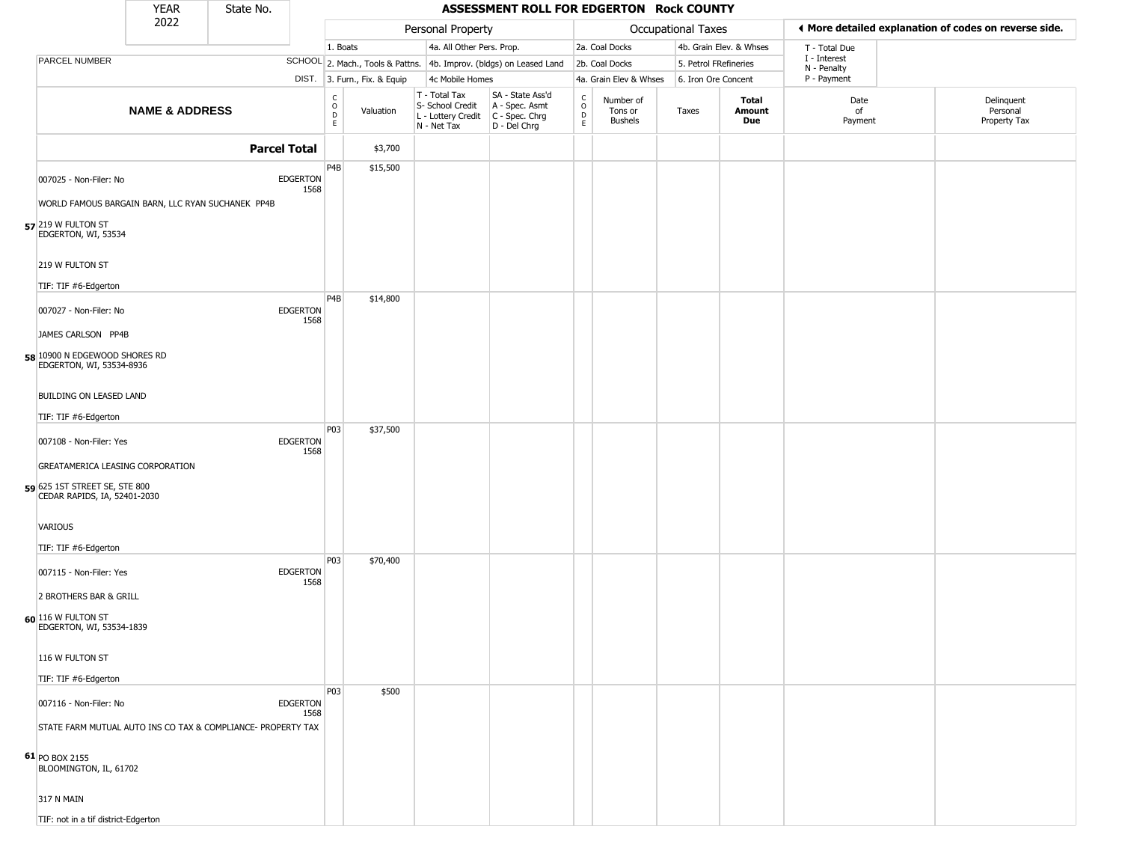|                                                                             | <b>YEAR</b>               | State No.           |                         |                                   |                              |                                                  |                           | ASSESSMENT ROLL FOR EDGERTON Rock COUNTY                                                  |                                                          |                                        |                       |                         |                             |                                                       |
|-----------------------------------------------------------------------------|---------------------------|---------------------|-------------------------|-----------------------------------|------------------------------|--------------------------------------------------|---------------------------|-------------------------------------------------------------------------------------------|----------------------------------------------------------|----------------------------------------|-----------------------|-------------------------|-----------------------------|-------------------------------------------------------|
|                                                                             | 2022                      |                     |                         |                                   |                              | Personal Property                                |                           |                                                                                           |                                                          |                                        | Occupational Taxes    |                         |                             | ♦ More detailed explanation of codes on reverse side. |
|                                                                             |                           |                     |                         | 1. Boats                          |                              |                                                  | 4a. All Other Pers. Prop. |                                                                                           |                                                          | 2a. Coal Docks                         |                       | 4b. Grain Elev. & Whses | T - Total Due               |                                                       |
| PARCEL NUMBER                                                               |                           |                     |                         |                                   |                              |                                                  |                           | SCHOOL 2. Mach., Tools & Pattns. 4b. Improv. (bldgs) on Leased Land                       |                                                          | 2b. Coal Docks                         | 5. Petrol FRefineries |                         | I - Interest<br>N - Penalty |                                                       |
|                                                                             |                           |                     |                         |                                   | DIST. 3. Furn., Fix. & Equip |                                                  | 4c Mobile Homes           |                                                                                           |                                                          | 4a. Grain Elev & Whses                 | 6. Iron Ore Concent   |                         | P - Payment                 |                                                       |
|                                                                             | <b>NAME &amp; ADDRESS</b> |                     |                         | $\frac{c}{0}$<br>$\mathsf D$<br>E | Valuation                    | T - Total Tax<br>S- School Credit<br>N - Net Tax |                           | SA - State Ass'd<br>A - Spec. Asmt<br>L - Lottery Credit   C - Spec. Chrg<br>D - Del Chrg | $\begin{matrix} 0 \\ 0 \\ D \end{matrix}$<br>$\mathsf E$ | Number of<br>Tons or<br><b>Bushels</b> | Taxes                 | Total<br>Amount<br>Due  | Date<br>of<br>Payment       | Delinquent<br>Personal<br>Property Tax                |
|                                                                             |                           | <b>Parcel Total</b> |                         |                                   | \$3,700                      |                                                  |                           |                                                                                           |                                                          |                                        |                       |                         |                             |                                                       |
| 007025 - Non-Filer: No<br>WORLD FAMOUS BARGAIN BARN, LLC RYAN SUCHANEK PP4B |                           |                     | <b>EDGERTON</b><br>1568 | P4B                               | \$15,500                     |                                                  |                           |                                                                                           |                                                          |                                        |                       |                         |                             |                                                       |
| 57 219 W FULTON ST<br>EDGERTON, WI, 53534                                   |                           |                     |                         |                                   |                              |                                                  |                           |                                                                                           |                                                          |                                        |                       |                         |                             |                                                       |
| 219 W FULTON ST                                                             |                           |                     |                         |                                   |                              |                                                  |                           |                                                                                           |                                                          |                                        |                       |                         |                             |                                                       |
| TIF: TIF #6-Edgerton                                                        |                           |                     |                         |                                   |                              |                                                  |                           |                                                                                           |                                                          |                                        |                       |                         |                             |                                                       |
| 007027 - Non-Filer: No                                                      |                           |                     | <b>EDGERTON</b><br>1568 | P <sub>4</sub> B                  | \$14,800                     |                                                  |                           |                                                                                           |                                                          |                                        |                       |                         |                             |                                                       |
| JAMES CARLSON PP4B                                                          |                           |                     |                         |                                   |                              |                                                  |                           |                                                                                           |                                                          |                                        |                       |                         |                             |                                                       |
| 58 10900 N EDGEWOOD SHORES RD<br>EDGERTON, WI, 53534-8936                   |                           |                     |                         |                                   |                              |                                                  |                           |                                                                                           |                                                          |                                        |                       |                         |                             |                                                       |
| BUILDING ON LEASED LAND                                                     |                           |                     |                         |                                   |                              |                                                  |                           |                                                                                           |                                                          |                                        |                       |                         |                             |                                                       |
| TIF: TIF #6-Edgerton                                                        |                           |                     |                         |                                   |                              |                                                  |                           |                                                                                           |                                                          |                                        |                       |                         |                             |                                                       |
| 007108 - Non-Filer: Yes                                                     |                           |                     | <b>EDGERTON</b><br>1568 | P03                               | \$37,500                     |                                                  |                           |                                                                                           |                                                          |                                        |                       |                         |                             |                                                       |
| GREATAMERICA LEASING CORPORATION                                            |                           |                     |                         |                                   |                              |                                                  |                           |                                                                                           |                                                          |                                        |                       |                         |                             |                                                       |
| 59 625 1ST STREET SE, STE 800<br>CEDAR RAPIDS, IA, 52401-2030               |                           |                     |                         |                                   |                              |                                                  |                           |                                                                                           |                                                          |                                        |                       |                         |                             |                                                       |
| VARIOUS                                                                     |                           |                     |                         |                                   |                              |                                                  |                           |                                                                                           |                                                          |                                        |                       |                         |                             |                                                       |
| TIF: TIF #6-Edgerton                                                        |                           |                     |                         |                                   |                              |                                                  |                           |                                                                                           |                                                          |                                        |                       |                         |                             |                                                       |
| 007115 - Non-Filer: Yes                                                     |                           |                     | <b>EDGERTON</b><br>1568 | P03                               | \$70,400                     |                                                  |                           |                                                                                           |                                                          |                                        |                       |                         |                             |                                                       |
| 2 BROTHERS BAR & GRILL                                                      |                           |                     |                         |                                   |                              |                                                  |                           |                                                                                           |                                                          |                                        |                       |                         |                             |                                                       |
| 60 116 W FULTON ST<br>EDGERTON, WI, 53534-1839                              |                           |                     |                         |                                   |                              |                                                  |                           |                                                                                           |                                                          |                                        |                       |                         |                             |                                                       |
| 116 W FULTON ST                                                             |                           |                     |                         |                                   |                              |                                                  |                           |                                                                                           |                                                          |                                        |                       |                         |                             |                                                       |
| TIF: TIF #6-Edgerton                                                        |                           |                     |                         |                                   |                              |                                                  |                           |                                                                                           |                                                          |                                        |                       |                         |                             |                                                       |
| 007116 - Non-Filer: No                                                      |                           |                     | <b>EDGERTON</b><br>1568 | <b>P03</b>                        | \$500                        |                                                  |                           |                                                                                           |                                                          |                                        |                       |                         |                             |                                                       |
| STATE FARM MUTUAL AUTO INS CO TAX & COMPLIANCE- PROPERTY TAX                |                           |                     |                         |                                   |                              |                                                  |                           |                                                                                           |                                                          |                                        |                       |                         |                             |                                                       |
| $61$ PO BOX 2155<br>BLOOMINGTON, IL, 61702                                  |                           |                     |                         |                                   |                              |                                                  |                           |                                                                                           |                                                          |                                        |                       |                         |                             |                                                       |
| 317 N MAIN                                                                  |                           |                     |                         |                                   |                              |                                                  |                           |                                                                                           |                                                          |                                        |                       |                         |                             |                                                       |
| TIF: not in a tif district-Edgerton                                         |                           |                     |                         |                                   |                              |                                                  |                           |                                                                                           |                                                          |                                        |                       |                         |                             |                                                       |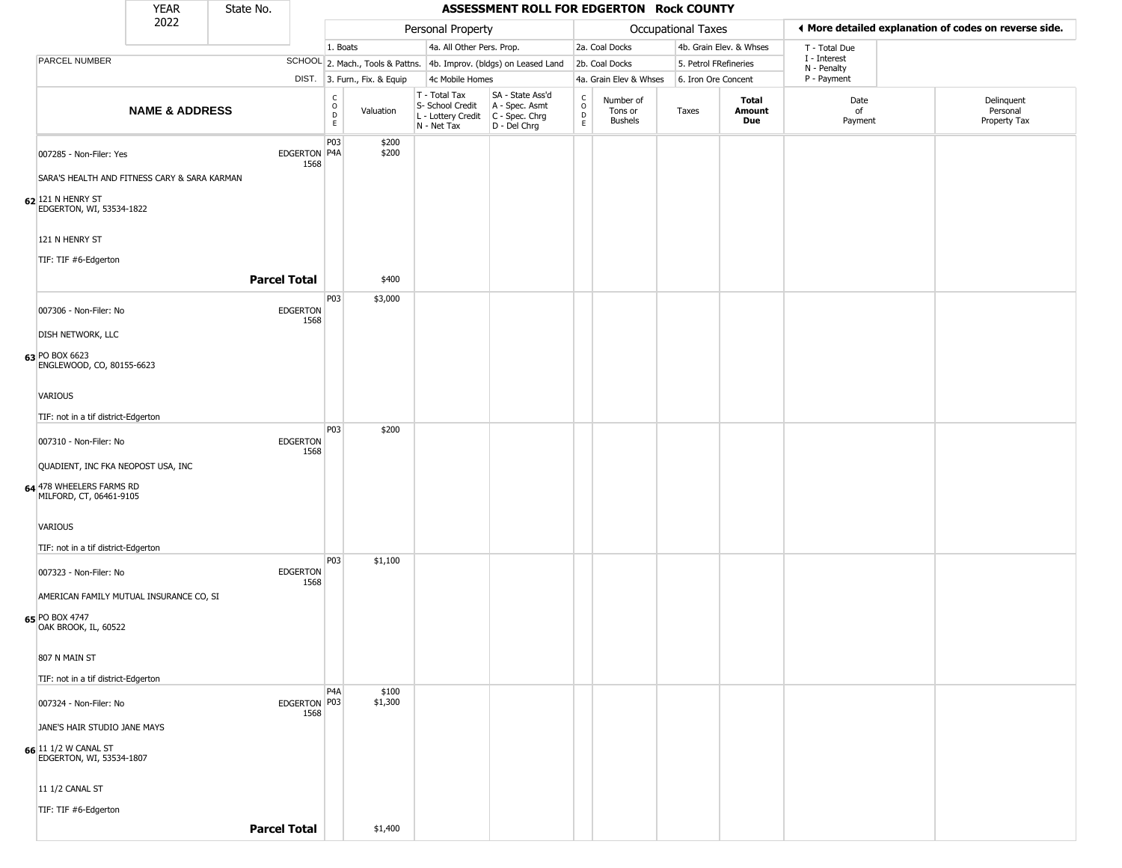|                                                            | <b>YEAR</b>                                  | State No.               |                                                 |                              |                                                                        | ASSESSMENT ROLL FOR EDGERTON Rock COUNTY                             |                                                 |                                        |                       |                         |                             |                                                       |
|------------------------------------------------------------|----------------------------------------------|-------------------------|-------------------------------------------------|------------------------------|------------------------------------------------------------------------|----------------------------------------------------------------------|-------------------------------------------------|----------------------------------------|-----------------------|-------------------------|-----------------------------|-------------------------------------------------------|
|                                                            | 2022                                         |                         |                                                 |                              | Personal Property                                                      |                                                                      |                                                 |                                        | Occupational Taxes    |                         |                             | I More detailed explanation of codes on reverse side. |
|                                                            |                                              |                         |                                                 | 1. Boats                     | 4a. All Other Pers. Prop.                                              |                                                                      |                                                 | 2a. Coal Docks                         |                       | 4b. Grain Elev. & Whses | T - Total Due               |                                                       |
| PARCEL NUMBER                                              |                                              |                         |                                                 |                              |                                                                        | SCHOOL 2. Mach., Tools & Pattns. 4b. Improv. (bldgs) on Leased Land  |                                                 | 2b. Coal Docks                         | 5. Petrol FRefineries |                         | I - Interest<br>N - Penalty |                                                       |
|                                                            |                                              |                         |                                                 | DIST. 3. Furn., Fix. & Equip | 4c Mobile Homes                                                        |                                                                      |                                                 | 4a. Grain Elev & Whses                 | 6. Iron Ore Concent   |                         | P - Payment                 |                                                       |
|                                                            | <b>NAME &amp; ADDRESS</b>                    |                         | $\begin{array}{c} C \\ O \\ D \\ E \end{array}$ | Valuation                    | T - Total Tax<br>S- School Credit<br>L - Lottery Credit<br>N - Net Tax | SA - State Ass'd<br>A - Spec. Asmt<br>C - Spec. Chrg<br>D - Del Chrg | $\begin{array}{c} C \\ O \\ D \\ E \end{array}$ | Number of<br>Tons or<br><b>Bushels</b> | Taxes                 | Total<br>Amount<br>Due  | Date<br>of<br>Payment       | Delinquent<br>Personal<br>Property Tax                |
| 007285 - Non-Filer: Yes                                    |                                              | EDGERTON P4A<br>1568    | P03                                             | \$200<br>\$200               |                                                                        |                                                                      |                                                 |                                        |                       |                         |                             |                                                       |
|                                                            | SARA'S HEALTH AND FITNESS CARY & SARA KARMAN |                         |                                                 |                              |                                                                        |                                                                      |                                                 |                                        |                       |                         |                             |                                                       |
| $62$ <sup>121</sup> N HENRY ST<br>EDGERTON, WI, 53534-1822 |                                              |                         |                                                 |                              |                                                                        |                                                                      |                                                 |                                        |                       |                         |                             |                                                       |
| 121 N HENRY ST                                             |                                              |                         |                                                 |                              |                                                                        |                                                                      |                                                 |                                        |                       |                         |                             |                                                       |
| TIF: TIF #6-Edgerton                                       |                                              |                         |                                                 |                              |                                                                        |                                                                      |                                                 |                                        |                       |                         |                             |                                                       |
|                                                            |                                              | <b>Parcel Total</b>     |                                                 | \$400                        |                                                                        |                                                                      |                                                 |                                        |                       |                         |                             |                                                       |
| 007306 - Non-Filer: No                                     |                                              | <b>EDGERTON</b><br>1568 | P03                                             | \$3,000                      |                                                                        |                                                                      |                                                 |                                        |                       |                         |                             |                                                       |
| <b>DISH NETWORK, LLC</b>                                   |                                              |                         |                                                 |                              |                                                                        |                                                                      |                                                 |                                        |                       |                         |                             |                                                       |
| 63 PO BOX 6623<br>ENGLEWOOD, CO, 80155-6623                |                                              |                         |                                                 |                              |                                                                        |                                                                      |                                                 |                                        |                       |                         |                             |                                                       |
| VARIOUS                                                    |                                              |                         |                                                 |                              |                                                                        |                                                                      |                                                 |                                        |                       |                         |                             |                                                       |
| TIF: not in a tif district-Edgerton                        |                                              |                         |                                                 |                              |                                                                        |                                                                      |                                                 |                                        |                       |                         |                             |                                                       |
| 007310 - Non-Filer: No                                     |                                              | <b>EDGERTON</b><br>1568 | P03                                             | \$200                        |                                                                        |                                                                      |                                                 |                                        |                       |                         |                             |                                                       |
| QUADIENT, INC FKA NEOPOST USA, INC                         |                                              |                         |                                                 |                              |                                                                        |                                                                      |                                                 |                                        |                       |                         |                             |                                                       |
| 64 478 WHEELERS FARMS RD<br>MILFORD, CT, 06461-9105        |                                              |                         |                                                 |                              |                                                                        |                                                                      |                                                 |                                        |                       |                         |                             |                                                       |
| <b>VARIOUS</b>                                             |                                              |                         |                                                 |                              |                                                                        |                                                                      |                                                 |                                        |                       |                         |                             |                                                       |
| TIF: not in a tif district-Edgerton                        |                                              |                         |                                                 |                              |                                                                        |                                                                      |                                                 |                                        |                       |                         |                             |                                                       |
| 007323 - Non-Filer: No                                     |                                              | <b>EDGERTON</b><br>1568 | P03                                             | \$1,100                      |                                                                        |                                                                      |                                                 |                                        |                       |                         |                             |                                                       |
|                                                            | AMERICAN FAMILY MUTUAL INSURANCE CO, SI      |                         |                                                 |                              |                                                                        |                                                                      |                                                 |                                        |                       |                         |                             |                                                       |
| 65 PO BOX 4747<br>OAK BROOK, IL, 60522                     |                                              |                         |                                                 |                              |                                                                        |                                                                      |                                                 |                                        |                       |                         |                             |                                                       |
| 807 N MAIN ST                                              |                                              |                         |                                                 |                              |                                                                        |                                                                      |                                                 |                                        |                       |                         |                             |                                                       |
| TIF: not in a tif district-Edgerton                        |                                              |                         |                                                 |                              |                                                                        |                                                                      |                                                 |                                        |                       |                         |                             |                                                       |
| 007324 - Non-Filer: No                                     |                                              | EDGERTON P03            | P <sub>4</sub> A                                | \$100<br>\$1,300             |                                                                        |                                                                      |                                                 |                                        |                       |                         |                             |                                                       |
| JANE'S HAIR STUDIO JANE MAYS                               |                                              | 1568                    |                                                 |                              |                                                                        |                                                                      |                                                 |                                        |                       |                         |                             |                                                       |
| 66 11 1/2 W CANAL ST                                       |                                              |                         |                                                 |                              |                                                                        |                                                                      |                                                 |                                        |                       |                         |                             |                                                       |
| EDGERTON, WI, 53534-1807                                   |                                              |                         |                                                 |                              |                                                                        |                                                                      |                                                 |                                        |                       |                         |                             |                                                       |
| 11 1/2 CANAL ST                                            |                                              |                         |                                                 |                              |                                                                        |                                                                      |                                                 |                                        |                       |                         |                             |                                                       |
| TIF: TIF #6-Edgerton                                       |                                              |                         |                                                 |                              |                                                                        |                                                                      |                                                 |                                        |                       |                         |                             |                                                       |
|                                                            |                                              | <b>Parcel Total</b>     |                                                 | \$1,400                      |                                                                        |                                                                      |                                                 |                                        |                       |                         |                             |                                                       |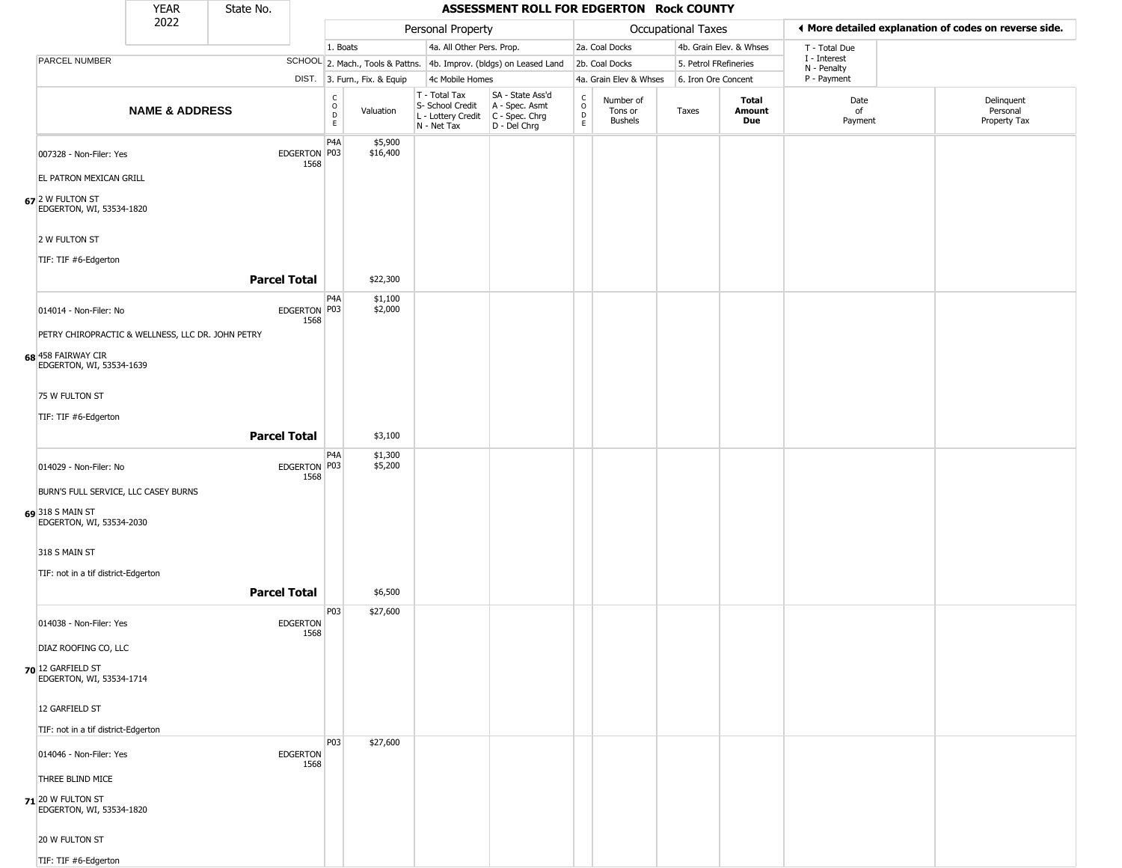|                                                    | <b>YEAR</b>                                       | State No.           |                         |                                                  |                              |                                                                        | ASSESSMENT ROLL FOR EDGERTON Rock COUNTY                             |                                                          |                                        |                    |                         |                             |                                                       |
|----------------------------------------------------|---------------------------------------------------|---------------------|-------------------------|--------------------------------------------------|------------------------------|------------------------------------------------------------------------|----------------------------------------------------------------------|----------------------------------------------------------|----------------------------------------|--------------------|-------------------------|-----------------------------|-------------------------------------------------------|
|                                                    | 2022                                              |                     |                         |                                                  |                              | Personal Property                                                      |                                                                      |                                                          |                                        | Occupational Taxes |                         |                             | ◀ More detailed explanation of codes on reverse side. |
|                                                    |                                                   |                     |                         | 1. Boats                                         |                              | 4a. All Other Pers. Prop.                                              |                                                                      |                                                          | 2a. Coal Docks                         |                    | 4b. Grain Elev. & Whses | T - Total Due               |                                                       |
| PARCEL NUMBER                                      |                                                   |                     |                         |                                                  |                              |                                                                        | SCHOOL 2. Mach., Tools & Pattns. 4b. Improv. (bldgs) on Leased Land  |                                                          | 2b. Coal Docks                         |                    | 5. Petrol FRefineries   | I - Interest<br>N - Penalty |                                                       |
|                                                    |                                                   |                     |                         |                                                  | DIST. 3. Furn., Fix. & Equip | 4c Mobile Homes                                                        |                                                                      |                                                          | 4a. Grain Elev & Whses                 |                    | 6. Iron Ore Concent     | P - Payment                 |                                                       |
|                                                    | <b>NAME &amp; ADDRESS</b>                         |                     |                         | $_{\rm o}^{\rm c}$<br>$\mathsf D$<br>$\mathsf E$ | Valuation                    | T - Total Tax<br>S- School Credit<br>L - Lottery Credit<br>N - Net Tax | SA - State Ass'd<br>A - Spec. Asmt<br>C - Spec. Chrg<br>D - Del Chrg | $\begin{smallmatrix} C \\ 0 \\ D \end{smallmatrix}$<br>E | Number of<br>Tons or<br><b>Bushels</b> | Taxes              | Total<br>Amount<br>Due  | Date<br>of<br>Payment       | Delinquent<br>Personal<br>Property Tax                |
| 007328 - Non-Filer: Yes<br>EL PATRON MEXICAN GRILL |                                                   |                     | EDGERTON P03<br>1568    | P4A                                              | \$5,900<br>\$16,400          |                                                                        |                                                                      |                                                          |                                        |                    |                         |                             |                                                       |
| 67 2 W FULTON ST<br>EDGERTON, WI, 53534-1820       |                                                   |                     |                         |                                                  |                              |                                                                        |                                                                      |                                                          |                                        |                    |                         |                             |                                                       |
| 2 W FULTON ST                                      |                                                   |                     |                         |                                                  |                              |                                                                        |                                                                      |                                                          |                                        |                    |                         |                             |                                                       |
| TIF: TIF #6-Edgerton                               |                                                   | <b>Parcel Total</b> |                         |                                                  | \$22,300                     |                                                                        |                                                                      |                                                          |                                        |                    |                         |                             |                                                       |
| 014014 - Non-Filer: No                             |                                                   |                     | EDGERTON P03<br>1568    | P <sub>4</sub> A                                 | \$1,100<br>\$2,000           |                                                                        |                                                                      |                                                          |                                        |                    |                         |                             |                                                       |
|                                                    | PETRY CHIROPRACTIC & WELLNESS, LLC DR. JOHN PETRY |                     |                         |                                                  |                              |                                                                        |                                                                      |                                                          |                                        |                    |                         |                             |                                                       |
| 68 458 FAIRWAY CIR<br>EDGERTON, WI, 53534-1639     |                                                   |                     |                         |                                                  |                              |                                                                        |                                                                      |                                                          |                                        |                    |                         |                             |                                                       |
| 75 W FULTON ST                                     |                                                   |                     |                         |                                                  |                              |                                                                        |                                                                      |                                                          |                                        |                    |                         |                             |                                                       |
| TIF: TIF #6-Edgerton                               |                                                   | <b>Parcel Total</b> |                         |                                                  | \$3,100                      |                                                                        |                                                                      |                                                          |                                        |                    |                         |                             |                                                       |
|                                                    |                                                   |                     |                         | P4A                                              | \$1,300                      |                                                                        |                                                                      |                                                          |                                        |                    |                         |                             |                                                       |
| 014029 - Non-Filer: No                             |                                                   |                     | EDGERTON P03<br>1568    |                                                  | \$5,200                      |                                                                        |                                                                      |                                                          |                                        |                    |                         |                             |                                                       |
| 69 318 S MAIN ST<br>EDGERTON, WI, 53534-2030       | BURN'S FULL SERVICE, LLC CASEY BURNS              |                     |                         |                                                  |                              |                                                                        |                                                                      |                                                          |                                        |                    |                         |                             |                                                       |
| 318 S MAIN ST                                      |                                                   |                     |                         |                                                  |                              |                                                                        |                                                                      |                                                          |                                        |                    |                         |                             |                                                       |
| TIF: not in a tif district-Edgerton                |                                                   |                     |                         |                                                  |                              |                                                                        |                                                                      |                                                          |                                        |                    |                         |                             |                                                       |
|                                                    |                                                   | <b>Parcel Total</b> |                         |                                                  | \$6,500                      |                                                                        |                                                                      |                                                          |                                        |                    |                         |                             |                                                       |
| 014038 - Non-Filer: Yes                            |                                                   |                     | <b>EDGERTON</b><br>1568 | P03                                              | \$27,600                     |                                                                        |                                                                      |                                                          |                                        |                    |                         |                             |                                                       |
| DIAZ ROOFING CO, LLC                               |                                                   |                     |                         |                                                  |                              |                                                                        |                                                                      |                                                          |                                        |                    |                         |                             |                                                       |
| 70 12 GARFIELD ST<br>EDGERTON, WI, 53534-1714      |                                                   |                     |                         |                                                  |                              |                                                                        |                                                                      |                                                          |                                        |                    |                         |                             |                                                       |
| 12 GARFIELD ST                                     |                                                   |                     |                         |                                                  |                              |                                                                        |                                                                      |                                                          |                                        |                    |                         |                             |                                                       |
| TIF: not in a tif district-Edgerton                |                                                   |                     |                         |                                                  |                              |                                                                        |                                                                      |                                                          |                                        |                    |                         |                             |                                                       |
| 014046 - Non-Filer: Yes                            |                                                   |                     | <b>EDGERTON</b><br>1568 | P03                                              | \$27,600                     |                                                                        |                                                                      |                                                          |                                        |                    |                         |                             |                                                       |
| THREE BLIND MICE                                   |                                                   |                     |                         |                                                  |                              |                                                                        |                                                                      |                                                          |                                        |                    |                         |                             |                                                       |
| 71 20 W FULTON ST<br>EDGERTON, WI, 53534-1820      |                                                   |                     |                         |                                                  |                              |                                                                        |                                                                      |                                                          |                                        |                    |                         |                             |                                                       |
| 20 W FULTON ST                                     |                                                   |                     |                         |                                                  |                              |                                                                        |                                                                      |                                                          |                                        |                    |                         |                             |                                                       |
| TIF: TIF #6-Edgerton                               |                                                   |                     |                         |                                                  |                              |                                                                        |                                                                      |                                                          |                                        |                    |                         |                             |                                                       |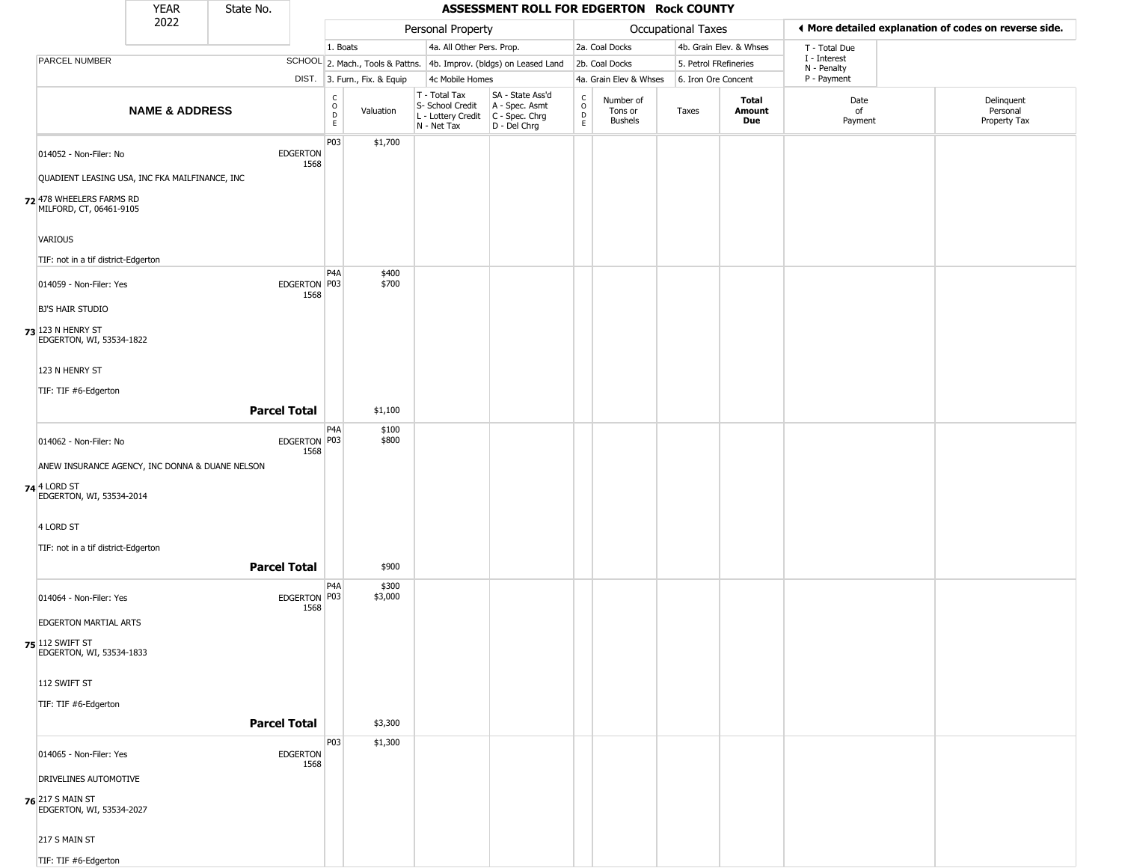|                                                     | YEAR                      | State No.           |                         |                                   |                              |                                                                                                    | ASSESSMENT ROLL FOR EDGERTON Rock COUNTY                            |                                             |                                 |                       |                               |                             |                                                       |
|-----------------------------------------------------|---------------------------|---------------------|-------------------------|-----------------------------------|------------------------------|----------------------------------------------------------------------------------------------------|---------------------------------------------------------------------|---------------------------------------------|---------------------------------|-----------------------|-------------------------------|-----------------------------|-------------------------------------------------------|
|                                                     | 2022                      |                     |                         |                                   |                              | Personal Property                                                                                  |                                                                     |                                             |                                 | Occupational Taxes    |                               |                             | ♦ More detailed explanation of codes on reverse side. |
|                                                     |                           |                     |                         | 1. Boats                          |                              | 4a. All Other Pers. Prop.                                                                          |                                                                     |                                             | 2a. Coal Docks                  |                       | 4b. Grain Elev. & Whses       | T - Total Due               |                                                       |
| PARCEL NUMBER                                       |                           |                     |                         |                                   |                              |                                                                                                    | SCHOOL 2. Mach., Tools & Pattns. 4b. Improv. (bldgs) on Leased Land |                                             | 2b. Coal Docks                  | 5. Petrol FRefineries |                               | I - Interest<br>N - Penalty |                                                       |
|                                                     |                           |                     |                         |                                   | DIST. 3. Furn., Fix. & Equip | 4c Mobile Homes                                                                                    |                                                                     |                                             | 4a. Grain Elev & Whses          | 6. Iron Ore Concent   |                               | P - Payment                 |                                                       |
|                                                     | <b>NAME &amp; ADDRESS</b> |                     |                         | $\frac{C}{O}$<br>$\mathsf D$<br>E | Valuation                    | T - Total Tax<br>S- School Credit<br>L - Lottery Credit C - Spec. Chrg<br>N - Net Tax D - Del Chrg | SA - State Ass'd<br>A - Spec. Asmt                                  | $\mathsf{C}$<br>$\circ$<br>$\mathsf D$<br>E | Number of<br>Tons or<br>Bushels | Taxes                 | <b>Total</b><br>Amount<br>Due | Date<br>of<br>Payment       | Delinquent<br>Personal<br>Property Tax                |
| 014052 - Non-Filer: No                              |                           |                     | <b>EDGERTON</b>         | P03                               | \$1,700                      |                                                                                                    |                                                                     |                                             |                                 |                       |                               |                             |                                                       |
| QUADIENT LEASING USA, INC FKA MAILFINANCE, INC      |                           |                     | 1568                    |                                   |                              |                                                                                                    |                                                                     |                                             |                                 |                       |                               |                             |                                                       |
| 72 478 WHEELERS FARMS RD<br>MILFORD, CT, 06461-9105 |                           |                     |                         |                                   |                              |                                                                                                    |                                                                     |                                             |                                 |                       |                               |                             |                                                       |
| <b>VARIOUS</b>                                      |                           |                     |                         |                                   |                              |                                                                                                    |                                                                     |                                             |                                 |                       |                               |                             |                                                       |
| TIF: not in a tif district-Edgerton                 |                           |                     |                         |                                   |                              |                                                                                                    |                                                                     |                                             |                                 |                       |                               |                             |                                                       |
| 014059 - Non-Filer: Yes                             |                           |                     | EDGERTON P03            | P <sub>4</sub> A                  | \$400<br>\$700               |                                                                                                    |                                                                     |                                             |                                 |                       |                               |                             |                                                       |
| <b>BJ'S HAIR STUDIO</b>                             |                           |                     | 1568                    |                                   |                              |                                                                                                    |                                                                     |                                             |                                 |                       |                               |                             |                                                       |
| 73 123 N HENRY ST<br>EDGERTON, WI, 53534-1822       |                           |                     |                         |                                   |                              |                                                                                                    |                                                                     |                                             |                                 |                       |                               |                             |                                                       |
| 123 N HENRY ST                                      |                           |                     |                         |                                   |                              |                                                                                                    |                                                                     |                                             |                                 |                       |                               |                             |                                                       |
| TIF: TIF #6-Edgerton                                |                           |                     |                         |                                   |                              |                                                                                                    |                                                                     |                                             |                                 |                       |                               |                             |                                                       |
|                                                     |                           | <b>Parcel Total</b> |                         | P <sub>4</sub> A                  | \$1,100                      |                                                                                                    |                                                                     |                                             |                                 |                       |                               |                             |                                                       |
| 014062 - Non-Filer: No                              |                           |                     | EDGERTON P03<br>1568    |                                   | \$100<br>\$800               |                                                                                                    |                                                                     |                                             |                                 |                       |                               |                             |                                                       |
| ANEW INSURANCE AGENCY, INC DONNA & DUANE NELSON     |                           |                     |                         |                                   |                              |                                                                                                    |                                                                     |                                             |                                 |                       |                               |                             |                                                       |
| 74 4 LORD ST<br>EDGERTON, WI, 53534-2014            |                           |                     |                         |                                   |                              |                                                                                                    |                                                                     |                                             |                                 |                       |                               |                             |                                                       |
| 4 LORD ST                                           |                           |                     |                         |                                   |                              |                                                                                                    |                                                                     |                                             |                                 |                       |                               |                             |                                                       |
| TIF: not in a tif district-Edgerton                 |                           |                     |                         |                                   |                              |                                                                                                    |                                                                     |                                             |                                 |                       |                               |                             |                                                       |
|                                                     |                           | <b>Parcel Total</b> |                         |                                   | \$900                        |                                                                                                    |                                                                     |                                             |                                 |                       |                               |                             |                                                       |
| 014064 - Non-Filer: Yes                             |                           |                     | EDGERTON P03<br>1568    | P <sub>4</sub> A                  | \$300<br>\$3,000             |                                                                                                    |                                                                     |                                             |                                 |                       |                               |                             |                                                       |
| EDGERTON MARTIAL ARTS                               |                           |                     |                         |                                   |                              |                                                                                                    |                                                                     |                                             |                                 |                       |                               |                             |                                                       |
| <b>75</b> 112 SWIFT ST<br>EDGERTON, WI, 53534-1833  |                           |                     |                         |                                   |                              |                                                                                                    |                                                                     |                                             |                                 |                       |                               |                             |                                                       |
| 112 SWIFT ST                                        |                           |                     |                         |                                   |                              |                                                                                                    |                                                                     |                                             |                                 |                       |                               |                             |                                                       |
| TIF: TIF #6-Edgerton                                |                           |                     |                         |                                   |                              |                                                                                                    |                                                                     |                                             |                                 |                       |                               |                             |                                                       |
|                                                     |                           | <b>Parcel Total</b> |                         |                                   | \$3,300                      |                                                                                                    |                                                                     |                                             |                                 |                       |                               |                             |                                                       |
| 014065 - Non-Filer: Yes                             |                           |                     | <b>EDGERTON</b><br>1568 | P03                               | \$1,300                      |                                                                                                    |                                                                     |                                             |                                 |                       |                               |                             |                                                       |
| DRIVELINES AUTOMOTIVE                               |                           |                     |                         |                                   |                              |                                                                                                    |                                                                     |                                             |                                 |                       |                               |                             |                                                       |
| <b>76</b> 217 S MAIN ST<br>EDGERTON, WI, 53534-2027 |                           |                     |                         |                                   |                              |                                                                                                    |                                                                     |                                             |                                 |                       |                               |                             |                                                       |
| 217 S MAIN ST                                       |                           |                     |                         |                                   |                              |                                                                                                    |                                                                     |                                             |                                 |                       |                               |                             |                                                       |
| TIF: TIF #6-Edgerton                                |                           |                     |                         |                                   |                              |                                                                                                    |                                                                     |                                             |                                 |                       |                               |                             |                                                       |

\_\_\_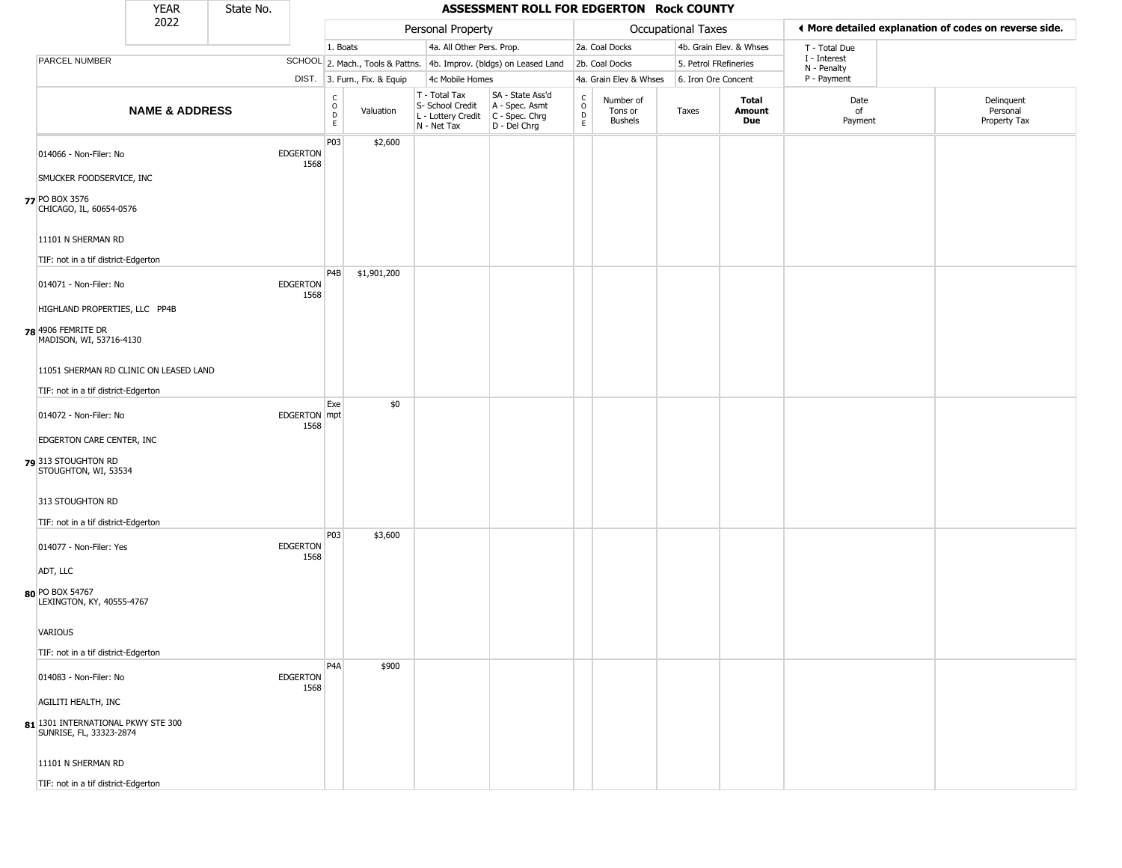|                           |                                                           | <b>YEAR</b>                            | State No. |                         |                                                |                              |                                                                                         | ASSESSMENT ROLL FOR EDGERTON Rock COUNTY                            |                                            |                                        |                       |                         |                            |                                                       |
|---------------------------|-----------------------------------------------------------|----------------------------------------|-----------|-------------------------|------------------------------------------------|------------------------------|-----------------------------------------------------------------------------------------|---------------------------------------------------------------------|--------------------------------------------|----------------------------------------|-----------------------|-------------------------|----------------------------|-------------------------------------------------------|
|                           |                                                           | 2022                                   |           |                         |                                                |                              | Personal Property                                                                       |                                                                     |                                            |                                        | Occupational Taxes    |                         |                            | I More detailed explanation of codes on reverse side. |
|                           |                                                           |                                        |           |                         | 1. Boats                                       |                              | 4a. All Other Pers. Prop.                                                               |                                                                     |                                            | 2a. Coal Docks                         |                       | 4b. Grain Elev. & Whses | T - Total Due              |                                                       |
|                           | PARCEL NUMBER                                             |                                        |           |                         |                                                |                              |                                                                                         | SCHOOL 2. Mach., Tools & Pattns. 4b. Improv. (bldgs) on Leased Land |                                            | 2b. Coal Docks                         | 5. Petrol FRefineries |                         | I - Interest               |                                                       |
|                           |                                                           |                                        |           |                         |                                                | DIST. 3. Furn., Fix. & Equip | 4c Mobile Homes                                                                         |                                                                     |                                            | 4a. Grain Elev & Whses                 | 6. Iron Ore Concent   |                         | N - Penalty<br>P - Payment |                                                       |
|                           |                                                           | <b>NAME &amp; ADDRESS</b>              |           |                         | $\begin{matrix} 0 \\ 0 \\ D \end{matrix}$<br>E | Valuation                    | T - Total Tax<br>S- School Credit<br>L - Lottery Credit   C - Spec. Chrg<br>N - Net Tax | SA - State Ass'd<br>A - Spec. Asmt<br>D - Del Chrg                  | $\begin{array}{c} C \\ 0 \\ E \end{array}$ | Number of<br>Tons or<br><b>Bushels</b> | Taxes                 | Total<br>Amount<br>Due  | Date<br>of<br>Payment      | Delinquent<br>Personal<br>Property Tax                |
|                           | 014066 - Non-Filer: No                                    |                                        |           | <b>EDGERTON</b><br>1568 | P03                                            | \$2,600                      |                                                                                         |                                                                     |                                            |                                        |                       |                         |                            |                                                       |
|                           | SMUCKER FOODSERVICE, INC                                  |                                        |           |                         |                                                |                              |                                                                                         |                                                                     |                                            |                                        |                       |                         |                            |                                                       |
| 77 PO BOX 3576            | CHICAGO, IL, 60654-0576                                   |                                        |           |                         |                                                |                              |                                                                                         |                                                                     |                                            |                                        |                       |                         |                            |                                                       |
|                           | 11101 N SHERMAN RD<br>TIF: not in a tif district-Edgerton |                                        |           |                         |                                                |                              |                                                                                         |                                                                     |                                            |                                        |                       |                         |                            |                                                       |
|                           | 014071 - Non-Filer: No                                    |                                        |           | <b>EDGERTON</b><br>1568 | P4B                                            | \$1,901,200                  |                                                                                         |                                                                     |                                            |                                        |                       |                         |                            |                                                       |
|                           | HIGHLAND PROPERTIES, LLC PP4B                             |                                        |           |                         |                                                |                              |                                                                                         |                                                                     |                                            |                                        |                       |                         |                            |                                                       |
| <b>78</b> 4906 FEMRITE DR | MADISON, WI, 53716-4130                                   |                                        |           |                         |                                                |                              |                                                                                         |                                                                     |                                            |                                        |                       |                         |                            |                                                       |
|                           |                                                           | 11051 SHERMAN RD CLINIC ON LEASED LAND |           |                         |                                                |                              |                                                                                         |                                                                     |                                            |                                        |                       |                         |                            |                                                       |
|                           | TIF: not in a tif district-Edgerton                       |                                        |           |                         |                                                |                              |                                                                                         |                                                                     |                                            |                                        |                       |                         |                            |                                                       |
|                           | 014072 - Non-Filer: No                                    |                                        |           | EDGERTON mpt<br>1568    | Exe                                            | \$0                          |                                                                                         |                                                                     |                                            |                                        |                       |                         |                            |                                                       |
|                           | EDGERTON CARE CENTER, INC                                 |                                        |           |                         |                                                |                              |                                                                                         |                                                                     |                                            |                                        |                       |                         |                            |                                                       |
|                           | 79 313 STOUGHTON RD<br>STOUGHTON, WI, 53534               |                                        |           |                         |                                                |                              |                                                                                         |                                                                     |                                            |                                        |                       |                         |                            |                                                       |
|                           | 313 STOUGHTON RD                                          |                                        |           |                         |                                                |                              |                                                                                         |                                                                     |                                            |                                        |                       |                         |                            |                                                       |
|                           | TIF: not in a tif district-Edgerton                       |                                        |           |                         | P03                                            |                              |                                                                                         |                                                                     |                                            |                                        |                       |                         |                            |                                                       |
|                           | 014077 - Non-Filer: Yes                                   |                                        |           | <b>EDGERTON</b><br>1568 |                                                | \$3,600                      |                                                                                         |                                                                     |                                            |                                        |                       |                         |                            |                                                       |
| ADT, LLC                  |                                                           |                                        |           |                         |                                                |                              |                                                                                         |                                                                     |                                            |                                        |                       |                         |                            |                                                       |
| 80 PO BOX 54767           | LEXINGTON, KY, 40555-4767                                 |                                        |           |                         |                                                |                              |                                                                                         |                                                                     |                                            |                                        |                       |                         |                            |                                                       |
| VARIOUS                   |                                                           |                                        |           |                         |                                                |                              |                                                                                         |                                                                     |                                            |                                        |                       |                         |                            |                                                       |
|                           | TIF: not in a tif district-Edgerton                       |                                        |           |                         |                                                |                              |                                                                                         |                                                                     |                                            |                                        |                       |                         |                            |                                                       |
|                           | 014083 - Non-Filer: No                                    |                                        |           | <b>EDGERTON</b><br>1568 | P <sub>4</sub> A                               | \$900                        |                                                                                         |                                                                     |                                            |                                        |                       |                         |                            |                                                       |
|                           | AGILITI HEALTH, INC                                       |                                        |           |                         |                                                |                              |                                                                                         |                                                                     |                                            |                                        |                       |                         |                            |                                                       |
|                           | SUNRISE, FL, 33323-2874                                   | 81 1301 INTERNATIONAL PKWY STE 300     |           |                         |                                                |                              |                                                                                         |                                                                     |                                            |                                        |                       |                         |                            |                                                       |
|                           | 11101 N SHERMAN RD                                        |                                        |           |                         |                                                |                              |                                                                                         |                                                                     |                                            |                                        |                       |                         |                            |                                                       |
|                           | TIF: not in a tif district-Edgerton                       |                                        |           |                         |                                                |                              |                                                                                         |                                                                     |                                            |                                        |                       |                         |                            |                                                       |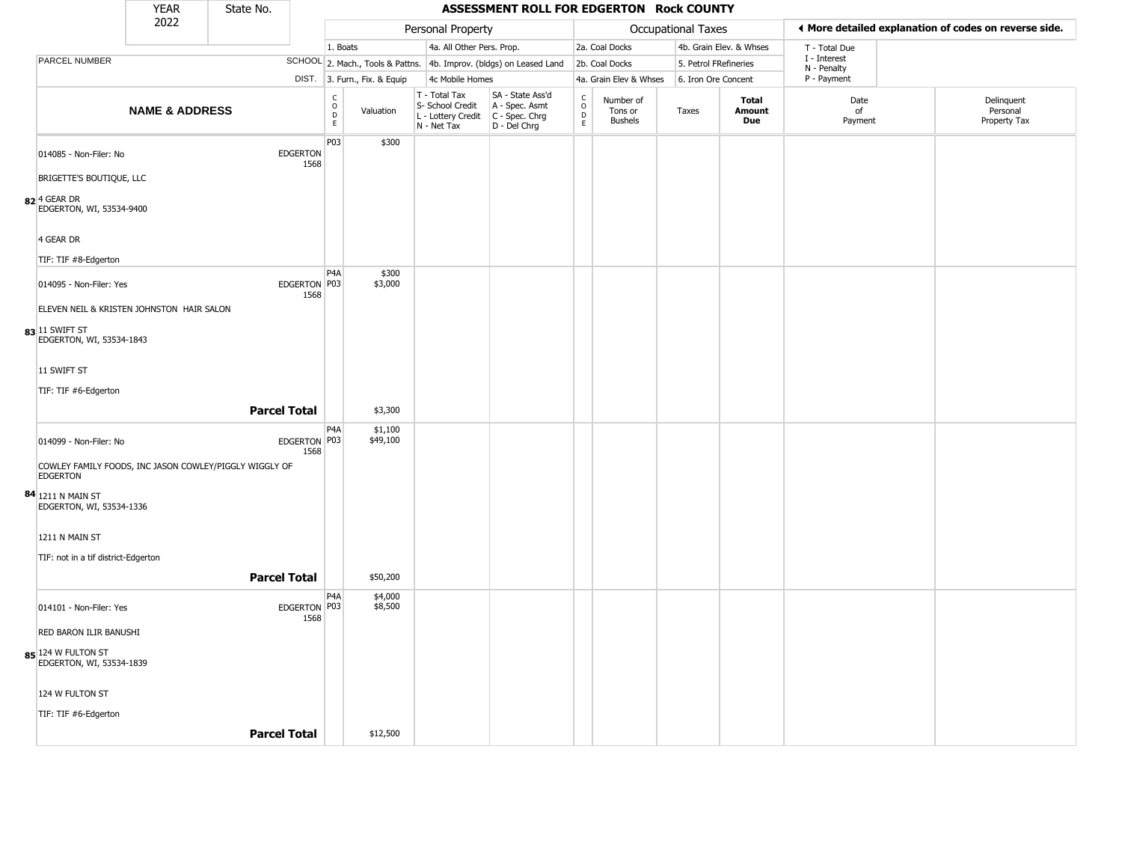|                                                                    | <b>YEAR</b>               | State No. |                         |                        |                              |                                                                        | ASSESSMENT ROLL FOR EDGERTON Rock COUNTY                             |                                              |                                        |                       |                               |                            |                                                       |
|--------------------------------------------------------------------|---------------------------|-----------|-------------------------|------------------------|------------------------------|------------------------------------------------------------------------|----------------------------------------------------------------------|----------------------------------------------|----------------------------------------|-----------------------|-------------------------------|----------------------------|-------------------------------------------------------|
|                                                                    | 2022                      |           |                         |                        |                              | Personal Property                                                      |                                                                      |                                              |                                        | Occupational Taxes    |                               |                            | ◀ More detailed explanation of codes on reverse side. |
|                                                                    |                           |           |                         | 1. Boats               |                              | 4a. All Other Pers. Prop.                                              |                                                                      |                                              | 2a. Coal Docks                         |                       | 4b. Grain Elev. & Whses       | T - Total Due              |                                                       |
| <b>PARCEL NUMBER</b>                                               |                           |           |                         |                        |                              |                                                                        | SCHOOL 2. Mach., Tools & Pattns. 4b. Improv. (bldgs) on Leased Land  |                                              | 2b. Coal Docks                         | 5. Petrol FRefineries |                               | I - Interest               |                                                       |
|                                                                    |                           |           |                         |                        | DIST. 3. Furn., Fix. & Equip | 4c Mobile Homes                                                        |                                                                      |                                              | 4a. Grain Elev & Whses                 | 6. Iron Ore Concent   |                               | N - Penalty<br>P - Payment |                                                       |
|                                                                    | <b>NAME &amp; ADDRESS</b> |           |                         | C<br>$\circ$<br>D<br>E | Valuation                    | T - Total Tax<br>S- School Credit<br>L - Lottery Credit<br>N - Net Tax | SA - State Ass'd<br>A - Spec. Asmt<br>C - Spec. Chrg<br>D - Del Chrg | $\begin{array}{c}\nC \\ D \\ E\n\end{array}$ | Number of<br>Tons or<br><b>Bushels</b> | Taxes                 | <b>Total</b><br>Amount<br>Due | Date<br>of<br>Payment      | Delinquent<br>Personal<br>Property Tax                |
| 014085 - Non-Filer: No<br>BRIGETTE'S BOUTIQUE, LLC                 |                           |           | <b>EDGERTON</b><br>1568 | P03                    | \$300                        |                                                                        |                                                                      |                                              |                                        |                       |                               |                            |                                                       |
| $82$ <sup>4</sup> GEAR DR<br>EDGERTON, WI, 53534-9400<br>4 GEAR DR |                           |           |                         |                        |                              |                                                                        |                                                                      |                                              |                                        |                       |                               |                            |                                                       |
| TIF: TIF #8-Edgerton                                               |                           |           |                         |                        |                              |                                                                        |                                                                      |                                              |                                        |                       |                               |                            |                                                       |
| 014095 - Non-Filer: Yes                                            |                           |           | EDGERTON P03<br>1568    | P <sub>4</sub> A       | \$300<br>\$3,000             |                                                                        |                                                                      |                                              |                                        |                       |                               |                            |                                                       |
| ELEVEN NEIL & KRISTEN JOHNSTON HAIR SALON                          |                           |           |                         |                        |                              |                                                                        |                                                                      |                                              |                                        |                       |                               |                            |                                                       |
| 83 11 SWIFT ST<br>EDGERTON, WI, 53534-1843                         |                           |           |                         |                        |                              |                                                                        |                                                                      |                                              |                                        |                       |                               |                            |                                                       |
| 11 SWIFT ST                                                        |                           |           |                         |                        |                              |                                                                        |                                                                      |                                              |                                        |                       |                               |                            |                                                       |
| TIF: TIF #6-Edgerton                                               |                           |           |                         |                        |                              |                                                                        |                                                                      |                                              |                                        |                       |                               |                            |                                                       |
|                                                                    |                           |           |                         |                        |                              |                                                                        |                                                                      |                                              |                                        |                       |                               |                            |                                                       |
|                                                                    |                           |           | <b>Parcel Total</b>     |                        | \$3,300                      |                                                                        |                                                                      |                                              |                                        |                       |                               |                            |                                                       |
| 014099 - Non-Filer: No                                             |                           |           | EDGERTON P03<br>1568    | P4A                    | \$1,100<br>\$49,100          |                                                                        |                                                                      |                                              |                                        |                       |                               |                            |                                                       |
| COWLEY FAMILY FOODS, INC JASON COWLEY/PIGGLY WIGGLY OF<br>EDGERTON |                           |           |                         |                        |                              |                                                                        |                                                                      |                                              |                                        |                       |                               |                            |                                                       |
| 84 1211 N MAIN ST<br>EDGERTON, WI, 53534-1336                      |                           |           |                         |                        |                              |                                                                        |                                                                      |                                              |                                        |                       |                               |                            |                                                       |
| 1211 N MAIN ST                                                     |                           |           |                         |                        |                              |                                                                        |                                                                      |                                              |                                        |                       |                               |                            |                                                       |
| TIF: not in a tif district-Edgerton                                |                           |           |                         |                        |                              |                                                                        |                                                                      |                                              |                                        |                       |                               |                            |                                                       |
|                                                                    |                           |           | <b>Parcel Total</b>     |                        | \$50,200                     |                                                                        |                                                                      |                                              |                                        |                       |                               |                            |                                                       |
|                                                                    |                           |           |                         |                        |                              |                                                                        |                                                                      |                                              |                                        |                       |                               |                            |                                                       |
| 014101 - Non-Filer: Yes                                            |                           |           | EDGERTON   P03<br>1568  | P4A                    | \$4,000<br>\$8,500           |                                                                        |                                                                      |                                              |                                        |                       |                               |                            |                                                       |
| RED BARON ILIR BANUSHI                                             |                           |           |                         |                        |                              |                                                                        |                                                                      |                                              |                                        |                       |                               |                            |                                                       |
| 85 124 W FULTON ST<br>EDGERTON, WI, 53534-1839                     |                           |           |                         |                        |                              |                                                                        |                                                                      |                                              |                                        |                       |                               |                            |                                                       |
| 124 W FULTON ST                                                    |                           |           |                         |                        |                              |                                                                        |                                                                      |                                              |                                        |                       |                               |                            |                                                       |
| TIF: TIF #6-Edgerton                                               |                           |           |                         |                        |                              |                                                                        |                                                                      |                                              |                                        |                       |                               |                            |                                                       |
|                                                                    |                           |           | <b>Parcel Total</b>     |                        | \$12,500                     |                                                                        |                                                                      |                                              |                                        |                       |                               |                            |                                                       |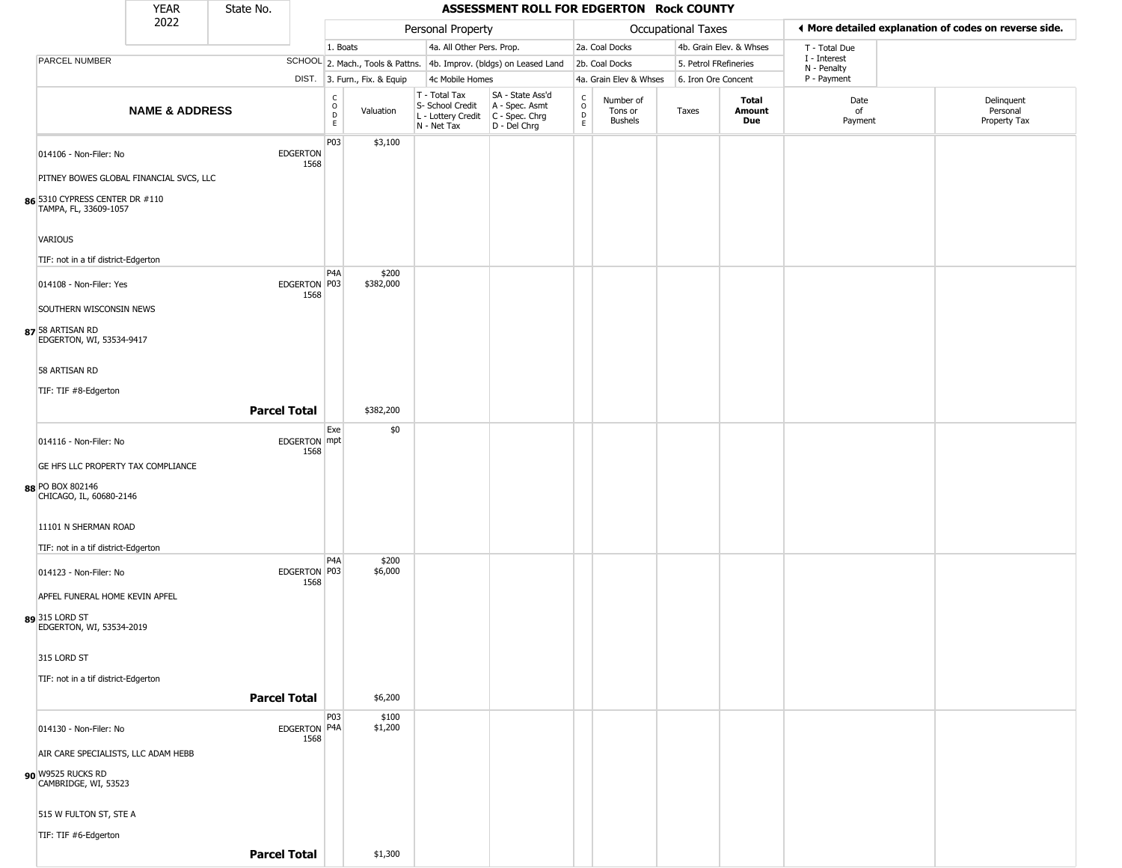|                                                                   | <b>YEAR</b>               | State No.           |                         |                                        |                              |                                                                                       | ASSESSMENT ROLL FOR EDGERTON Rock COUNTY                            |                             |                                        |                           |                         |                             |                                                       |
|-------------------------------------------------------------------|---------------------------|---------------------|-------------------------|----------------------------------------|------------------------------|---------------------------------------------------------------------------------------|---------------------------------------------------------------------|-----------------------------|----------------------------------------|---------------------------|-------------------------|-----------------------------|-------------------------------------------------------|
|                                                                   | 2022                      |                     |                         |                                        |                              | Personal Property                                                                     |                                                                     |                             |                                        | <b>Occupational Taxes</b> |                         |                             | ♦ More detailed explanation of codes on reverse side. |
|                                                                   |                           |                     |                         | 1. Boats                               |                              | 4a. All Other Pers. Prop.                                                             |                                                                     |                             | 2a. Coal Docks                         |                           | 4b. Grain Elev. & Whses | T - Total Due               |                                                       |
| <b>PARCEL NUMBER</b>                                              |                           |                     |                         |                                        |                              |                                                                                       | SCHOOL 2. Mach., Tools & Pattns. 4b. Improv. (bldgs) on Leased Land |                             | 2b. Coal Docks                         | 5. Petrol FRefineries     |                         | I - Interest<br>N - Penalty |                                                       |
|                                                                   |                           |                     |                         |                                        | DIST. 3. Furn., Fix. & Equip | 4c Mobile Homes                                                                       |                                                                     |                             | 4a. Grain Elev & Whses                 | 6. Iron Ore Concent       |                         | P - Payment                 |                                                       |
|                                                                   | <b>NAME &amp; ADDRESS</b> |                     |                         | $_{\rm o}^{\rm c}$<br>D<br>$\mathsf E$ | Valuation                    | T - Total Tax<br>S- School Credit<br>L - Lottery Credit C - Spec. Chrg<br>N - Net Tax | SA - State Ass'd<br>A - Spec. Asmt<br>D - Del Chrg                  | C<br>$\mathsf{O}$<br>D<br>E | Number of<br>Tons or<br><b>Bushels</b> | Taxes                     | Total<br>Amount<br>Due  | Date<br>of<br>Payment       | Delinquent<br>Personal<br>Property Tax                |
| 014106 - Non-Filer: No<br>PITNEY BOWES GLOBAL FINANCIAL SVCS, LLC |                           |                     | <b>EDGERTON</b><br>1568 | P03                                    | \$3,100                      |                                                                                       |                                                                     |                             |                                        |                           |                         |                             |                                                       |
| 86 5310 CYPRESS CENTER DR #110<br>TAMPA, FL, 33609-1057           |                           |                     |                         |                                        |                              |                                                                                       |                                                                     |                             |                                        |                           |                         |                             |                                                       |
| VARIOUS<br>TIF: not in a tif district-Edgerton                    |                           |                     |                         |                                        |                              |                                                                                       |                                                                     |                             |                                        |                           |                         |                             |                                                       |
| 014108 - Non-Filer: Yes<br>SOUTHERN WISCONSIN NEWS                |                           |                     | EDGERTON P03<br>1568    | P <sub>4</sub> A                       | \$200<br>\$382,000           |                                                                                       |                                                                     |                             |                                        |                           |                         |                             |                                                       |
| 87 58 ARTISAN RD<br>EDGERTON, WI, 53534-9417                      |                           |                     |                         |                                        |                              |                                                                                       |                                                                     |                             |                                        |                           |                         |                             |                                                       |
| 58 ARTISAN RD<br>TIF: TIF #8-Edgerton                             |                           |                     |                         |                                        |                              |                                                                                       |                                                                     |                             |                                        |                           |                         |                             |                                                       |
|                                                                   |                           | <b>Parcel Total</b> |                         |                                        | \$382,200                    |                                                                                       |                                                                     |                             |                                        |                           |                         |                             |                                                       |
| 014116 - Non-Filer: No<br>GE HFS LLC PROPERTY TAX COMPLIANCE      |                           |                     | EDGERTON mpt<br>1568    | Exe                                    | \$0                          |                                                                                       |                                                                     |                             |                                        |                           |                         |                             |                                                       |
| 88 PO BOX 802146<br>CHICAGO, IL, 60680-2146                       |                           |                     |                         |                                        |                              |                                                                                       |                                                                     |                             |                                        |                           |                         |                             |                                                       |
| 11101 N SHERMAN ROAD<br>TIF: not in a tif district-Edgerton       |                           |                     |                         |                                        |                              |                                                                                       |                                                                     |                             |                                        |                           |                         |                             |                                                       |
| 014123 - Non-Filer: No<br>APFEL FUNERAL HOME KEVIN APFEL          |                           |                     | EDGERTON   P03<br>1568  | P4A                                    | \$200<br>\$6,000             |                                                                                       |                                                                     |                             |                                        |                           |                         |                             |                                                       |
| 89 315 LORD ST<br>EDGERTON, WI, 53534-2019                        |                           |                     |                         |                                        |                              |                                                                                       |                                                                     |                             |                                        |                           |                         |                             |                                                       |
| 315 LORD ST<br>TIF: not in a tif district-Edgerton                |                           |                     |                         |                                        |                              |                                                                                       |                                                                     |                             |                                        |                           |                         |                             |                                                       |
|                                                                   |                           | <b>Parcel Total</b> |                         |                                        | \$6,200                      |                                                                                       |                                                                     |                             |                                        |                           |                         |                             |                                                       |
| 014130 - Non-Filer: No                                            |                           |                     | EDGERTON P4A<br>1568    | P03                                    | \$100<br>\$1,200             |                                                                                       |                                                                     |                             |                                        |                           |                         |                             |                                                       |
| AIR CARE SPECIALISTS, LLC ADAM HEBB                               |                           |                     |                         |                                        |                              |                                                                                       |                                                                     |                             |                                        |                           |                         |                             |                                                       |
| 90 W9525 RUCKS RD<br>CAMBRIDGE, WI, 53523                         |                           |                     |                         |                                        |                              |                                                                                       |                                                                     |                             |                                        |                           |                         |                             |                                                       |
| 515 W FULTON ST, STE A                                            |                           |                     |                         |                                        |                              |                                                                                       |                                                                     |                             |                                        |                           |                         |                             |                                                       |
| TIF: TIF #6-Edgerton                                              |                           |                     |                         |                                        |                              |                                                                                       |                                                                     |                             |                                        |                           |                         |                             |                                                       |
|                                                                   |                           | <b>Parcel Total</b> |                         |                                        | \$1,300                      |                                                                                       |                                                                     |                             |                                        |                           |                         |                             |                                                       |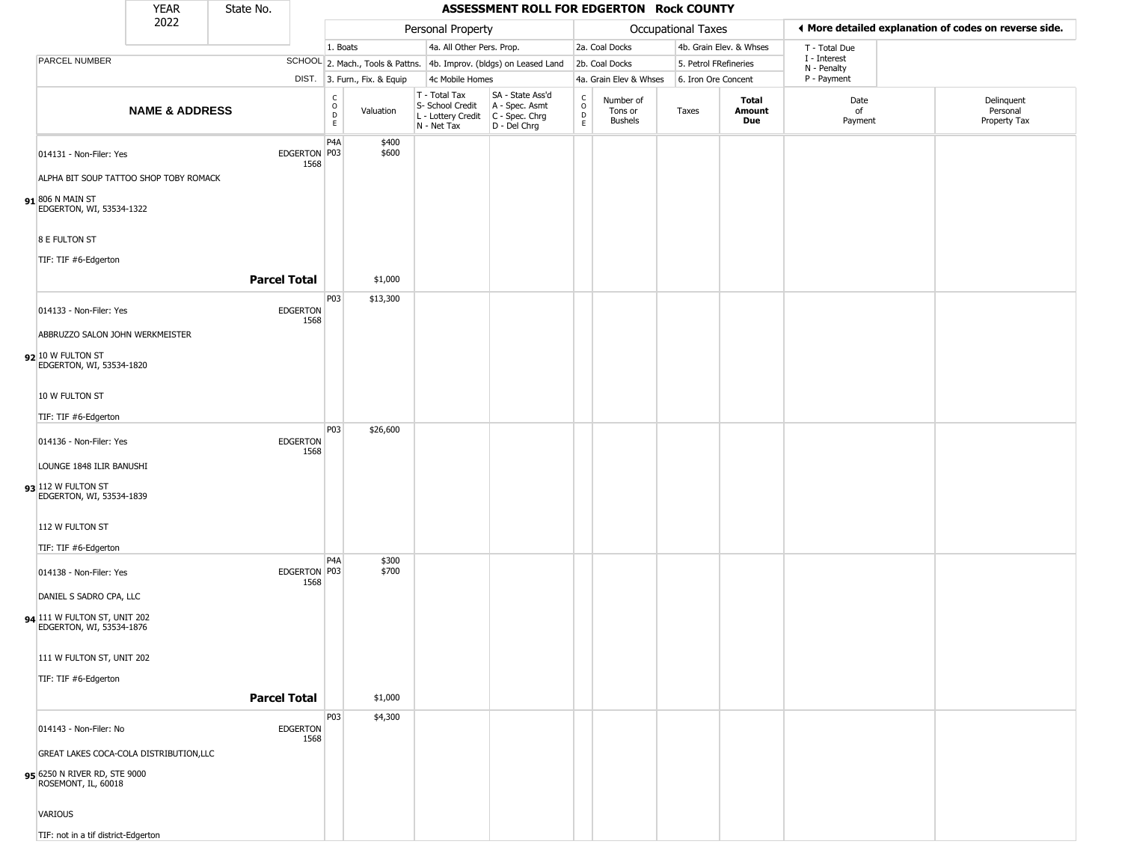|                                                     | <b>YEAR</b>                             | State No. |                         |                  |                              |             |                                   | ASSESSMENT ROLL FOR EDGERTON Rock COUNTY                                                  |                              |                                 |                       |                         |                             |                                                       |
|-----------------------------------------------------|-----------------------------------------|-----------|-------------------------|------------------|------------------------------|-------------|-----------------------------------|-------------------------------------------------------------------------------------------|------------------------------|---------------------------------|-----------------------|-------------------------|-----------------------------|-------------------------------------------------------|
|                                                     | 2022                                    |           |                         |                  |                              |             | Personal Property                 |                                                                                           |                              |                                 | Occupational Taxes    |                         |                             | ♦ More detailed explanation of codes on reverse side. |
|                                                     |                                         |           |                         | 1. Boats         |                              |             | 4a. All Other Pers. Prop.         |                                                                                           |                              | 2a. Coal Docks                  |                       | 4b. Grain Elev. & Whses | T - Total Due               |                                                       |
| PARCEL NUMBER                                       |                                         |           |                         |                  |                              |             |                                   | SCHOOL 2. Mach., Tools & Pattns. 4b. Improv. (bldgs) on Leased Land                       |                              | 2b. Coal Docks                  | 5. Petrol FRefineries |                         | I - Interest<br>N - Penalty |                                                       |
|                                                     |                                         |           |                         |                  | DIST. 3. Furn., Fix. & Equip |             | 4c Mobile Homes                   |                                                                                           |                              | 4a. Grain Elev & Whses          | 6. Iron Ore Concent   |                         | P - Payment                 |                                                       |
|                                                     | <b>NAME &amp; ADDRESS</b>               |           |                         | C<br>D<br>E<br>E | Valuation                    | N - Net Tax | T - Total Tax<br>S- School Credit | SA - State Ass'd<br>A - Spec. Asmt<br>L - Lottery Credit   C - Spec. Chrg<br>D - Del Chrg | $_{\rm o}^{\rm c}$<br>D<br>E | Number of<br>Tons or<br>Bushels | Taxes                 | Total<br>Amount<br>Due  | Date<br>of<br>Payment       | Delinquent<br>Personal<br>Property Tax                |
| 014131 - Non-Filer: Yes                             |                                         |           | EDGERTON P03<br>1568    | P <sub>4</sub> A | \$400<br>\$600               |             |                                   |                                                                                           |                              |                                 |                       |                         |                             |                                                       |
|                                                     | ALPHA BIT SOUP TATTOO SHOP TOBY ROMACK  |           |                         |                  |                              |             |                                   |                                                                                           |                              |                                 |                       |                         |                             |                                                       |
| 91 806 N MAIN ST                                    | EDGERTON, WI, 53534-1322                |           |                         |                  |                              |             |                                   |                                                                                           |                              |                                 |                       |                         |                             |                                                       |
| 8 E FULTON ST                                       |                                         |           |                         |                  |                              |             |                                   |                                                                                           |                              |                                 |                       |                         |                             |                                                       |
| TIF: TIF #6-Edgerton                                |                                         |           |                         |                  |                              |             |                                   |                                                                                           |                              |                                 |                       |                         |                             |                                                       |
|                                                     |                                         |           | <b>Parcel Total</b>     |                  | \$1,000                      |             |                                   |                                                                                           |                              |                                 |                       |                         |                             |                                                       |
| 014133 - Non-Filer: Yes                             |                                         |           | <b>EDGERTON</b><br>1568 | P03              | \$13,300                     |             |                                   |                                                                                           |                              |                                 |                       |                         |                             |                                                       |
|                                                     | ABBRUZZO SALON JOHN WERKMEISTER         |           |                         |                  |                              |             |                                   |                                                                                           |                              |                                 |                       |                         |                             |                                                       |
| $92$ 10 W FULTON ST                                 | EDGERTON, WI, 53534-1820                |           |                         |                  |                              |             |                                   |                                                                                           |                              |                                 |                       |                         |                             |                                                       |
| 10 W FULTON ST                                      |                                         |           |                         |                  |                              |             |                                   |                                                                                           |                              |                                 |                       |                         |                             |                                                       |
| TIF: TIF #6-Edgerton                                |                                         |           |                         |                  |                              |             |                                   |                                                                                           |                              |                                 |                       |                         |                             |                                                       |
| 014136 - Non-Filer: Yes                             |                                         |           | <b>EDGERTON</b><br>1568 | P03              | \$26,600                     |             |                                   |                                                                                           |                              |                                 |                       |                         |                             |                                                       |
|                                                     | LOUNGE 1848 ILIR BANUSHI                |           |                         |                  |                              |             |                                   |                                                                                           |                              |                                 |                       |                         |                             |                                                       |
| 93 112 W FULTON ST                                  | EDGERTON, WI, 53534-1839                |           |                         |                  |                              |             |                                   |                                                                                           |                              |                                 |                       |                         |                             |                                                       |
| 112 W FULTON ST                                     |                                         |           |                         |                  |                              |             |                                   |                                                                                           |                              |                                 |                       |                         |                             |                                                       |
| TIF: TIF #6-Edgerton                                |                                         |           |                         | P <sub>4</sub> A | \$300                        |             |                                   |                                                                                           |                              |                                 |                       |                         |                             |                                                       |
| 014138 - Non-Filer: Yes                             |                                         |           | EDGERTON P03<br>1568    |                  | \$700                        |             |                                   |                                                                                           |                              |                                 |                       |                         |                             |                                                       |
| DANIEL S SADRO CPA, LLC                             |                                         |           |                         |                  |                              |             |                                   |                                                                                           |                              |                                 |                       |                         |                             |                                                       |
| 94 111 W FULTON ST, UNIT 202                        | EDGERTON, WI, 53534-1876                |           |                         |                  |                              |             |                                   |                                                                                           |                              |                                 |                       |                         |                             |                                                       |
|                                                     | 111 W FULTON ST, UNIT 202               |           |                         |                  |                              |             |                                   |                                                                                           |                              |                                 |                       |                         |                             |                                                       |
| TIF: TIF #6-Edgerton                                |                                         |           |                         |                  |                              |             |                                   |                                                                                           |                              |                                 |                       |                         |                             |                                                       |
|                                                     |                                         |           | <b>Parcel Total</b>     |                  | \$1,000                      |             |                                   |                                                                                           |                              |                                 |                       |                         |                             |                                                       |
|                                                     |                                         |           |                         | P03              | \$4,300                      |             |                                   |                                                                                           |                              |                                 |                       |                         |                             |                                                       |
| 014143 - Non-Filer: No                              |                                         |           | EDGERTON<br>1568        |                  |                              |             |                                   |                                                                                           |                              |                                 |                       |                         |                             |                                                       |
|                                                     | GREAT LAKES COCA-COLA DISTRIBUTION, LLC |           |                         |                  |                              |             |                                   |                                                                                           |                              |                                 |                       |                         |                             |                                                       |
| 9000 g5 6250 N RIVER RD, STE<br>ROSEMONT, IL, 60018 |                                         |           |                         |                  |                              |             |                                   |                                                                                           |                              |                                 |                       |                         |                             |                                                       |
| VARIOUS                                             |                                         |           |                         |                  |                              |             |                                   |                                                                                           |                              |                                 |                       |                         |                             |                                                       |

TIF: not in a tif district-Edgerton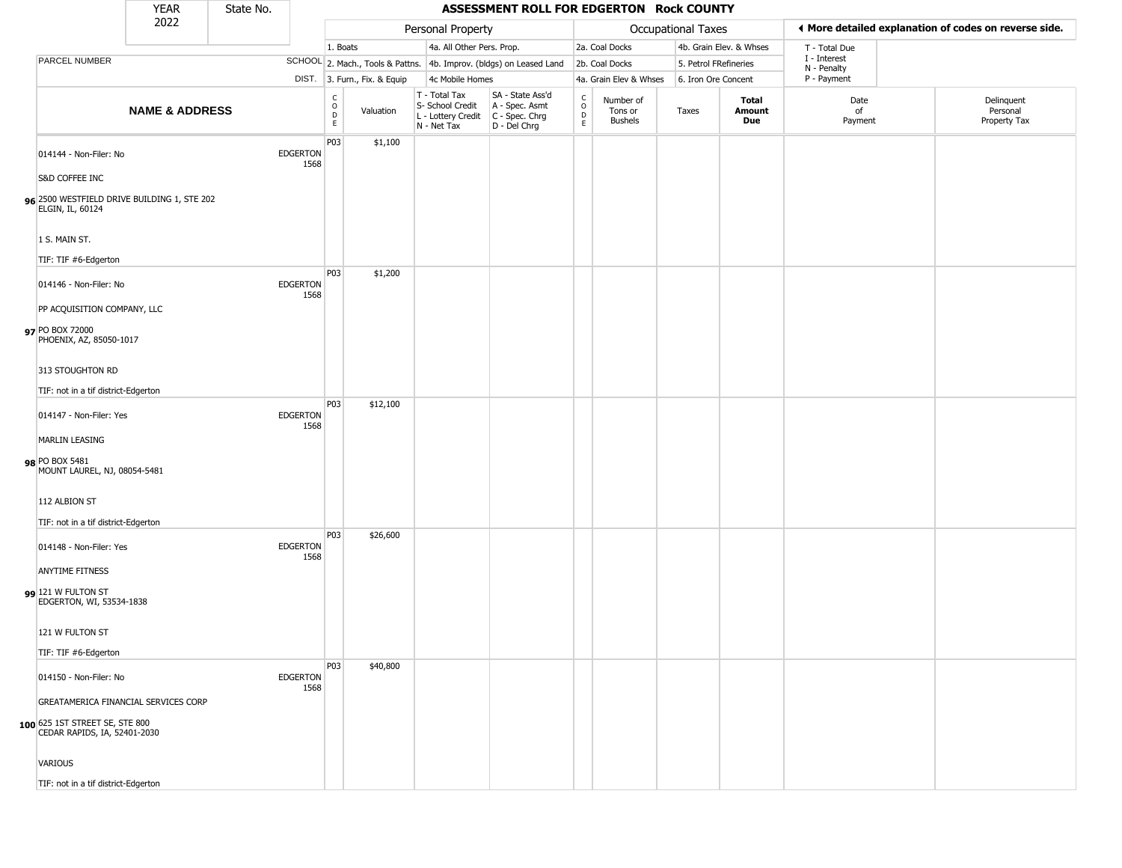| ear | State No. |  |
|-----|-----------|--|
|     |           |  |

## YEAR State No. **ASSESSMENT ROLL FOR EDGERTON Rock COUNTY**

|                                                                                                        | 2022                      |                         |                                             |                                  | Personal Property                                                                       |                                                    |                         |                                        | Occupational Taxes    |                         | ◀ More detailed explanation of codes on reverse side. |                                        |
|--------------------------------------------------------------------------------------------------------|---------------------------|-------------------------|---------------------------------------------|----------------------------------|-----------------------------------------------------------------------------------------|----------------------------------------------------|-------------------------|----------------------------------------|-----------------------|-------------------------|-------------------------------------------------------|----------------------------------------|
|                                                                                                        |                           |                         | 1. Boats                                    |                                  | 4a. All Other Pers. Prop.                                                               |                                                    |                         | 2a. Coal Docks                         |                       | 4b. Grain Elev. & Whses | T - Total Due                                         |                                        |
| PARCEL NUMBER                                                                                          |                           |                         |                                             | SCHOOL 2. Mach., Tools & Pattns. |                                                                                         | 4b. Improv. (bldgs) on Leased Land                 |                         | 2b. Coal Docks                         | 5. Petrol FRefineries |                         | I - Interest<br>N - Penalty                           |                                        |
|                                                                                                        |                           |                         |                                             | DIST. 3. Furn., Fix. & Equip     | 4c Mobile Homes                                                                         |                                                    |                         | 4a. Grain Elev & Whses                 | 6. Iron Ore Concent   |                         | P - Payment                                           |                                        |
|                                                                                                        | <b>NAME &amp; ADDRESS</b> |                         | $\mathsf{C}$<br>$\circ$<br>D<br>$\mathsf E$ | Valuation                        | T - Total Tax<br>S- School Credit<br>L - Lottery Credit   C - Spec. Chrg<br>N - Net Tax | SA - State Ass'd<br>A - Spec. Asmt<br>D - Del Chrg | C<br>$\circ$<br>D<br>E. | Number of<br>Tons or<br><b>Bushels</b> | Taxes                 | Total<br>Amount<br>Due  | Date<br>of<br>Payment                                 | Delinquent<br>Personal<br>Property Tax |
| 014144 - Non-Filer: No                                                                                 |                           | <b>EDGERTON</b><br>1568 | P03                                         | \$1,100                          |                                                                                         |                                                    |                         |                                        |                       |                         |                                                       |                                        |
| S&D COFFEE INC<br>96 2500 WESTFIELD DRIVE BUILDING 1, STE 202<br>ELGIN, IL, 60124                      |                           |                         |                                             |                                  |                                                                                         |                                                    |                         |                                        |                       |                         |                                                       |                                        |
| 1 S. MAIN ST.<br>TIF: TIF #6-Edgerton                                                                  |                           |                         |                                             |                                  |                                                                                         |                                                    |                         |                                        |                       |                         |                                                       |                                        |
| 014146 - Non-Filer: No                                                                                 |                           | <b>EDGERTON</b><br>1568 | P03                                         | \$1,200                          |                                                                                         |                                                    |                         |                                        |                       |                         |                                                       |                                        |
| PP ACQUISITION COMPANY, LLC<br>97 PO BOX 72000<br>PHOENIX, AZ, 85050-1017                              |                           |                         |                                             |                                  |                                                                                         |                                                    |                         |                                        |                       |                         |                                                       |                                        |
| 313 STOUGHTON RD                                                                                       |                           |                         |                                             |                                  |                                                                                         |                                                    |                         |                                        |                       |                         |                                                       |                                        |
| TIF: not in a tif district-Edgerton<br>014147 - Non-Filer: Yes                                         |                           | <b>EDGERTON</b><br>1568 | P03                                         | \$12,100                         |                                                                                         |                                                    |                         |                                        |                       |                         |                                                       |                                        |
| <b>MARLIN LEASING</b>                                                                                  |                           |                         |                                             |                                  |                                                                                         |                                                    |                         |                                        |                       |                         |                                                       |                                        |
| 98 PO BOX 5481<br>MOUNT LAUREL, NJ, 08054-5481                                                         |                           |                         |                                             |                                  |                                                                                         |                                                    |                         |                                        |                       |                         |                                                       |                                        |
| 112 ALBION ST                                                                                          |                           |                         |                                             |                                  |                                                                                         |                                                    |                         |                                        |                       |                         |                                                       |                                        |
| TIF: not in a tif district-Edgerton                                                                    |                           |                         | P03                                         | \$26,600                         |                                                                                         |                                                    |                         |                                        |                       |                         |                                                       |                                        |
| 014148 - Non-Filer: Yes<br><b>ANYTIME FITNESS</b>                                                      |                           | <b>EDGERTON</b><br>1568 |                                             |                                  |                                                                                         |                                                    |                         |                                        |                       |                         |                                                       |                                        |
| $99$ 121 W FULTON ST<br>EDGERTON, WI, 53534-1838                                                       |                           |                         |                                             |                                  |                                                                                         |                                                    |                         |                                        |                       |                         |                                                       |                                        |
| 121 W FULTON ST                                                                                        |                           |                         |                                             |                                  |                                                                                         |                                                    |                         |                                        |                       |                         |                                                       |                                        |
| TIF: TIF #6-Edgerton                                                                                   |                           |                         |                                             |                                  |                                                                                         |                                                    |                         |                                        |                       |                         |                                                       |                                        |
| 014150 - Non-Filer: No                                                                                 |                           | <b>EDGERTON</b><br>1568 | P03                                         | \$40,800                         |                                                                                         |                                                    |                         |                                        |                       |                         |                                                       |                                        |
| GREATAMERICA FINANCIAL SERVICES CORP<br>100 625 1ST STREET SE, STE 800<br>CEDAR RAPIDS, IA, 52401-2030 |                           |                         |                                             |                                  |                                                                                         |                                                    |                         |                                        |                       |                         |                                                       |                                        |
| <b>VARIOUS</b>                                                                                         |                           |                         |                                             |                                  |                                                                                         |                                                    |                         |                                        |                       |                         |                                                       |                                        |
| TIF: not in a tif district-Edgerton                                                                    |                           |                         |                                             |                                  |                                                                                         |                                                    |                         |                                        |                       |                         |                                                       |                                        |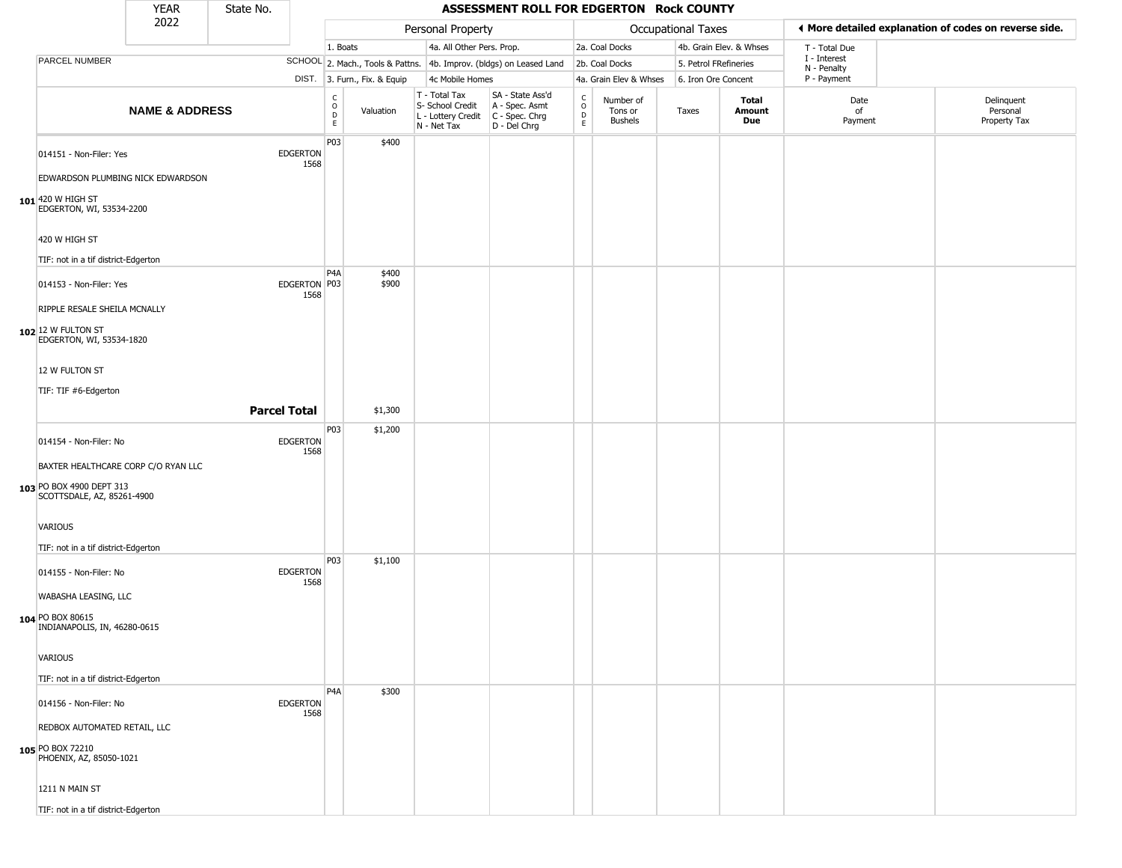|                                                                                               | <b>YEAR</b>               | State No.           |                         |                                   |                              |                                                                        | ASSESSMENT ROLL FOR EDGERTON Rock COUNTY                               |                                         |                                        |       |                       |                         |                             |                                                       |
|-----------------------------------------------------------------------------------------------|---------------------------|---------------------|-------------------------|-----------------------------------|------------------------------|------------------------------------------------------------------------|------------------------------------------------------------------------|-----------------------------------------|----------------------------------------|-------|-----------------------|-------------------------|-----------------------------|-------------------------------------------------------|
|                                                                                               | 2022                      |                     |                         |                                   |                              | Personal Property                                                      |                                                                        |                                         |                                        |       | Occupational Taxes    |                         |                             | ◀ More detailed explanation of codes on reverse side. |
|                                                                                               |                           |                     |                         | 1. Boats                          |                              | 4a. All Other Pers. Prop.                                              |                                                                        |                                         | 2a. Coal Docks                         |       |                       | 4b. Grain Elev. & Whses | T - Total Due               |                                                       |
| <b>PARCEL NUMBER</b>                                                                          |                           |                     |                         |                                   |                              |                                                                        | SCHOOL 2. Mach., Tools & Pattns. 4b. Improv. (bldgs) on Leased Land    |                                         | 2b. Coal Docks                         |       | 5. Petrol FRefineries |                         | I - Interest<br>N - Penalty |                                                       |
|                                                                                               |                           |                     |                         |                                   | DIST. 3. Furn., Fix. & Equip | 4c Mobile Homes                                                        |                                                                        |                                         | 4a. Grain Elev & Whses                 |       | 6. Iron Ore Concent   |                         | P - Payment                 |                                                       |
|                                                                                               | <b>NAME &amp; ADDRESS</b> |                     |                         | $\mathsf{C}$<br>$\circ$<br>D<br>E | Valuation                    | T - Total Tax<br>S- School Credit<br>L - Lottery Credit<br>N - Net Tax | SA - State Ass'd<br>A - Spec. Asmt<br>C - Spec. Chrg<br>$D - Del Chrg$ | $_{\rm o}^{\rm c}$<br>$\mathsf{D}$<br>E | Number of<br>Tons or<br><b>Bushels</b> | Taxes |                       | Total<br>Amount<br>Due  | Date<br>of<br>Payment       | Delinquent<br>Personal<br>Property Tax                |
| 014151 - Non-Filer: Yes                                                                       |                           |                     | <b>EDGERTON</b><br>1568 | P03                               | \$400                        |                                                                        |                                                                        |                                         |                                        |       |                       |                         |                             |                                                       |
| EDWARDSON PLUMBING NICK EDWARDSON<br>$101$ 420 W HIGH ST<br>EDGERTON, WI, 53534-2200          |                           |                     |                         |                                   |                              |                                                                        |                                                                        |                                         |                                        |       |                       |                         |                             |                                                       |
| 420 W HIGH ST<br>TIF: not in a tif district-Edgerton                                          |                           |                     |                         |                                   |                              |                                                                        |                                                                        |                                         |                                        |       |                       |                         |                             |                                                       |
| 014153 - Non-Filer: Yes                                                                       |                           |                     | EDGERTON   P03<br>1568  | P <sub>4</sub> A                  | \$400<br>\$900               |                                                                        |                                                                        |                                         |                                        |       |                       |                         |                             |                                                       |
| RIPPLE RESALE SHEILA MCNALLY<br>102 12 W FULTON ST<br>EDGERTON, WI, 53534-1820                |                           |                     |                         |                                   |                              |                                                                        |                                                                        |                                         |                                        |       |                       |                         |                             |                                                       |
| 12 W FULTON ST<br>TIF: TIF #6-Edgerton                                                        |                           |                     |                         |                                   |                              |                                                                        |                                                                        |                                         |                                        |       |                       |                         |                             |                                                       |
|                                                                                               |                           | <b>Parcel Total</b> |                         |                                   | \$1,300                      |                                                                        |                                                                        |                                         |                                        |       |                       |                         |                             |                                                       |
| 014154 - Non-Filer: No                                                                        |                           |                     | <b>EDGERTON</b><br>1568 | P03                               | \$1,200                      |                                                                        |                                                                        |                                         |                                        |       |                       |                         |                             |                                                       |
| BAXTER HEALTHCARE CORP C/O RYAN LLC<br>103 PO BOX 4900 DEPT 313<br>SCOTTSDALE, AZ, 85261-4900 |                           |                     |                         |                                   |                              |                                                                        |                                                                        |                                         |                                        |       |                       |                         |                             |                                                       |
| VARIOUS<br>TIF: not in a tif district-Edgerton                                                |                           |                     |                         |                                   |                              |                                                                        |                                                                        |                                         |                                        |       |                       |                         |                             |                                                       |
| 014155 - Non-Filer: No                                                                        |                           |                     | <b>EDGERTON</b><br>1568 | P03                               | \$1,100                      |                                                                        |                                                                        |                                         |                                        |       |                       |                         |                             |                                                       |
| WABASHA LEASING, LLC<br>104 PO BOX 80615<br>INDIANAPOLIS, IN, 46280-0615                      |                           |                     |                         |                                   |                              |                                                                        |                                                                        |                                         |                                        |       |                       |                         |                             |                                                       |
| VARIOUS<br>TIF: not in a tif district-Edgerton                                                |                           |                     |                         |                                   |                              |                                                                        |                                                                        |                                         |                                        |       |                       |                         |                             |                                                       |
| 014156 - Non-Filer: No                                                                        |                           |                     | <b>EDGERTON</b><br>1568 | P <sub>4</sub> A                  | \$300                        |                                                                        |                                                                        |                                         |                                        |       |                       |                         |                             |                                                       |
| REDBOX AUTOMATED RETAIL, LLC<br>105 PO BOX 72210<br>PHOENIX, AZ, 85050-1021                   |                           |                     |                         |                                   |                              |                                                                        |                                                                        |                                         |                                        |       |                       |                         |                             |                                                       |
| 1211 N MAIN ST                                                                                |                           |                     |                         |                                   |                              |                                                                        |                                                                        |                                         |                                        |       |                       |                         |                             |                                                       |

TIF: not in a tif district-Edgerton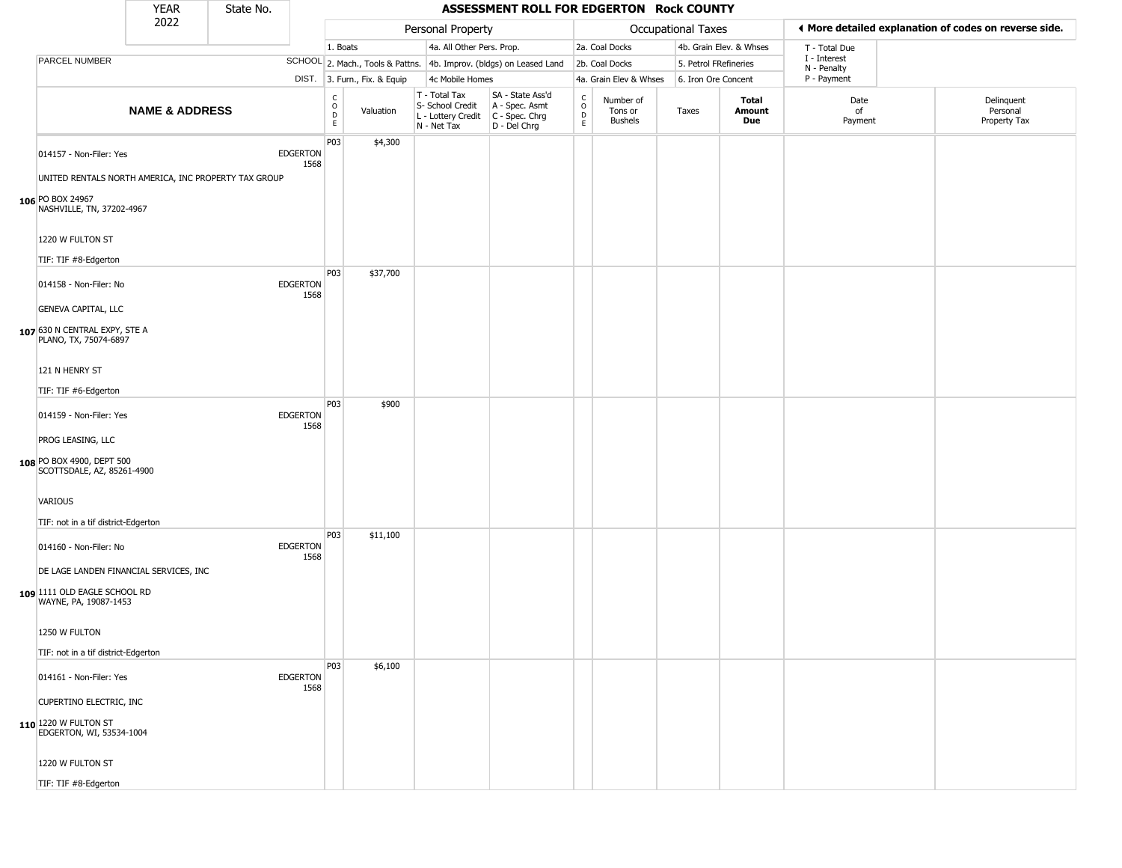|                                                                  | <b>YEAR</b>               | State No. |                         |                         |                              |                                                                        | ASSESSMENT ROLL FOR EDGERTON Rock COUNTY                             |                                      |                                        |                           |                               |                             |                                                       |
|------------------------------------------------------------------|---------------------------|-----------|-------------------------|-------------------------|------------------------------|------------------------------------------------------------------------|----------------------------------------------------------------------|--------------------------------------|----------------------------------------|---------------------------|-------------------------------|-----------------------------|-------------------------------------------------------|
|                                                                  | 2022                      |           |                         |                         |                              | Personal Property                                                      |                                                                      |                                      |                                        | <b>Occupational Taxes</b> |                               |                             | ◀ More detailed explanation of codes on reverse side. |
|                                                                  |                           |           |                         | 1. Boats                |                              | 4a. All Other Pers. Prop.                                              |                                                                      |                                      | 2a. Coal Docks                         |                           | 4b. Grain Elev. & Whses       | T - Total Due               |                                                       |
| PARCEL NUMBER                                                    |                           |           |                         |                         |                              |                                                                        | SCHOOL 2. Mach., Tools & Pattns. 4b. Improv. (bldgs) on Leased Land  |                                      | 2b. Coal Docks                         |                           | 5. Petrol FRefineries         | I - Interest<br>N - Penalty |                                                       |
|                                                                  |                           |           |                         |                         | DIST. 3. Furn., Fix. & Equip | 4c Mobile Homes                                                        |                                                                      |                                      | 4a. Grain Elev & Whses                 |                           | 6. Iron Ore Concent           | P - Payment                 |                                                       |
|                                                                  | <b>NAME &amp; ADDRESS</b> |           |                         | C<br>$\circ$<br>D<br>E. | Valuation                    | T - Total Tax<br>S- School Credit<br>L - Lottery Credit<br>N - Net Tax | SA - State Ass'd<br>A - Spec. Asmt<br>C - Spec. Chrg<br>D - Del Chrg | $\frac{c}{0}$<br>$\overline{D}$<br>E | Number of<br>Tons or<br><b>Bushels</b> | Taxes                     | Total<br>Amount<br><b>Due</b> | Date<br>of<br>Payment       | Delinquent<br>Personal<br>Property Tax                |
| 014157 - Non-Filer: Yes                                          |                           |           | <b>EDGERTON</b><br>1568 | P03                     | \$4,300                      |                                                                        |                                                                      |                                      |                                        |                           |                               |                             |                                                       |
| UNITED RENTALS NORTH AMERICA, INC PROPERTY TAX GROUP             |                           |           |                         |                         |                              |                                                                        |                                                                      |                                      |                                        |                           |                               |                             |                                                       |
| 106 PO BOX 24967<br>NASHVILLE, TN, 37202-4967                    |                           |           |                         |                         |                              |                                                                        |                                                                      |                                      |                                        |                           |                               |                             |                                                       |
| 1220 W FULTON ST<br>TIF: TIF #8-Edgerton                         |                           |           |                         |                         |                              |                                                                        |                                                                      |                                      |                                        |                           |                               |                             |                                                       |
| 014158 - Non-Filer: No<br><b>GENEVA CAPITAL, LLC</b>             |                           |           | <b>EDGERTON</b><br>1568 | P03                     | \$37,700                     |                                                                        |                                                                      |                                      |                                        |                           |                               |                             |                                                       |
| 107 630 N CENTRAL EXPY, STE A<br>PLANO, TX, 75074-6897           |                           |           |                         |                         |                              |                                                                        |                                                                      |                                      |                                        |                           |                               |                             |                                                       |
| 121 N HENRY ST<br>TIF: TIF #6-Edgerton                           |                           |           |                         |                         |                              |                                                                        |                                                                      |                                      |                                        |                           |                               |                             |                                                       |
| 014159 - Non-Filer: Yes<br>PROG LEASING, LLC                     |                           |           | <b>EDGERTON</b><br>1568 | <b>P03</b>              | \$900                        |                                                                        |                                                                      |                                      |                                        |                           |                               |                             |                                                       |
| 108 PO BOX 4900, DEPT 500<br>SCOTTSDALE, AZ, 85261-4900          |                           |           |                         |                         |                              |                                                                        |                                                                      |                                      |                                        |                           |                               |                             |                                                       |
| VARIOUS<br>TIF: not in a tif district-Edgerton                   |                           |           |                         |                         |                              |                                                                        |                                                                      |                                      |                                        |                           |                               |                             |                                                       |
| 014160 - Non-Filer: No<br>DE LAGE LANDEN FINANCIAL SERVICES, INC |                           |           | <b>EDGERTON</b><br>1568 | P03                     | \$11,100                     |                                                                        |                                                                      |                                      |                                        |                           |                               |                             |                                                       |
| 109 1111 OLD EAGLE SCHOOL RD<br>WAYNE, PA, 19087-1453            |                           |           |                         |                         |                              |                                                                        |                                                                      |                                      |                                        |                           |                               |                             |                                                       |
| 1250 W FULTON<br>TIF: not in a tif district-Edgerton             |                           |           |                         |                         |                              |                                                                        |                                                                      |                                      |                                        |                           |                               |                             |                                                       |
| 014161 - Non-Filer: Yes<br>CUPERTINO ELECTRIC, INC               |                           |           | EDGERTON<br>1568        | P03                     | \$6,100                      |                                                                        |                                                                      |                                      |                                        |                           |                               |                             |                                                       |
| 110 1220 W FULTON ST<br>EDGERTON, WI, 53534-1004                 |                           |           |                         |                         |                              |                                                                        |                                                                      |                                      |                                        |                           |                               |                             |                                                       |
| 1220 W FULTON ST                                                 |                           |           |                         |                         |                              |                                                                        |                                                                      |                                      |                                        |                           |                               |                             |                                                       |

TIF: TIF #8-Edgerton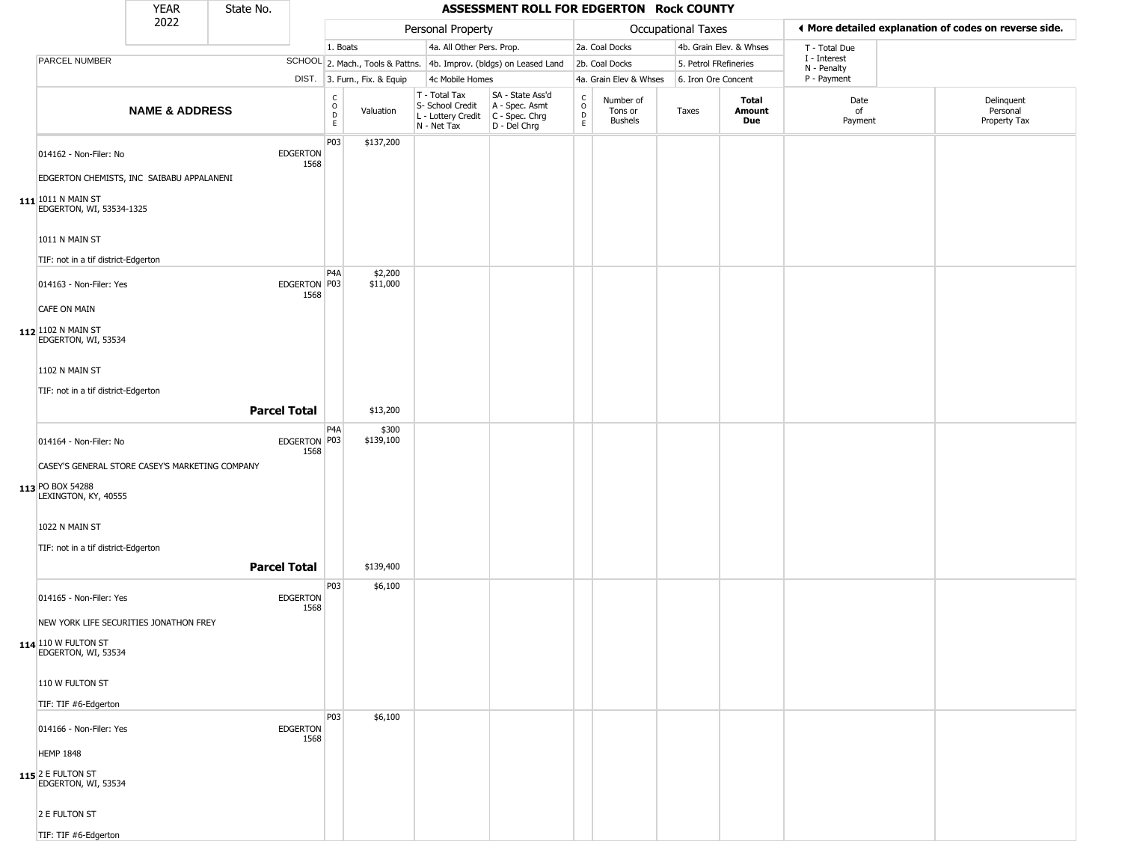|                                                                                                          | <b>YEAR</b>               | State No.           |                         |                                      |                              |                                                                                         | ASSESSMENT ROLL FOR EDGERTON Rock COUNTY                            |                                                  |                                        |                     |                         |                             |                                                       |
|----------------------------------------------------------------------------------------------------------|---------------------------|---------------------|-------------------------|--------------------------------------|------------------------------|-----------------------------------------------------------------------------------------|---------------------------------------------------------------------|--------------------------------------------------|----------------------------------------|---------------------|-------------------------|-----------------------------|-------------------------------------------------------|
|                                                                                                          | 2022                      |                     |                         |                                      |                              | Personal Property                                                                       |                                                                     |                                                  |                                        | Occupational Taxes  |                         |                             | ◀ More detailed explanation of codes on reverse side. |
|                                                                                                          |                           |                     |                         | 1. Boats                             |                              | 4a. All Other Pers. Prop.                                                               |                                                                     |                                                  | 2a. Coal Docks                         |                     | 4b. Grain Elev. & Whses | T - Total Due               |                                                       |
| PARCEL NUMBER                                                                                            |                           |                     |                         |                                      |                              |                                                                                         | SCHOOL 2. Mach., Tools & Pattns. 4b. Improv. (bldgs) on Leased Land |                                                  | 2b. Coal Docks                         |                     | 5. Petrol FRefineries   | I - Interest<br>N - Penalty |                                                       |
|                                                                                                          |                           |                     |                         |                                      | DIST. 3. Furn., Fix. & Equip | 4c Mobile Homes                                                                         |                                                                     |                                                  | 4a. Grain Elev & Whses                 | 6. Iron Ore Concent |                         | P - Payment                 |                                                       |
|                                                                                                          | <b>NAME &amp; ADDRESS</b> |                     |                         | C<br>$\mathsf O$<br>$\mathsf D$<br>E | Valuation                    | T - Total Tax<br>S- School Credit<br>L - Lottery Credit   C - Spec. Chrg<br>N - Net Tax | SA - State Ass'd<br>A - Spec. Asmt<br>D - Del Chrg                  | $_{\rm o}^{\rm c}$<br>$\mathsf D$<br>$\mathsf E$ | Number of<br>Tons or<br><b>Bushels</b> | Taxes               | Total<br>Amount<br>Due  | Date<br>of<br>Payment       | Delinquent<br>Personal<br>Property Tax                |
| 014162 - Non-Filer: No                                                                                   |                           |                     | <b>EDGERTON</b><br>1568 | P03                                  | \$137,200                    |                                                                                         |                                                                     |                                                  |                                        |                     |                         |                             |                                                       |
| EDGERTON CHEMISTS, INC SAIBABU APPALANENI<br>$111$ <sup>1011</sup> N MAIN ST<br>EDGERTON, WI, 53534-1325 |                           |                     |                         |                                      |                              |                                                                                         |                                                                     |                                                  |                                        |                     |                         |                             |                                                       |
| 1011 N MAIN ST<br>TIF: not in a tif district-Edgerton                                                    |                           |                     |                         |                                      |                              |                                                                                         |                                                                     |                                                  |                                        |                     |                         |                             |                                                       |
| 014163 - Non-Filer: Yes                                                                                  |                           |                     | EDGERTON P03<br>1568    | P <sub>4</sub> A                     | \$2,200<br>\$11,000          |                                                                                         |                                                                     |                                                  |                                        |                     |                         |                             |                                                       |
| <b>CAFE ON MAIN</b><br>112 1102 N MAIN ST<br>EDGERTON, WI, 53534                                         |                           |                     |                         |                                      |                              |                                                                                         |                                                                     |                                                  |                                        |                     |                         |                             |                                                       |
| 1102 N MAIN ST<br>TIF: not in a tif district-Edgerton                                                    |                           |                     |                         |                                      |                              |                                                                                         |                                                                     |                                                  |                                        |                     |                         |                             |                                                       |
|                                                                                                          |                           | <b>Parcel Total</b> |                         |                                      | \$13,200                     |                                                                                         |                                                                     |                                                  |                                        |                     |                         |                             |                                                       |
| 014164 - Non-Filer: No                                                                                   |                           |                     | EDGERTON P03<br>1568    | P4A                                  | \$300<br>\$139,100           |                                                                                         |                                                                     |                                                  |                                        |                     |                         |                             |                                                       |
| CASEY'S GENERAL STORE CASEY'S MARKETING COMPANY<br>113 PO BOX 54288<br>LEXINGTON, KY, 40555              |                           |                     |                         |                                      |                              |                                                                                         |                                                                     |                                                  |                                        |                     |                         |                             |                                                       |
| 1022 N MAIN ST                                                                                           |                           |                     |                         |                                      |                              |                                                                                         |                                                                     |                                                  |                                        |                     |                         |                             |                                                       |
| TIF: not in a tif district-Edgerton                                                                      |                           | <b>Parcel Total</b> |                         |                                      | \$139,400                    |                                                                                         |                                                                     |                                                  |                                        |                     |                         |                             |                                                       |
| 014165 - Non-Filer: Yes                                                                                  |                           |                     | <b>EDGERTON</b>         | P03                                  | \$6,100                      |                                                                                         |                                                                     |                                                  |                                        |                     |                         |                             |                                                       |
| NEW YORK LIFE SECURITIES JONATHON FREY                                                                   |                           |                     | 1568                    |                                      |                              |                                                                                         |                                                                     |                                                  |                                        |                     |                         |                             |                                                       |
| 114 110 W FULTON ST<br>EDGERTON, WI, 53534                                                               |                           |                     |                         |                                      |                              |                                                                                         |                                                                     |                                                  |                                        |                     |                         |                             |                                                       |
| 110 W FULTON ST<br>TIF: TIF #6-Edgerton                                                                  |                           |                     |                         |                                      |                              |                                                                                         |                                                                     |                                                  |                                        |                     |                         |                             |                                                       |
| 014166 - Non-Filer: Yes                                                                                  |                           |                     | <b>EDGERTON</b><br>1568 | P03                                  | \$6,100                      |                                                                                         |                                                                     |                                                  |                                        |                     |                         |                             |                                                       |
| <b>HEMP 1848</b>                                                                                         |                           |                     |                         |                                      |                              |                                                                                         |                                                                     |                                                  |                                        |                     |                         |                             |                                                       |
| 115 2 E FULTON ST<br>EDGERTON, WI, 53534                                                                 |                           |                     |                         |                                      |                              |                                                                                         |                                                                     |                                                  |                                        |                     |                         |                             |                                                       |

2 E FULTON ST TIF: TIF #6-Edgerton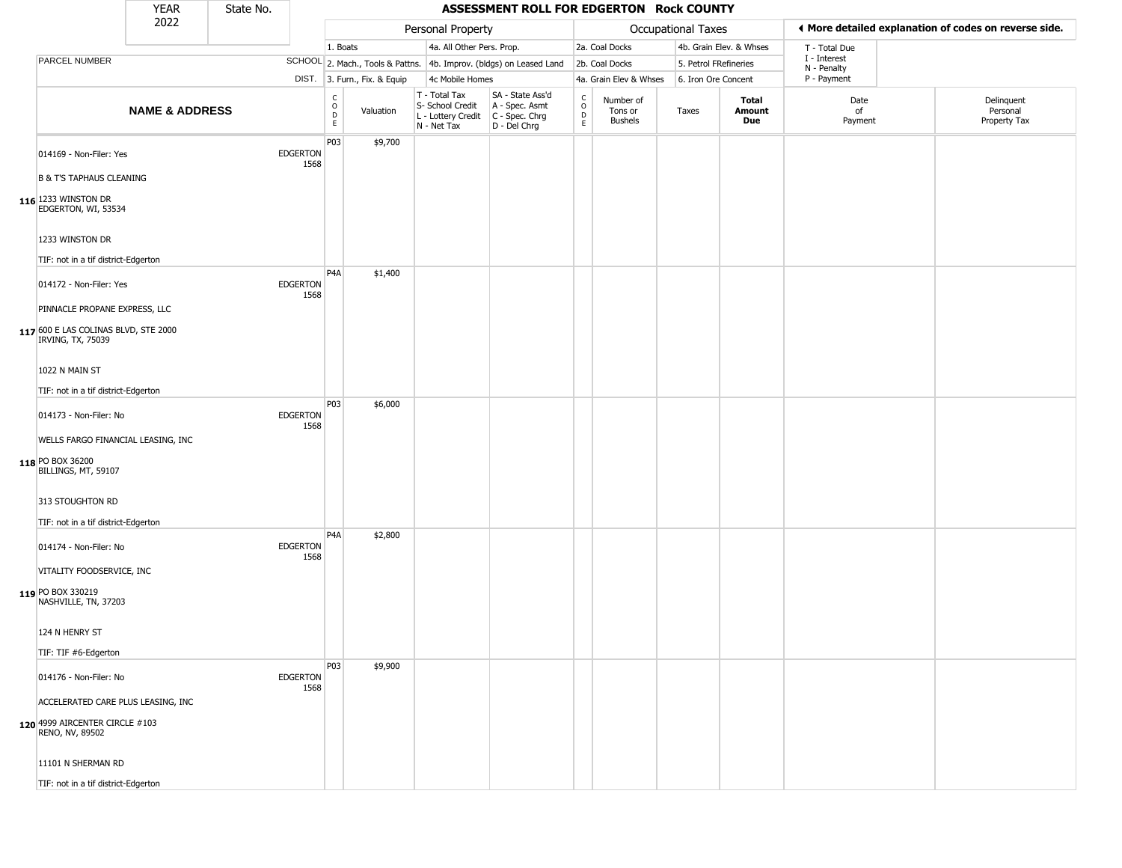|                                                                                            | YEAR                      | State No. |                         |                                                 |                              |                                                                        | ASSESSMENT ROLL FOR EDGERTON Rock COUNTY                               |                                        |                                        |                    |                         |                             |                                                       |
|--------------------------------------------------------------------------------------------|---------------------------|-----------|-------------------------|-------------------------------------------------|------------------------------|------------------------------------------------------------------------|------------------------------------------------------------------------|----------------------------------------|----------------------------------------|--------------------|-------------------------|-----------------------------|-------------------------------------------------------|
|                                                                                            | 2022                      |           |                         |                                                 |                              | Personal Property                                                      |                                                                        |                                        |                                        | Occupational Taxes |                         |                             | ♦ More detailed explanation of codes on reverse side. |
|                                                                                            |                           |           |                         | 1. Boats                                        |                              | 4a. All Other Pers. Prop.                                              |                                                                        |                                        | 2a. Coal Docks                         |                    | 4b. Grain Elev. & Whses | T - Total Due               |                                                       |
| PARCEL NUMBER                                                                              |                           |           |                         |                                                 |                              |                                                                        | SCHOOL 2. Mach., Tools & Pattns. 4b. Improv. (bldgs) on Leased Land    |                                        | 2b. Coal Docks                         |                    | 5. Petrol FRefineries   | I - Interest<br>N - Penalty |                                                       |
|                                                                                            |                           |           |                         |                                                 | DIST. 3. Furn., Fix. & Equip | 4c Mobile Homes                                                        |                                                                        |                                        | 4a. Grain Elev & Whses                 |                    | 6. Iron Ore Concent     | P - Payment                 |                                                       |
|                                                                                            | <b>NAME &amp; ADDRESS</b> |           |                         | C<br>$\mathsf O$<br>$\mathsf{D}$<br>$\mathsf E$ | Valuation                    | T - Total Tax<br>S- School Credit<br>L - Lottery Credit<br>N - Net Tax | SA - State Ass'd<br>A - Spec. Asmt<br>$C - Spec. Chrg$<br>D - Del Chrg | $_{\rm o}^{\rm c}$<br>$\mathsf D$<br>E | Number of<br>Tons or<br><b>Bushels</b> | Taxes              | Total<br>Amount<br>Due  | Date<br>of<br>Payment       | Delinquent<br>Personal<br>Property Tax                |
| 014169 - Non-Filer: Yes                                                                    |                           |           | <b>EDGERTON</b><br>1568 | P03                                             | \$9,700                      |                                                                        |                                                                        |                                        |                                        |                    |                         |                             |                                                       |
| <b>B &amp; T'S TAPHAUS CLEANING</b>                                                        |                           |           |                         |                                                 |                              |                                                                        |                                                                        |                                        |                                        |                    |                         |                             |                                                       |
| 116 1233 WINSTON DR<br>EDGERTON, WI, 53534                                                 |                           |           |                         |                                                 |                              |                                                                        |                                                                        |                                        |                                        |                    |                         |                             |                                                       |
| 1233 WINSTON DR<br>TIF: not in a tif district-Edgerton                                     |                           |           |                         |                                                 |                              |                                                                        |                                                                        |                                        |                                        |                    |                         |                             |                                                       |
| 014172 - Non-Filer: Yes                                                                    |                           |           | <b>EDGERTON</b><br>1568 | P <sub>4</sub> A                                | \$1,400                      |                                                                        |                                                                        |                                        |                                        |                    |                         |                             |                                                       |
| PINNACLE PROPANE EXPRESS, LLC<br>117 600 E LAS COLINAS BLVD, STE 2000<br>IRVING, TX, 75039 |                           |           |                         |                                                 |                              |                                                                        |                                                                        |                                        |                                        |                    |                         |                             |                                                       |
| 1022 N MAIN ST<br>TIF: not in a tif district-Edgerton                                      |                           |           |                         |                                                 |                              |                                                                        |                                                                        |                                        |                                        |                    |                         |                             |                                                       |
| 014173 - Non-Filer: No                                                                     |                           |           | <b>EDGERTON</b><br>1568 | P03                                             | \$6,000                      |                                                                        |                                                                        |                                        |                                        |                    |                         |                             |                                                       |
| WELLS FARGO FINANCIAL LEASING, INC<br>118 PO BOX 36200<br>BILLINGS, MT, 59107              |                           |           |                         |                                                 |                              |                                                                        |                                                                        |                                        |                                        |                    |                         |                             |                                                       |
| 313 STOUGHTON RD<br>TIF: not in a tif district-Edgerton                                    |                           |           |                         |                                                 |                              |                                                                        |                                                                        |                                        |                                        |                    |                         |                             |                                                       |
| 014174 - Non-Filer: No                                                                     |                           |           | <b>EDGERTON</b><br>1568 | P <sub>4</sub> A                                | \$2,800                      |                                                                        |                                                                        |                                        |                                        |                    |                         |                             |                                                       |
| VITALITY FOODSERVICE, INC<br>119 PO BOX 330219<br>NASHVILLE, TN, 37203                     |                           |           |                         |                                                 |                              |                                                                        |                                                                        |                                        |                                        |                    |                         |                             |                                                       |
| 124 N HENRY ST                                                                             |                           |           |                         |                                                 |                              |                                                                        |                                                                        |                                        |                                        |                    |                         |                             |                                                       |
| TIF: TIF #6-Edgerton                                                                       |                           |           |                         | P03                                             | \$9,900                      |                                                                        |                                                                        |                                        |                                        |                    |                         |                             |                                                       |
| 014176 - Non-Filer: No                                                                     |                           |           | <b>EDGERTON</b><br>1568 |                                                 |                              |                                                                        |                                                                        |                                        |                                        |                    |                         |                             |                                                       |
| ACCELERATED CARE PLUS LEASING, INC<br>120 4999 AIRCENTER CIRCLE #103<br>RENO, NV, 89502    |                           |           |                         |                                                 |                              |                                                                        |                                                                        |                                        |                                        |                    |                         |                             |                                                       |
| 11101 N SHERMAN RD                                                                         |                           |           |                         |                                                 |                              |                                                                        |                                                                        |                                        |                                        |                    |                         |                             |                                                       |
| TIF: not in a tif district-Edgerton                                                        |                           |           |                         |                                                 |                              |                                                                        |                                                                        |                                        |                                        |                    |                         |                             |                                                       |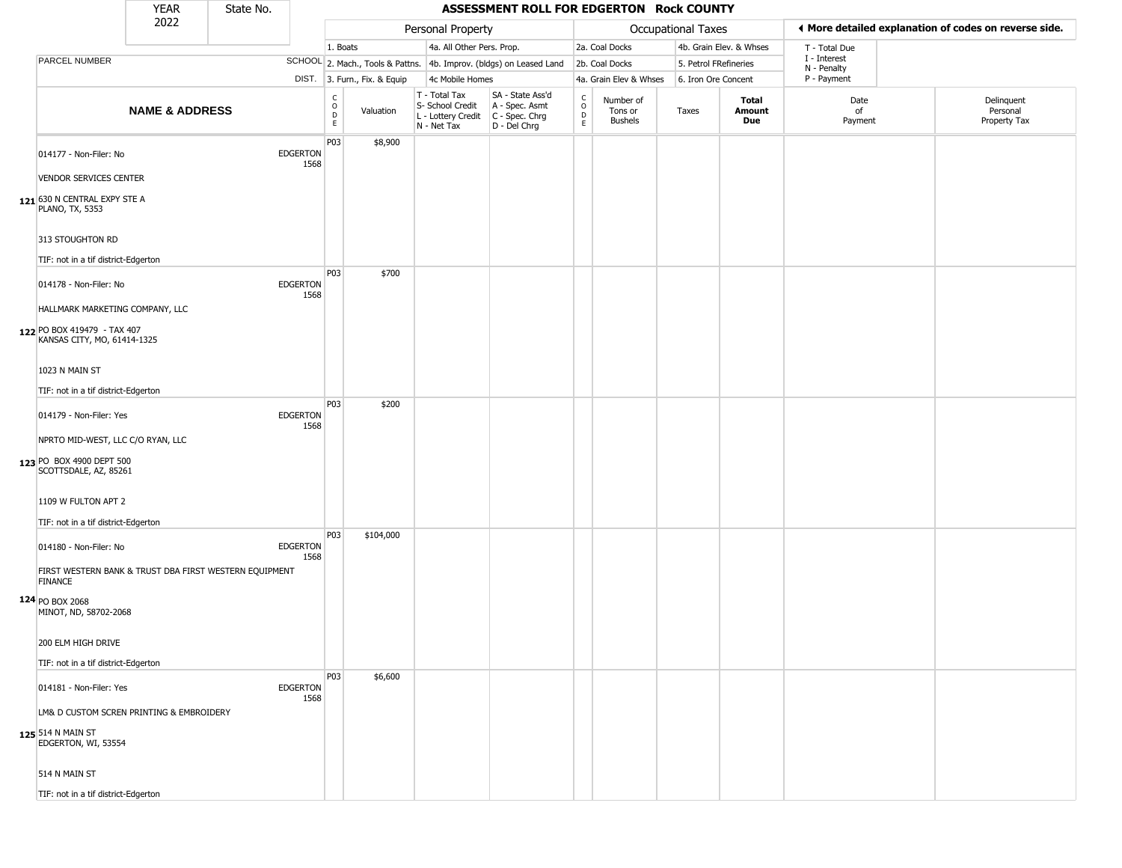|                                                                                                                      | <b>YEAR</b>               | State No. |                         |                                                  |                              |                                                                        | ASSESSMENT ROLL FOR EDGERTON Rock COUNTY                             |                                    |                                        |                       |                               |                             |                                                       |
|----------------------------------------------------------------------------------------------------------------------|---------------------------|-----------|-------------------------|--------------------------------------------------|------------------------------|------------------------------------------------------------------------|----------------------------------------------------------------------|------------------------------------|----------------------------------------|-----------------------|-------------------------------|-----------------------------|-------------------------------------------------------|
|                                                                                                                      | 2022                      |           |                         |                                                  |                              | Personal Property                                                      |                                                                      |                                    |                                        | Occupational Taxes    |                               |                             | ◀ More detailed explanation of codes on reverse side. |
|                                                                                                                      |                           |           |                         | 1. Boats                                         |                              | 4a. All Other Pers. Prop.                                              |                                                                      |                                    | 2a. Coal Docks                         |                       | 4b. Grain Elev. & Whses       | T - Total Due               |                                                       |
| PARCEL NUMBER                                                                                                        |                           |           |                         |                                                  |                              |                                                                        | SCHOOL 2. Mach., Tools & Pattns. 4b. Improv. (bldgs) on Leased Land  |                                    | 2b. Coal Docks                         | 5. Petrol FRefineries |                               | I - Interest<br>N - Penalty |                                                       |
|                                                                                                                      |                           |           |                         |                                                  | DIST. 3. Furn., Fix. & Equip | 4c Mobile Homes                                                        |                                                                      |                                    | 4a. Grain Elev & Whses                 | 6. Iron Ore Concent   |                               | P - Payment                 |                                                       |
|                                                                                                                      | <b>NAME &amp; ADDRESS</b> |           |                         | $_{\rm o}^{\rm c}$<br>$\mathsf D$<br>$\mathsf E$ | Valuation                    | T - Total Tax<br>S- School Credit<br>L - Lottery Credit<br>N - Net Tax | SA - State Ass'd<br>A - Spec. Asmt<br>C - Spec. Chrg<br>D - Del Chrg | $\mathsf{C}$<br>$\circ$<br>D<br>E. | Number of<br>Tons or<br><b>Bushels</b> | Taxes                 | <b>Total</b><br>Amount<br>Due | Date<br>of<br>Payment       | Delinquent<br>Personal<br>Property Tax                |
| 014177 - Non-Filer: No<br><b>VENDOR SERVICES CENTER</b>                                                              |                           |           | <b>EDGERTON</b><br>1568 | P03                                              | \$8,900                      |                                                                        |                                                                      |                                    |                                        |                       |                               |                             |                                                       |
| 121 630 N CENTRAL EXPY STE A<br><b>PLANO, TX, 5353</b>                                                               |                           |           |                         |                                                  |                              |                                                                        |                                                                      |                                    |                                        |                       |                               |                             |                                                       |
| 313 STOUGHTON RD<br>TIF: not in a tif district-Edgerton                                                              |                           |           |                         |                                                  |                              |                                                                        |                                                                      |                                    |                                        |                       |                               |                             |                                                       |
| 014178 - Non-Filer: No<br>HALLMARK MARKETING COMPANY, LLC                                                            |                           |           | <b>EDGERTON</b><br>1568 | P03                                              | \$700                        |                                                                        |                                                                      |                                    |                                        |                       |                               |                             |                                                       |
| 122 PO BOX 419479 - TAX 407<br>KANSAS CITY, MO, 61414-1325                                                           |                           |           |                         |                                                  |                              |                                                                        |                                                                      |                                    |                                        |                       |                               |                             |                                                       |
| 1023 N MAIN ST                                                                                                       |                           |           |                         |                                                  |                              |                                                                        |                                                                      |                                    |                                        |                       |                               |                             |                                                       |
| TIF: not in a tif district-Edgerton                                                                                  |                           |           |                         |                                                  |                              |                                                                        |                                                                      |                                    |                                        |                       |                               |                             |                                                       |
| 014179 - Non-Filer: Yes                                                                                              |                           |           | <b>EDGERTON</b><br>1568 | P03                                              | \$200                        |                                                                        |                                                                      |                                    |                                        |                       |                               |                             |                                                       |
| NPRTO MID-WEST, LLC C/O RYAN, LLC<br>123 PO BOX 4900 DEPT 500<br>SCOTTSDALE, AZ, 85261                               |                           |           |                         |                                                  |                              |                                                                        |                                                                      |                                    |                                        |                       |                               |                             |                                                       |
| 1109 W FULTON APT 2                                                                                                  |                           |           |                         |                                                  |                              |                                                                        |                                                                      |                                    |                                        |                       |                               |                             |                                                       |
| TIF: not in a tif district-Edgerton                                                                                  |                           |           |                         |                                                  |                              |                                                                        |                                                                      |                                    |                                        |                       |                               |                             |                                                       |
| 014180 - Non-Filer: No                                                                                               |                           |           | <b>EDGERTON</b><br>1568 | P03                                              | \$104,000                    |                                                                        |                                                                      |                                    |                                        |                       |                               |                             |                                                       |
| FIRST WESTERN BANK & TRUST DBA FIRST WESTERN EQUIPMENT<br><b>FINANCE</b><br>124 PO BOX 2068<br>MINOT, ND, 58702-2068 |                           |           |                         |                                                  |                              |                                                                        |                                                                      |                                    |                                        |                       |                               |                             |                                                       |
| 200 ELM HIGH DRIVE                                                                                                   |                           |           |                         |                                                  |                              |                                                                        |                                                                      |                                    |                                        |                       |                               |                             |                                                       |
| TIF: not in a tif district-Edgerton                                                                                  |                           |           |                         |                                                  |                              |                                                                        |                                                                      |                                    |                                        |                       |                               |                             |                                                       |
| 014181 - Non-Filer: Yes                                                                                              |                           |           | <b>EDGERTON</b><br>1568 | P03                                              | \$6,600                      |                                                                        |                                                                      |                                    |                                        |                       |                               |                             |                                                       |
| LM& D CUSTOM SCREN PRINTING & EMBROIDERY<br>125 514 N MAIN ST<br>EDGERTON, WI, 53554                                 |                           |           |                         |                                                  |                              |                                                                        |                                                                      |                                    |                                        |                       |                               |                             |                                                       |
| 514 N MAIN ST                                                                                                        |                           |           |                         |                                                  |                              |                                                                        |                                                                      |                                    |                                        |                       |                               |                             |                                                       |
| TIF: not in a tif district-Edgerton                                                                                  |                           |           |                         |                                                  |                              |                                                                        |                                                                      |                                    |                                        |                       |                               |                             |                                                       |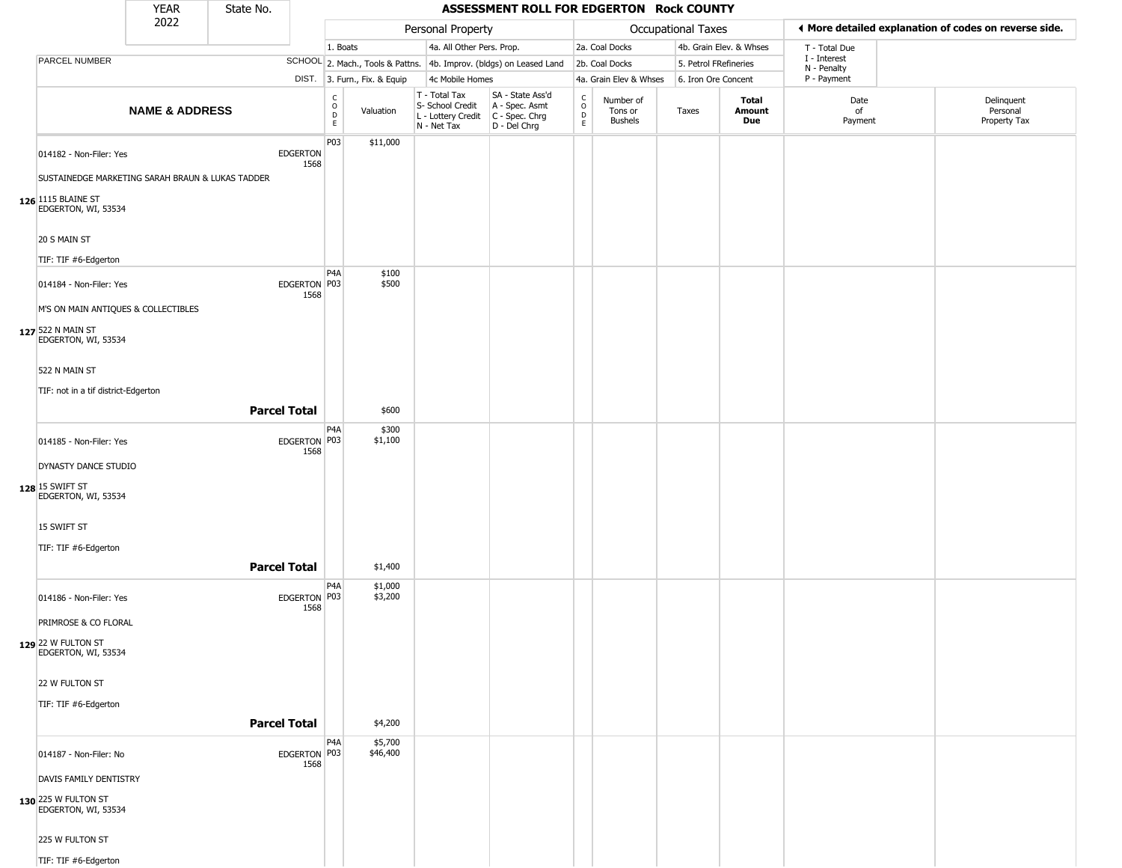|                                                                                                                             | <b>YEAR</b>               | State No.           |                         |                                                   |                              |                                                                        | ASSESSMENT ROLL FOR EDGERTON Rock COUNTY                             |                                                 |                                        |                       |                         |                            |                                                       |
|-----------------------------------------------------------------------------------------------------------------------------|---------------------------|---------------------|-------------------------|---------------------------------------------------|------------------------------|------------------------------------------------------------------------|----------------------------------------------------------------------|-------------------------------------------------|----------------------------------------|-----------------------|-------------------------|----------------------------|-------------------------------------------------------|
|                                                                                                                             | 2022                      |                     |                         |                                                   |                              | Personal Property                                                      |                                                                      |                                                 |                                        | Occupational Taxes    |                         |                            | ♦ More detailed explanation of codes on reverse side. |
|                                                                                                                             |                           |                     |                         | 1. Boats                                          |                              | 4a. All Other Pers. Prop.                                              |                                                                      |                                                 | 2a. Coal Docks                         |                       | 4b. Grain Elev. & Whses | T - Total Due              |                                                       |
| PARCEL NUMBER                                                                                                               |                           |                     |                         |                                                   |                              |                                                                        | SCHOOL 2. Mach., Tools & Pattns. 4b. Improv. (bldgs) on Leased Land  |                                                 | 2b. Coal Docks                         | 5. Petrol FRefineries |                         | I - Interest               |                                                       |
|                                                                                                                             |                           |                     |                         |                                                   | DIST. 3. Furn., Fix. & Equip | 4c Mobile Homes                                                        |                                                                      |                                                 | 4a. Grain Elev & Whses                 | 6. Iron Ore Concent   |                         | N - Penalty<br>P - Payment |                                                       |
|                                                                                                                             | <b>NAME &amp; ADDRESS</b> |                     |                         | $\begin{array}{c}\nC \\ O \\ D \\ E\n\end{array}$ | Valuation                    | T - Total Tax<br>S- School Credit<br>L - Lottery Credit<br>N - Net Tax | SA - State Ass'd<br>A - Spec. Asmt<br>C - Spec. Chrg<br>D - Del Chrg | $\begin{array}{c} C \\ O \\ D \\ E \end{array}$ | Number of<br>Tons or<br><b>Bushels</b> | Taxes                 | Total<br>Amount<br>Due  | Date<br>of<br>Payment      | Delinquent<br>Personal<br>Property Tax                |
| 014182 - Non-Filer: Yes<br>SUSTAINEDGE MARKETING SARAH BRAUN & LUKAS TADDER<br>126 1115 BLAINE ST<br>EDGERTON, WI, 53534    |                           |                     | <b>EDGERTON</b><br>1568 | P03                                               | \$11,000                     |                                                                        |                                                                      |                                                 |                                        |                       |                         |                            |                                                       |
| 20 S MAIN ST<br>TIF: TIF #6-Edgerton                                                                                        |                           |                     |                         | P <sub>4</sub> A                                  | \$100                        |                                                                        |                                                                      |                                                 |                                        |                       |                         |                            |                                                       |
| 014184 - Non-Filer: Yes<br>M'S ON MAIN ANTIQUES & COLLECTIBLES<br>127 522 N MAIN ST<br>EDGERTON, WI, 53534<br>522 N MAIN ST |                           |                     | EDGERTON P03<br>1568    |                                                   | \$500                        |                                                                        |                                                                      |                                                 |                                        |                       |                         |                            |                                                       |
| TIF: not in a tif district-Edgerton                                                                                         |                           | <b>Parcel Total</b> |                         |                                                   | \$600                        |                                                                        |                                                                      |                                                 |                                        |                       |                         |                            |                                                       |
|                                                                                                                             |                           |                     |                         | P4A                                               | \$300                        |                                                                        |                                                                      |                                                 |                                        |                       |                         |                            |                                                       |
| 014185 - Non-Filer: Yes<br>DYNASTY DANCE STUDIO<br>128 15 SWIFT ST<br>EDGERTON, WI, 53534                                   |                           |                     | EDGERTON P03<br>1568    |                                                   | \$1,100                      |                                                                        |                                                                      |                                                 |                                        |                       |                         |                            |                                                       |
| 15 SWIFT ST<br>TIF: TIF #6-Edgerton                                                                                         |                           | <b>Parcel Total</b> |                         |                                                   | \$1,400                      |                                                                        |                                                                      |                                                 |                                        |                       |                         |                            |                                                       |
| 014186 - Non-Filer: Yes<br>PRIMROSE & CO FLORAL                                                                             |                           |                     | EDGERTON P03<br>1568    | P <sub>4</sub> A                                  | \$1,000<br>\$3,200           |                                                                        |                                                                      |                                                 |                                        |                       |                         |                            |                                                       |
| 129 22 W FULTON ST<br>EDGERTON, WI, 53534<br>22 W FULTON ST<br>TIF: TIF #6-Edgerton                                         |                           |                     |                         |                                                   |                              |                                                                        |                                                                      |                                                 |                                        |                       |                         |                            |                                                       |
|                                                                                                                             |                           | <b>Parcel Total</b> |                         |                                                   | \$4,200                      |                                                                        |                                                                      |                                                 |                                        |                       |                         |                            |                                                       |
| 014187 - Non-Filer: No<br>DAVIS FAMILY DENTISTRY<br>130 225 W FULTON ST<br>EDGERTON, WI, 53534                              |                           |                     | EDGERTON P03<br>1568    | P <sub>4</sub> A                                  | \$5,700<br>\$46,400          |                                                                        |                                                                      |                                                 |                                        |                       |                         |                            |                                                       |
| 225 W FULTON ST<br>TIF: TIF #6-Edgerton                                                                                     |                           |                     |                         |                                                   |                              |                                                                        |                                                                      |                                                 |                                        |                       |                         |                            |                                                       |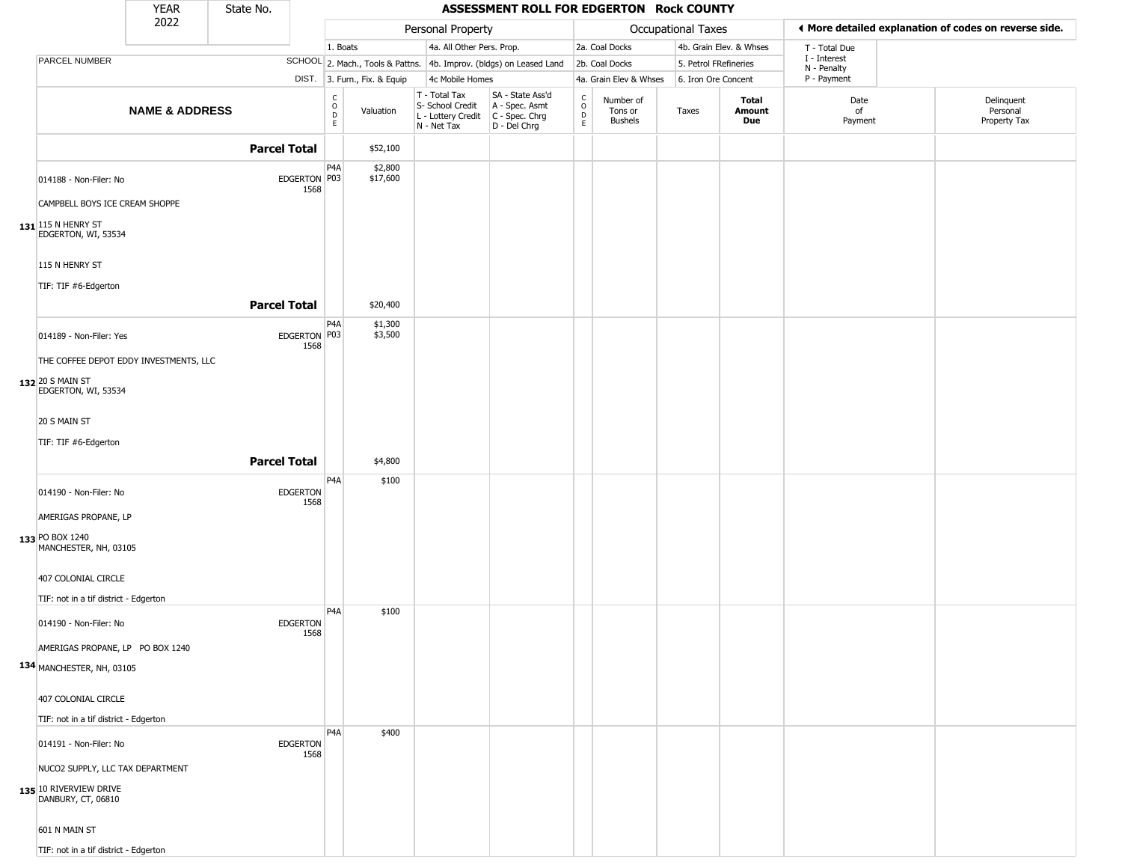|                                              | <b>YEAR</b>               | State No.           |                         |                                        |                              |                                                                                         | ASSESSMENT ROLL FOR EDGERTON Rock COUNTY                            |                                            |                                 |                       |                         |                                                       |                                        |
|----------------------------------------------|---------------------------|---------------------|-------------------------|----------------------------------------|------------------------------|-----------------------------------------------------------------------------------------|---------------------------------------------------------------------|--------------------------------------------|---------------------------------|-----------------------|-------------------------|-------------------------------------------------------|----------------------------------------|
|                                              | 2022                      |                     |                         |                                        |                              | Personal Property                                                                       |                                                                     |                                            |                                 | Occupational Taxes    |                         | ♦ More detailed explanation of codes on reverse side. |                                        |
|                                              |                           |                     |                         | 1. Boats                               |                              | 4a. All Other Pers. Prop.                                                               |                                                                     |                                            | 2a. Coal Docks                  |                       | 4b. Grain Elev. & Whses | T - Total Due                                         |                                        |
| PARCEL NUMBER                                |                           |                     |                         |                                        |                              |                                                                                         | SCHOOL 2. Mach., Tools & Pattns. 4b. Improv. (bldgs) on Leased Land |                                            | 2b. Coal Docks                  | 5. Petrol FRefineries |                         | I - Interest<br>N - Penalty                           |                                        |
|                                              |                           |                     |                         |                                        | DIST. 3. Furn., Fix. & Equip | 4c Mobile Homes                                                                         |                                                                     |                                            | 4a. Grain Elev & Whses          | 6. Iron Ore Concent   |                         | P - Payment                                           |                                        |
|                                              | <b>NAME &amp; ADDRESS</b> |                     |                         | $_{\rm o}^{\rm c}$<br>$\mathsf D$<br>E | Valuation                    | T - Total Tax<br>S- School Credit<br>L - Lottery Credit   C - Spec. Chrg<br>N - Net Tax | SA - State Ass'd<br>A - Spec. Asmt<br>D - Del Chrg                  | $\begin{array}{c} C \\ O \\ E \end{array}$ | Number of<br>Tons or<br>Bushels | Taxes                 | Total<br>Amount<br>Due  | Date<br>of<br>Payment                                 | Delinquent<br>Personal<br>Property Tax |
|                                              |                           | <b>Parcel Total</b> |                         |                                        | \$52,100                     |                                                                                         |                                                                     |                                            |                                 |                       |                         |                                                       |                                        |
| 014188 - Non-Filer: No                       |                           |                     | EDGERTON P03<br>1568    | P <sub>4</sub> A                       | \$2,800<br>\$17,600          |                                                                                         |                                                                     |                                            |                                 |                       |                         |                                                       |                                        |
| CAMPBELL BOYS ICE CREAM SHOPPE               |                           |                     |                         |                                        |                              |                                                                                         |                                                                     |                                            |                                 |                       |                         |                                                       |                                        |
| 131 115 N HENRY ST<br>EDGERTON, WI, 53534    |                           |                     |                         |                                        |                              |                                                                                         |                                                                     |                                            |                                 |                       |                         |                                                       |                                        |
| 115 N HENRY ST                               |                           |                     |                         |                                        |                              |                                                                                         |                                                                     |                                            |                                 |                       |                         |                                                       |                                        |
| TIF: TIF #6-Edgerton                         |                           | <b>Parcel Total</b> |                         |                                        | \$20,400                     |                                                                                         |                                                                     |                                            |                                 |                       |                         |                                                       |                                        |
| 014189 - Non-Filer: Yes                      |                           |                     | EDGERTON P03            | P4A                                    | \$1,300<br>\$3,500           |                                                                                         |                                                                     |                                            |                                 |                       |                         |                                                       |                                        |
| THE COFFEE DEPOT EDDY INVESTMENTS, LLC       |                           |                     | 1568                    |                                        |                              |                                                                                         |                                                                     |                                            |                                 |                       |                         |                                                       |                                        |
| 132 20 S MAIN ST<br>EDGERTON, WI, 53534      |                           |                     |                         |                                        |                              |                                                                                         |                                                                     |                                            |                                 |                       |                         |                                                       |                                        |
| 20 S MAIN ST                                 |                           |                     |                         |                                        |                              |                                                                                         |                                                                     |                                            |                                 |                       |                         |                                                       |                                        |
| TIF: TIF #6-Edgerton                         |                           |                     |                         |                                        |                              |                                                                                         |                                                                     |                                            |                                 |                       |                         |                                                       |                                        |
|                                              |                           | <b>Parcel Total</b> |                         |                                        | \$4,800                      |                                                                                         |                                                                     |                                            |                                 |                       |                         |                                                       |                                        |
| 014190 - Non-Filer: No                       |                           |                     | <b>EDGERTON</b><br>1568 | P4A                                    | \$100                        |                                                                                         |                                                                     |                                            |                                 |                       |                         |                                                       |                                        |
| AMERIGAS PROPANE, LP                         |                           |                     |                         |                                        |                              |                                                                                         |                                                                     |                                            |                                 |                       |                         |                                                       |                                        |
| 133 PO BOX 1240<br>MANCHESTER, NH, 03105     |                           |                     |                         |                                        |                              |                                                                                         |                                                                     |                                            |                                 |                       |                         |                                                       |                                        |
| 407 COLONIAL CIRCLE                          |                           |                     |                         |                                        |                              |                                                                                         |                                                                     |                                            |                                 |                       |                         |                                                       |                                        |
| TIF: not in a tif district - Edgerton        |                           |                     |                         | P <sub>4</sub> A                       | \$100                        |                                                                                         |                                                                     |                                            |                                 |                       |                         |                                                       |                                        |
| 014190 - Non-Filer: No                       |                           |                     | <b>EDGERTON</b><br>1568 |                                        |                              |                                                                                         |                                                                     |                                            |                                 |                       |                         |                                                       |                                        |
| AMERIGAS PROPANE, LP PO BOX 1240             |                           |                     |                         |                                        |                              |                                                                                         |                                                                     |                                            |                                 |                       |                         |                                                       |                                        |
| 134 MANCHESTER, NH, 03105                    |                           |                     |                         |                                        |                              |                                                                                         |                                                                     |                                            |                                 |                       |                         |                                                       |                                        |
| 407 COLONIAL CIRCLE                          |                           |                     |                         |                                        |                              |                                                                                         |                                                                     |                                            |                                 |                       |                         |                                                       |                                        |
| TIF: not in a tif district - Edgerton        |                           |                     |                         |                                        |                              |                                                                                         |                                                                     |                                            |                                 |                       |                         |                                                       |                                        |
| 014191 - Non-Filer: No                       |                           |                     | <b>EDGERTON</b><br>1568 | P <sub>4</sub> A                       | \$400                        |                                                                                         |                                                                     |                                            |                                 |                       |                         |                                                       |                                        |
| NUCO2 SUPPLY, LLC TAX DEPARTMENT             |                           |                     |                         |                                        |                              |                                                                                         |                                                                     |                                            |                                 |                       |                         |                                                       |                                        |
| 135 10 RIVERVIEW DRIVE<br>DANBURY, CT, 06810 |                           |                     |                         |                                        |                              |                                                                                         |                                                                     |                                            |                                 |                       |                         |                                                       |                                        |
| 601 N MAIN ST                                |                           |                     |                         |                                        |                              |                                                                                         |                                                                     |                                            |                                 |                       |                         |                                                       |                                        |
| TIF: not in a tif district - Edgerton        |                           |                     |                         |                                        |                              |                                                                                         |                                                                     |                                            |                                 |                       |                         |                                                       |                                        |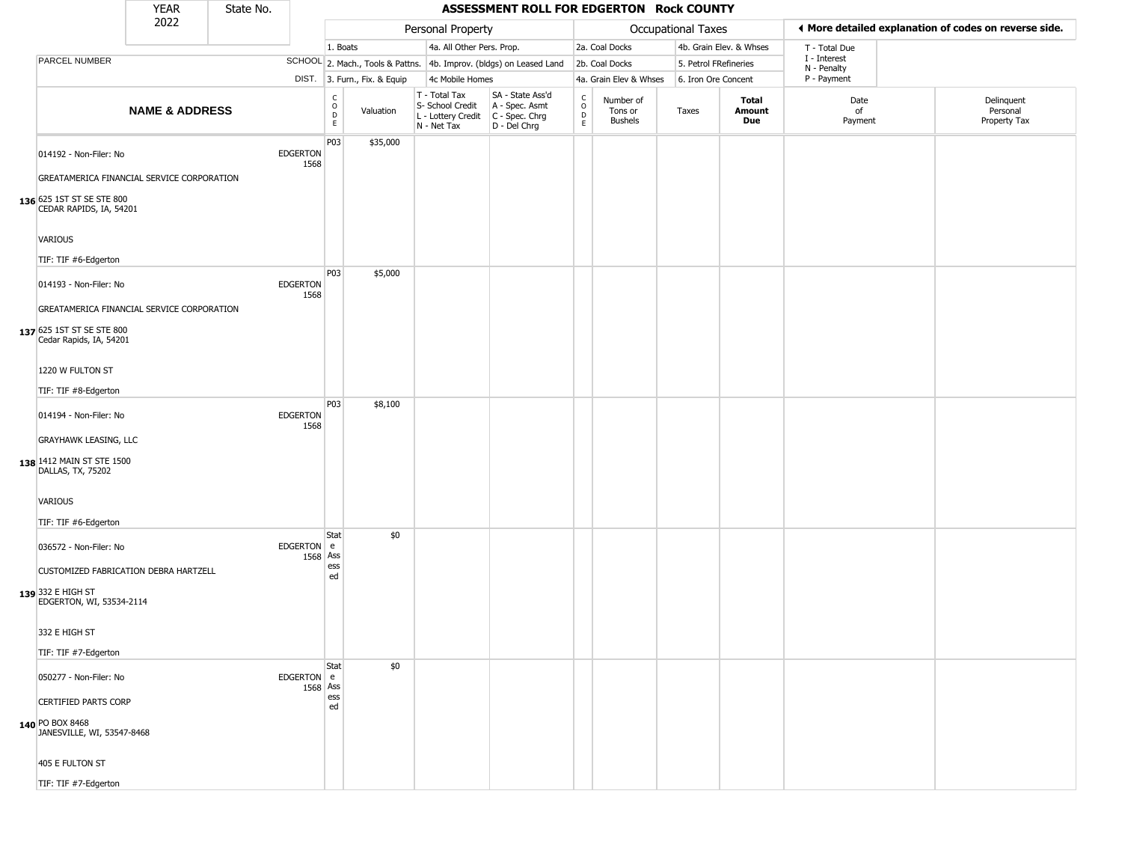|                                                                                                    | <b>YEAR</b>               | State No. |                         |                                                  |                              |                                                                        | ASSESSMENT ROLL FOR EDGERTON Rock COUNTY                             |                                 |                                        |                       |                         |                             |                                                       |
|----------------------------------------------------------------------------------------------------|---------------------------|-----------|-------------------------|--------------------------------------------------|------------------------------|------------------------------------------------------------------------|----------------------------------------------------------------------|---------------------------------|----------------------------------------|-----------------------|-------------------------|-----------------------------|-------------------------------------------------------|
|                                                                                                    | 2022                      |           |                         |                                                  |                              | Personal Property                                                      |                                                                      |                                 |                                        | Occupational Taxes    |                         |                             | ♦ More detailed explanation of codes on reverse side. |
|                                                                                                    |                           |           |                         | 1. Boats                                         |                              | 4a. All Other Pers. Prop.                                              |                                                                      |                                 | 2a. Coal Docks                         |                       | 4b. Grain Elev. & Whses | T - Total Due               |                                                       |
| PARCEL NUMBER                                                                                      |                           |           |                         |                                                  |                              |                                                                        | SCHOOL 2. Mach., Tools & Pattns. 4b. Improv. (bldgs) on Leased Land  |                                 | 2b. Coal Docks                         | 5. Petrol FRefineries |                         | I - Interest<br>N - Penalty |                                                       |
|                                                                                                    |                           |           |                         |                                                  | DIST. 3. Furn., Fix. & Equip | 4c Mobile Homes                                                        |                                                                      |                                 | 4a. Grain Elev & Whses                 | 6. Iron Ore Concent   |                         | P - Payment                 |                                                       |
|                                                                                                    | <b>NAME &amp; ADDRESS</b> |           |                         | $_{\rm o}^{\rm c}$<br>$\mathsf D$<br>$\mathsf E$ | Valuation                    | T - Total Tax<br>S- School Credit<br>L - Lottery Credit<br>N - Net Tax | SA - State Ass'd<br>A - Spec. Asmt<br>C - Spec. Chrg<br>D - Del Chrg | $\rm _o^C$<br>$\mathsf{D}$<br>E | Number of<br>Tons or<br><b>Bushels</b> | Taxes                 | Total<br>Amount<br>Due  | Date<br>of<br>Payment       | Delinquent<br>Personal<br>Property Tax                |
| 014192 - Non-Filer: No<br>GREATAMERICA FINANCIAL SERVICE CORPORATION                               |                           |           | EDGERTON<br>1568        | P03                                              | \$35,000                     |                                                                        |                                                                      |                                 |                                        |                       |                         |                             |                                                       |
| 136 625 1ST ST SE STE 800<br>CEDAR RAPIDS, IA, 54201                                               |                           |           |                         |                                                  |                              |                                                                        |                                                                      |                                 |                                        |                       |                         |                             |                                                       |
| VARIOUS<br>TIF: TIF #6-Edgerton                                                                    |                           |           |                         |                                                  |                              |                                                                        |                                                                      |                                 |                                        |                       |                         |                             |                                                       |
| 014193 - Non-Filer: No                                                                             |                           |           | <b>EDGERTON</b><br>1568 | P03                                              | \$5,000                      |                                                                        |                                                                      |                                 |                                        |                       |                         |                             |                                                       |
| GREATAMERICA FINANCIAL SERVICE CORPORATION<br>137 625 1ST ST SE STE 800<br>Cedar Rapids, IA, 54201 |                           |           |                         |                                                  |                              |                                                                        |                                                                      |                                 |                                        |                       |                         |                             |                                                       |
| 1220 W FULTON ST<br>TIF: TIF #8-Edgerton                                                           |                           |           |                         |                                                  |                              |                                                                        |                                                                      |                                 |                                        |                       |                         |                             |                                                       |
| 014194 - Non-Filer: No                                                                             |                           |           | <b>EDGERTON</b><br>1568 | P03                                              | \$8,100                      |                                                                        |                                                                      |                                 |                                        |                       |                         |                             |                                                       |
| <b>GRAYHAWK LEASING, LLC</b><br>138 1412 MAIN ST STE 1500<br>DALLAS, TX, 75202                     |                           |           |                         |                                                  |                              |                                                                        |                                                                      |                                 |                                        |                       |                         |                             |                                                       |
| VARIOUS<br>TIF: TIF #6-Edgerton                                                                    |                           |           |                         |                                                  |                              |                                                                        |                                                                      |                                 |                                        |                       |                         |                             |                                                       |
| 036572 - Non-Filer: No                                                                             |                           |           | EDGERTON e<br>1568 Ass  | Stat                                             | \$0                          |                                                                        |                                                                      |                                 |                                        |                       |                         |                             |                                                       |
| CUSTOMIZED FABRICATION DEBRA HARTZELL<br>139 332 E HIGH ST<br>EDGERTON, WI, 53534-2114             |                           |           |                         | ess<br>ed                                        |                              |                                                                        |                                                                      |                                 |                                        |                       |                         |                             |                                                       |
| 332 E HIGH ST                                                                                      |                           |           |                         |                                                  |                              |                                                                        |                                                                      |                                 |                                        |                       |                         |                             |                                                       |
| TIF: TIF #7-Edgerton                                                                               |                           |           |                         | Stat                                             | \$0                          |                                                                        |                                                                      |                                 |                                        |                       |                         |                             |                                                       |
| 050277 - Non-Filer: No<br>CERTIFIED PARTS CORP                                                     |                           |           | EDGERTON e<br>1568 Ass  | ess                                              |                              |                                                                        |                                                                      |                                 |                                        |                       |                         |                             |                                                       |
| 140 PO BOX 8468<br>JANESVILLE, WI, 53547-8468                                                      |                           |           |                         | ed                                               |                              |                                                                        |                                                                      |                                 |                                        |                       |                         |                             |                                                       |
| 405 E FULTON ST                                                                                    |                           |           |                         |                                                  |                              |                                                                        |                                                                      |                                 |                                        |                       |                         |                             |                                                       |
| TIF: TIF #7-Edgerton                                                                               |                           |           |                         |                                                  |                              |                                                                        |                                                                      |                                 |                                        |                       |                         |                             |                                                       |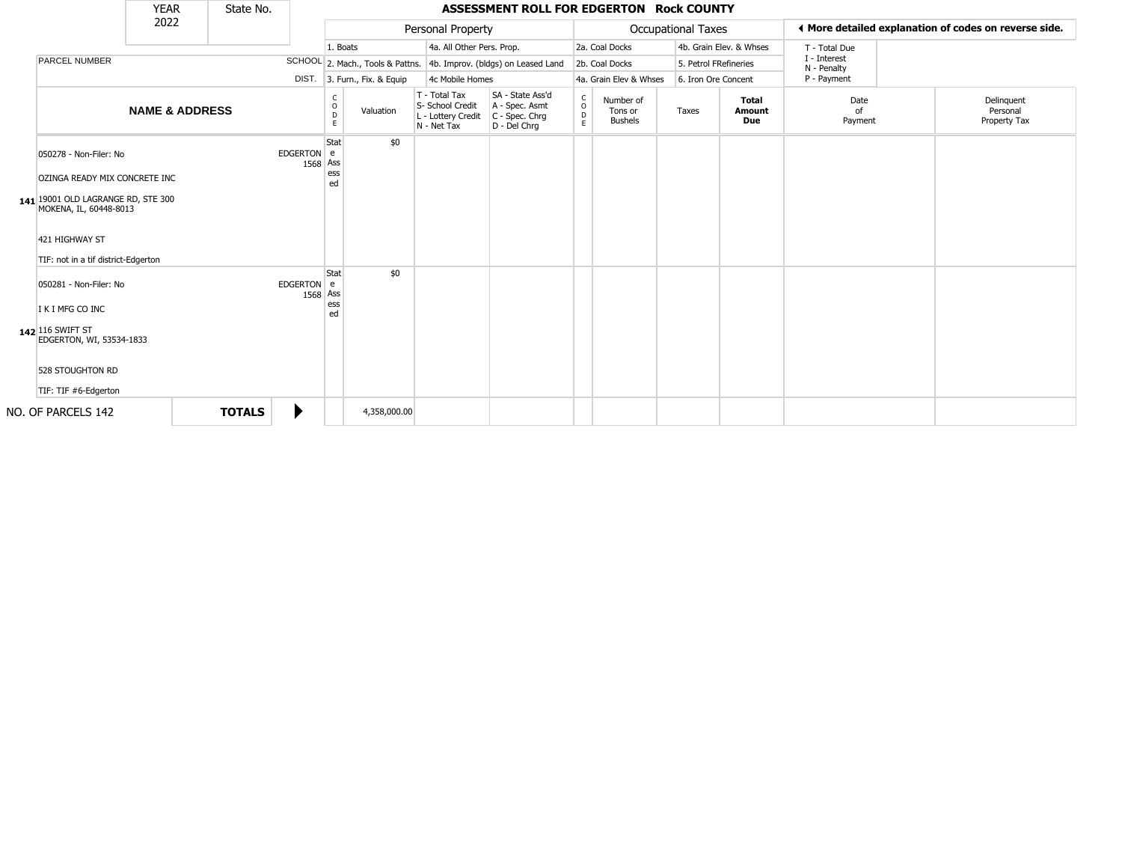|                                                                                                                                                                                  | <b>YEAR</b>               | State No.     |                        |                        |                              |                                                                        | ASSESSMENT ROLL FOR EDGERTON Rock COUNTY                               |                                                |                                        |                           |                                      |                             |                                                       |
|----------------------------------------------------------------------------------------------------------------------------------------------------------------------------------|---------------------------|---------------|------------------------|------------------------|------------------------------|------------------------------------------------------------------------|------------------------------------------------------------------------|------------------------------------------------|----------------------------------------|---------------------------|--------------------------------------|-----------------------------|-------------------------------------------------------|
|                                                                                                                                                                                  | 2022                      |               |                        |                        |                              | Personal Property                                                      |                                                                        |                                                |                                        | <b>Occupational Taxes</b> |                                      |                             | ♦ More detailed explanation of codes on reverse side. |
|                                                                                                                                                                                  |                           |               |                        | 1. Boats               |                              | 4a. All Other Pers. Prop.                                              |                                                                        |                                                | 2a. Coal Docks                         |                           | 4b. Grain Elev. & Whses              | T - Total Due               |                                                       |
| PARCEL NUMBER                                                                                                                                                                    |                           |               |                        |                        |                              |                                                                        | SCHOOL 2. Mach., Tools & Pattns. 4b. Improv. (bldgs) on Leased Land    |                                                | 2b. Coal Docks                         | 5. Petrol FRefineries     |                                      | I - Interest<br>N - Penalty |                                                       |
|                                                                                                                                                                                  |                           |               |                        |                        | DIST. 3. Furn., Fix. & Equip | 4c Mobile Homes                                                        |                                                                        |                                                | 4a. Grain Elev & Whses                 | 6. Iron Ore Concent       |                                      | P - Payment                 |                                                       |
|                                                                                                                                                                                  | <b>NAME &amp; ADDRESS</b> |               |                        | C<br>$\circ$<br>D<br>E | Valuation                    | T - Total Tax<br>S- School Credit<br>L - Lottery Credit<br>N - Net Tax | SA - State Ass'd<br>A - Spec. Asmt<br>$C - Spec. Chrg$<br>D - Del Chrq | $\begin{matrix} 0 \\ 0 \\ D \end{matrix}$<br>E | Number of<br>Tons or<br><b>Bushels</b> | Taxes                     | <b>Total</b><br><b>Amount</b><br>Due | Date<br>of<br>Payment       | Delinguent<br>Personal<br>Property Tax                |
| 050278 - Non-Filer: No<br>OZINGA READY MIX CONCRETE INC<br>141 19001 OLD LAGRANGE RD, STE 300<br>MOKENA, IL, 60448-8013<br>421 HIGHWAY ST<br>TIF: not in a tif district-Edgerton |                           |               | EDGERTON e<br>1568 Ass | Stat<br>ess<br>ed      | \$0                          |                                                                        |                                                                        |                                                |                                        |                           |                                      |                             |                                                       |
| 050281 - Non-Filer: No<br>I K I MFG CO INC<br>142 116 SWIFT ST<br>EDGERTON, WI, 53534-1833<br>528 STOUGHTON RD<br>TIF: TIF #6-Edgerton                                           |                           |               | EDGERTON e<br>1568 Ass | Stat<br>ess<br>ed      | \$0                          |                                                                        |                                                                        |                                                |                                        |                           |                                      |                             |                                                       |
| NO. OF PARCELS 142                                                                                                                                                               |                           | <b>TOTALS</b> | ▶                      |                        | 4,358,000.00                 |                                                                        |                                                                        |                                                |                                        |                           |                                      |                             |                                                       |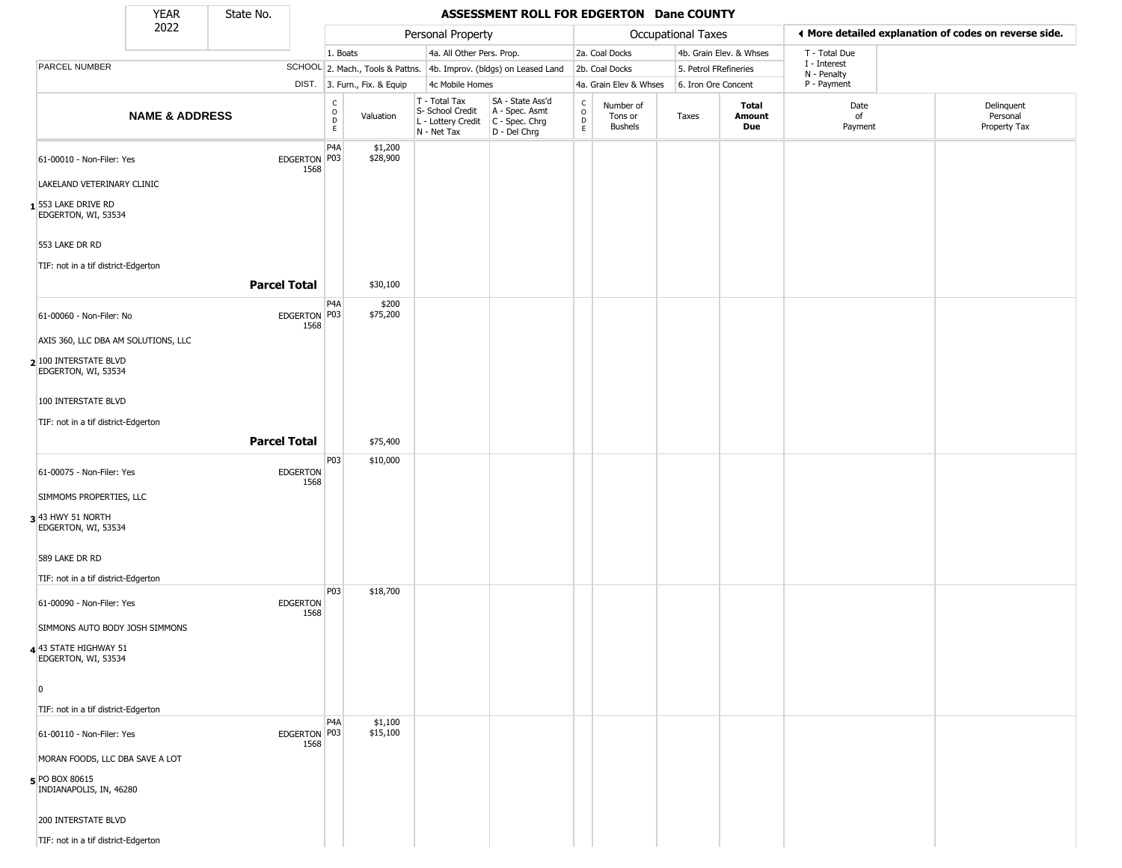State No.

Г

## **YEAR** State No. **ASSESSMENT ROLL FOR EDGERTON Dane COUNTY**

|                                                      | 2022                      |                     |                         |                                                 |                              | Personal Property                                                      |                                                                      |                                            |                                        | Occupational Taxes    |                         | ◀ More detailed explanation of codes on reverse side. |                                        |
|------------------------------------------------------|---------------------------|---------------------|-------------------------|-------------------------------------------------|------------------------------|------------------------------------------------------------------------|----------------------------------------------------------------------|--------------------------------------------|----------------------------------------|-----------------------|-------------------------|-------------------------------------------------------|----------------------------------------|
|                                                      |                           |                     |                         | 1. Boats                                        |                              | 4a. All Other Pers. Prop.                                              |                                                                      |                                            | 2a. Coal Docks                         |                       | 4b. Grain Elev. & Whses | T - Total Due                                         |                                        |
| PARCEL NUMBER                                        |                           |                     |                         |                                                 |                              |                                                                        | SCHOOL 2. Mach., Tools & Pattns. 4b. Improv. (bldgs) on Leased Land  |                                            | 2b. Coal Docks                         | 5. Petrol FRefineries |                         | I - Interest<br>N - Penalty                           |                                        |
|                                                      |                           |                     |                         |                                                 | DIST. 3. Furn., Fix. & Equip | 4c Mobile Homes                                                        |                                                                      |                                            | 4a. Grain Elev & Whses                 | 6. Iron Ore Concent   |                         | P - Payment                                           |                                        |
|                                                      | <b>NAME &amp; ADDRESS</b> |                     |                         | C<br>$\begin{array}{c} 0 \\ D \\ E \end{array}$ | Valuation                    | T - Total Tax<br>S- School Credit<br>L - Lottery Credit<br>N - Net Tax | SA - State Ass'd<br>A - Spec. Asmt<br>C - Spec. Chrg<br>D - Del Chrg | $\begin{array}{c} C \\ 0 \\ E \end{array}$ | Number of<br>Tons or<br><b>Bushels</b> | Taxes                 | Total<br>Amount<br>Due  | Date<br>of<br>Payment                                 | Delinquent<br>Personal<br>Property Tax |
| 61-00010 - Non-Filer: Yes                            |                           |                     | EDGERTON P03<br>1568    | P4A                                             | \$1,200<br>\$28,900          |                                                                        |                                                                      |                                            |                                        |                       |                         |                                                       |                                        |
| LAKELAND VETERINARY CLINIC                           |                           |                     |                         |                                                 |                              |                                                                        |                                                                      |                                            |                                        |                       |                         |                                                       |                                        |
| $\mathbf 1$ 553 lake drive RD<br>EDGERTON, WI, 53534 |                           |                     |                         |                                                 |                              |                                                                        |                                                                      |                                            |                                        |                       |                         |                                                       |                                        |
| 553 LAKE DR RD                                       |                           |                     |                         |                                                 |                              |                                                                        |                                                                      |                                            |                                        |                       |                         |                                                       |                                        |
| TIF: not in a tif district-Edgerton                  |                           |                     |                         |                                                 |                              |                                                                        |                                                                      |                                            |                                        |                       |                         |                                                       |                                        |
|                                                      |                           | <b>Parcel Total</b> |                         |                                                 | \$30,100                     |                                                                        |                                                                      |                                            |                                        |                       |                         |                                                       |                                        |
| 61-00060 - Non-Filer: No                             |                           |                     | EDGERTON P03<br>1568    | P4A                                             | \$200<br>\$75,200            |                                                                        |                                                                      |                                            |                                        |                       |                         |                                                       |                                        |
| AXIS 360, LLC DBA AM SOLUTIONS, LLC                  |                           |                     |                         |                                                 |                              |                                                                        |                                                                      |                                            |                                        |                       |                         |                                                       |                                        |
| 2 100 INTERSTATE BLVD<br>EDGERTON, WI, 53534         |                           |                     |                         |                                                 |                              |                                                                        |                                                                      |                                            |                                        |                       |                         |                                                       |                                        |
| 100 INTERSTATE BLVD                                  |                           |                     |                         |                                                 |                              |                                                                        |                                                                      |                                            |                                        |                       |                         |                                                       |                                        |
| TIF: not in a tif district-Edgerton                  |                           |                     |                         |                                                 |                              |                                                                        |                                                                      |                                            |                                        |                       |                         |                                                       |                                        |
|                                                      |                           | <b>Parcel Total</b> |                         |                                                 | \$75,400                     |                                                                        |                                                                      |                                            |                                        |                       |                         |                                                       |                                        |
| 61-00075 - Non-Filer: Yes                            |                           |                     | EDGERTON                | P <sub>03</sub>                                 | \$10,000                     |                                                                        |                                                                      |                                            |                                        |                       |                         |                                                       |                                        |
|                                                      |                           |                     | 1568                    |                                                 |                              |                                                                        |                                                                      |                                            |                                        |                       |                         |                                                       |                                        |
| SIMMOMS PROPERTIES, LLC<br>3 43 HWY 51 NORTH         |                           |                     |                         |                                                 |                              |                                                                        |                                                                      |                                            |                                        |                       |                         |                                                       |                                        |
| EDGERTON, WI, 53534                                  |                           |                     |                         |                                                 |                              |                                                                        |                                                                      |                                            |                                        |                       |                         |                                                       |                                        |
| 589 LAKE DR RD                                       |                           |                     |                         |                                                 |                              |                                                                        |                                                                      |                                            |                                        |                       |                         |                                                       |                                        |
| TIF: not in a tif district-Edgerton                  |                           |                     |                         | P03                                             | \$18,700                     |                                                                        |                                                                      |                                            |                                        |                       |                         |                                                       |                                        |
| 61-00090 - Non-Filer: Yes                            |                           |                     | <b>EDGERTON</b><br>1568 |                                                 |                              |                                                                        |                                                                      |                                            |                                        |                       |                         |                                                       |                                        |
| SIMMONS AUTO BODY JOSH SIMMONS                       |                           |                     |                         |                                                 |                              |                                                                        |                                                                      |                                            |                                        |                       |                         |                                                       |                                        |
| 4 43 STATE HIGHWAY 51<br>EDGERTON, WI, 53534         |                           |                     |                         |                                                 |                              |                                                                        |                                                                      |                                            |                                        |                       |                         |                                                       |                                        |
| $\overline{0}$                                       |                           |                     |                         |                                                 |                              |                                                                        |                                                                      |                                            |                                        |                       |                         |                                                       |                                        |
| TIF: not in a tif district-Edgerton                  |                           |                     |                         |                                                 |                              |                                                                        |                                                                      |                                            |                                        |                       |                         |                                                       |                                        |
| 61-00110 - Non-Filer: Yes                            |                           |                     | EDGERTON P03<br>1568    | P <sub>4</sub> A                                | \$1,100<br>\$15,100          |                                                                        |                                                                      |                                            |                                        |                       |                         |                                                       |                                        |
| MORAN FOODS, LLC DBA SAVE A LOT                      |                           |                     |                         |                                                 |                              |                                                                        |                                                                      |                                            |                                        |                       |                         |                                                       |                                        |
| 5 PO BOX 80615<br>INDIANAPOLIS, IN, 46280            |                           |                     |                         |                                                 |                              |                                                                        |                                                                      |                                            |                                        |                       |                         |                                                       |                                        |
| <b>200 INTERSTATE BLVD</b>                           |                           |                     |                         |                                                 |                              |                                                                        |                                                                      |                                            |                                        |                       |                         |                                                       |                                        |
| TIF: not in a tif district-Edgerton                  |                           |                     |                         |                                                 |                              |                                                                        |                                                                      |                                            |                                        |                       |                         |                                                       |                                        |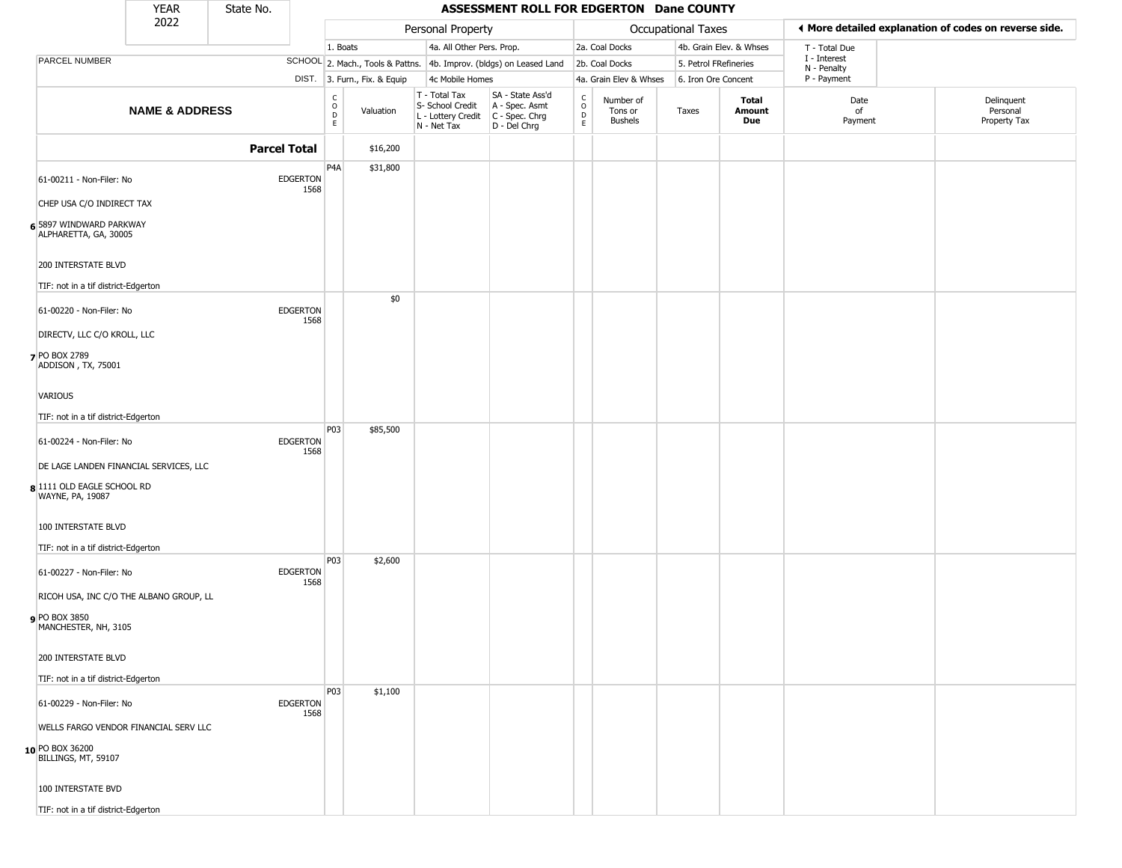|                                                  | <b>YEAR</b>               | State No.           |                         |                            |                              |                                                                                         | ASSESSMENT ROLL FOR EDGERTON Dane COUNTY                            |                                                          |                                        |                       |                         |                             |                                                       |
|--------------------------------------------------|---------------------------|---------------------|-------------------------|----------------------------|------------------------------|-----------------------------------------------------------------------------------------|---------------------------------------------------------------------|----------------------------------------------------------|----------------------------------------|-----------------------|-------------------------|-----------------------------|-------------------------------------------------------|
|                                                  | 2022                      |                     |                         |                            |                              | Personal Property                                                                       |                                                                     |                                                          |                                        | Occupational Taxes    |                         |                             | ♦ More detailed explanation of codes on reverse side. |
|                                                  |                           |                     |                         | 1. Boats                   |                              | 4a. All Other Pers. Prop.                                                               |                                                                     |                                                          | 2a. Coal Docks                         |                       | 4b. Grain Elev. & Whses | T - Total Due               |                                                       |
| PARCEL NUMBER                                    |                           |                     |                         |                            |                              |                                                                                         | SCHOOL 2. Mach., Tools & Pattns. 4b. Improv. (bldgs) on Leased Land |                                                          | 2b. Coal Docks                         | 5. Petrol FRefineries |                         | I - Interest<br>N - Penalty |                                                       |
|                                                  |                           |                     |                         |                            | DIST. 3. Furn., Fix. & Equip | 4c Mobile Homes                                                                         |                                                                     |                                                          | 4a. Grain Elev & Whses                 | 6. Iron Ore Concent   |                         | P - Payment                 |                                                       |
|                                                  | <b>NAME &amp; ADDRESS</b> |                     |                         | C<br>$\mathsf O$<br>D<br>E | Valuation                    | T - Total Tax<br>S- School Credit<br>L - Lottery Credit   C - Spec. Chrg<br>N - Net Tax | SA - State Ass'd<br>A - Spec. Asmt<br>D - Del Chrg                  | $\begin{smallmatrix} C \\ O \\ D \end{smallmatrix}$<br>E | Number of<br>Tons or<br><b>Bushels</b> | Taxes                 | Total<br>Amount<br>Due  | Date<br>of<br>Payment       | Delinquent<br>Personal<br>Property Tax                |
|                                                  |                           | <b>Parcel Total</b> |                         |                            | \$16,200                     |                                                                                         |                                                                     |                                                          |                                        |                       |                         |                             |                                                       |
| 61-00211 - Non-Filer: No                         |                           |                     | <b>EDGERTON</b><br>1568 | P <sub>4</sub> A           | \$31,800                     |                                                                                         |                                                                     |                                                          |                                        |                       |                         |                             |                                                       |
| CHEP USA C/O INDIRECT TAX                        |                           |                     |                         |                            |                              |                                                                                         |                                                                     |                                                          |                                        |                       |                         |                             |                                                       |
| 6 5897 WINDWARD PARKWAY<br>ALPHARETTA, GA, 30005 |                           |                     |                         |                            |                              |                                                                                         |                                                                     |                                                          |                                        |                       |                         |                             |                                                       |
| 200 INTERSTATE BLVD                              |                           |                     |                         |                            |                              |                                                                                         |                                                                     |                                                          |                                        |                       |                         |                             |                                                       |
| TIF: not in a tif district-Edgerton              |                           |                     |                         |                            | \$0                          |                                                                                         |                                                                     |                                                          |                                        |                       |                         |                             |                                                       |
| 61-00220 - Non-Filer: No                         |                           |                     | <b>EDGERTON</b><br>1568 |                            |                              |                                                                                         |                                                                     |                                                          |                                        |                       |                         |                             |                                                       |
| DIRECTV, LLC C/O KROLL, LLC                      |                           |                     |                         |                            |                              |                                                                                         |                                                                     |                                                          |                                        |                       |                         |                             |                                                       |
| 7 PO BOX 2789<br>ADDISON, TX, 75001              |                           |                     |                         |                            |                              |                                                                                         |                                                                     |                                                          |                                        |                       |                         |                             |                                                       |
| VARIOUS                                          |                           |                     |                         |                            |                              |                                                                                         |                                                                     |                                                          |                                        |                       |                         |                             |                                                       |
| TIF: not in a tif district-Edgerton              |                           |                     |                         |                            |                              |                                                                                         |                                                                     |                                                          |                                        |                       |                         |                             |                                                       |
| 61-00224 - Non-Filer: No                         |                           |                     | <b>EDGERTON</b><br>1568 | <b>P03</b>                 | \$85,500                     |                                                                                         |                                                                     |                                                          |                                        |                       |                         |                             |                                                       |
| DE LAGE LANDEN FINANCIAL SERVICES, LLC           |                           |                     |                         |                            |                              |                                                                                         |                                                                     |                                                          |                                        |                       |                         |                             |                                                       |
| 8 1111 OLD EAGLE SCHOOL RD<br>WAYNE, PA, 19087   |                           |                     |                         |                            |                              |                                                                                         |                                                                     |                                                          |                                        |                       |                         |                             |                                                       |
| 100 INTERSTATE BLVD                              |                           |                     |                         |                            |                              |                                                                                         |                                                                     |                                                          |                                        |                       |                         |                             |                                                       |
| TIF: not in a tif district-Edgerton              |                           |                     |                         |                            |                              |                                                                                         |                                                                     |                                                          |                                        |                       |                         |                             |                                                       |
| 61-00227 - Non-Filer: No                         |                           |                     | <b>EDGERTON</b><br>1568 | P03                        | \$2,600                      |                                                                                         |                                                                     |                                                          |                                        |                       |                         |                             |                                                       |
| RICOH USA, INC C/O THE ALBANO GROUP, LL          |                           |                     |                         |                            |                              |                                                                                         |                                                                     |                                                          |                                        |                       |                         |                             |                                                       |
| <b>9</b> PO BOX 3850<br>MANCHESTER, NH, 3105     |                           |                     |                         |                            |                              |                                                                                         |                                                                     |                                                          |                                        |                       |                         |                             |                                                       |
| 200 INTERSTATE BLVD                              |                           |                     |                         |                            |                              |                                                                                         |                                                                     |                                                          |                                        |                       |                         |                             |                                                       |
| TIF: not in a tif district-Edgerton              |                           |                     |                         |                            |                              |                                                                                         |                                                                     |                                                          |                                        |                       |                         |                             |                                                       |
| 61-00229 - Non-Filer: No                         |                           |                     | <b>EDGERTON</b><br>1568 | <b>P03</b>                 | \$1,100                      |                                                                                         |                                                                     |                                                          |                                        |                       |                         |                             |                                                       |
| WELLS FARGO VENDOR FINANCIAL SERV LLC            |                           |                     |                         |                            |                              |                                                                                         |                                                                     |                                                          |                                        |                       |                         |                             |                                                       |
| 10 PO BOX 36200<br>BILLINGS, MT, 59107           |                           |                     |                         |                            |                              |                                                                                         |                                                                     |                                                          |                                        |                       |                         |                             |                                                       |
| 100 INTERSTATE BVD                               |                           |                     |                         |                            |                              |                                                                                         |                                                                     |                                                          |                                        |                       |                         |                             |                                                       |
| TIF: not in a tif district-Edgerton              |                           |                     |                         |                            |                              |                                                                                         |                                                                     |                                                          |                                        |                       |                         |                             |                                                       |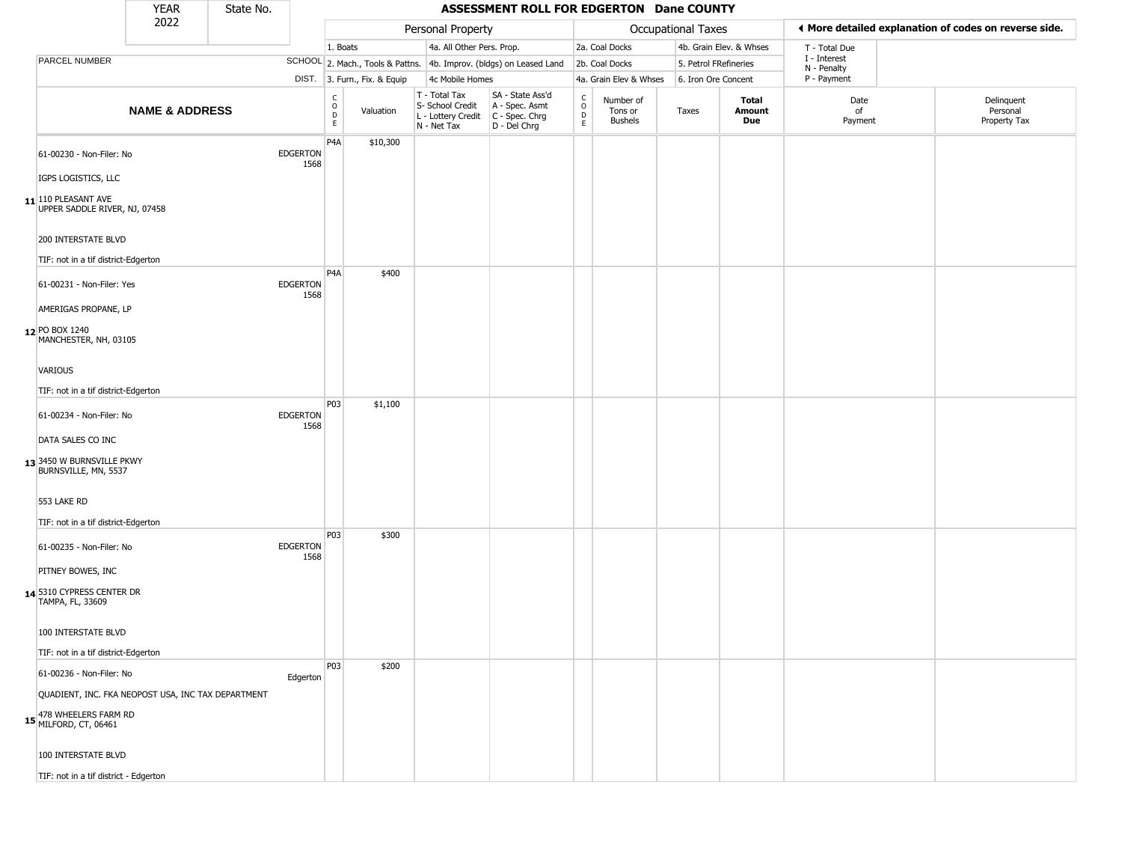|                                                                   | <b>YEAR</b>               | State No. |                         |                                              |                              |                                                                                         | ASSESSMENT ROLL FOR EDGERTON Dane COUNTY                            |                                              |                                 |                       |                         |                             |                                                       |
|-------------------------------------------------------------------|---------------------------|-----------|-------------------------|----------------------------------------------|------------------------------|-----------------------------------------------------------------------------------------|---------------------------------------------------------------------|----------------------------------------------|---------------------------------|-----------------------|-------------------------|-----------------------------|-------------------------------------------------------|
|                                                                   | 2022                      |           |                         |                                              |                              | Personal Property                                                                       |                                                                     |                                              |                                 | Occupational Taxes    |                         |                             | ♦ More detailed explanation of codes on reverse side. |
|                                                                   |                           |           |                         | 1. Boats                                     |                              | 4a. All Other Pers. Prop.                                                               |                                                                     |                                              | 2a. Coal Docks                  |                       | 4b. Grain Elev. & Whses | T - Total Due               |                                                       |
| PARCEL NUMBER                                                     |                           |           |                         |                                              |                              |                                                                                         | SCHOOL 2. Mach., Tools & Pattns. 4b. Improv. (bldgs) on Leased Land |                                              | 2b. Coal Docks                  | 5. Petrol FRefineries |                         | I - Interest<br>N - Penalty |                                                       |
|                                                                   |                           |           |                         |                                              | DIST. 3. Furn., Fix. & Equip | 4c Mobile Homes                                                                         |                                                                     |                                              | 4a. Grain Elev & Whses          | 6. Iron Ore Concent   |                         | P - Payment                 |                                                       |
|                                                                   | <b>NAME &amp; ADDRESS</b> |           |                         | $\begin{array}{c}\nC \\ O \\ D\n\end{array}$ | Valuation                    | T - Total Tax<br>S- School Credit<br>L - Lottery Credit   C - Spec. Chrg<br>N - Net Tax | SA - State Ass'd<br>A - Spec. Asmt<br>D - Del Chrg                  | $\begin{array}{c}\nC \\ D \\ E\n\end{array}$ | Number of<br>Tons or<br>Bushels | Taxes                 | Total<br>Amount<br>Due  | Date<br>of<br>Payment       | Delinquent<br>Personal<br>Property Tax                |
| 61-00230 - Non-Filer: No                                          |                           |           | <b>EDGERTON</b><br>1568 | P <sub>4</sub> A                             | \$10,300                     |                                                                                         |                                                                     |                                              |                                 |                       |                         |                             |                                                       |
| IGPS LOGISTICS, LLC                                               |                           |           |                         |                                              |                              |                                                                                         |                                                                     |                                              |                                 |                       |                         |                             |                                                       |
| $11$ <sup>110</sup> PLEASANT AVE<br>UPPER SADDLE RIVER, NJ, 07458 |                           |           |                         |                                              |                              |                                                                                         |                                                                     |                                              |                                 |                       |                         |                             |                                                       |
| 200 INTERSTATE BLVD                                               |                           |           |                         |                                              |                              |                                                                                         |                                                                     |                                              |                                 |                       |                         |                             |                                                       |
| TIF: not in a tif district-Edgerton                               |                           |           |                         |                                              |                              |                                                                                         |                                                                     |                                              |                                 |                       |                         |                             |                                                       |
| 61-00231 - Non-Filer: Yes                                         |                           |           | <b>EDGERTON</b>         | P <sub>4</sub> A                             | \$400                        |                                                                                         |                                                                     |                                              |                                 |                       |                         |                             |                                                       |
| AMERIGAS PROPANE, LP                                              |                           |           | 1568                    |                                              |                              |                                                                                         |                                                                     |                                              |                                 |                       |                         |                             |                                                       |
| 12 PO BOX 1240<br>MANCHESTER, NH, 03105                           |                           |           |                         |                                              |                              |                                                                                         |                                                                     |                                              |                                 |                       |                         |                             |                                                       |
| VARIOUS                                                           |                           |           |                         |                                              |                              |                                                                                         |                                                                     |                                              |                                 |                       |                         |                             |                                                       |
| TIF: not in a tif district-Edgerton                               |                           |           |                         |                                              |                              |                                                                                         |                                                                     |                                              |                                 |                       |                         |                             |                                                       |
| 61-00234 - Non-Filer: No                                          |                           |           | <b>EDGERTON</b>         | P03                                          | \$1,100                      |                                                                                         |                                                                     |                                              |                                 |                       |                         |                             |                                                       |
| DATA SALES CO INC                                                 |                           |           | 1568                    |                                              |                              |                                                                                         |                                                                     |                                              |                                 |                       |                         |                             |                                                       |
| 13 3450 W BURNSVILLE PKWY<br>BURNSVILLE, MN, 5537                 |                           |           |                         |                                              |                              |                                                                                         |                                                                     |                                              |                                 |                       |                         |                             |                                                       |
| 553 LAKE RD                                                       |                           |           |                         |                                              |                              |                                                                                         |                                                                     |                                              |                                 |                       |                         |                             |                                                       |
| TIF: not in a tif district-Edgerton                               |                           |           |                         |                                              |                              |                                                                                         |                                                                     |                                              |                                 |                       |                         |                             |                                                       |
| 61-00235 - Non-Filer: No                                          |                           |           | <b>EDGERTON</b><br>1568 | P03                                          | \$300                        |                                                                                         |                                                                     |                                              |                                 |                       |                         |                             |                                                       |
| PITNEY BOWES, INC                                                 |                           |           |                         |                                              |                              |                                                                                         |                                                                     |                                              |                                 |                       |                         |                             |                                                       |
| 14 5310 CYPRESS CENTER DR<br>TAMPA, FL, 33609                     |                           |           |                         |                                              |                              |                                                                                         |                                                                     |                                              |                                 |                       |                         |                             |                                                       |
| 100 INTERSTATE BLVD                                               |                           |           |                         |                                              |                              |                                                                                         |                                                                     |                                              |                                 |                       |                         |                             |                                                       |
| TIF: not in a tif district-Edgerton                               |                           |           |                         |                                              |                              |                                                                                         |                                                                     |                                              |                                 |                       |                         |                             |                                                       |
| 61-00236 - Non-Filer: No                                          |                           |           | Edgerton                | P03                                          | \$200                        |                                                                                         |                                                                     |                                              |                                 |                       |                         |                             |                                                       |
| QUADIENT, INC. FKA NEOPOST USA, INC TAX DEPARTMENT                |                           |           |                         |                                              |                              |                                                                                         |                                                                     |                                              |                                 |                       |                         |                             |                                                       |
| 15 478 WHEELERS FARM RD<br>MILFORD, CT, 06461                     |                           |           |                         |                                              |                              |                                                                                         |                                                                     |                                              |                                 |                       |                         |                             |                                                       |
| 100 INTERSTATE BLVD                                               |                           |           |                         |                                              |                              |                                                                                         |                                                                     |                                              |                                 |                       |                         |                             |                                                       |
| TIF: not in a tif district - Edgerton                             |                           |           |                         |                                              |                              |                                                                                         |                                                                     |                                              |                                 |                       |                         |                             |                                                       |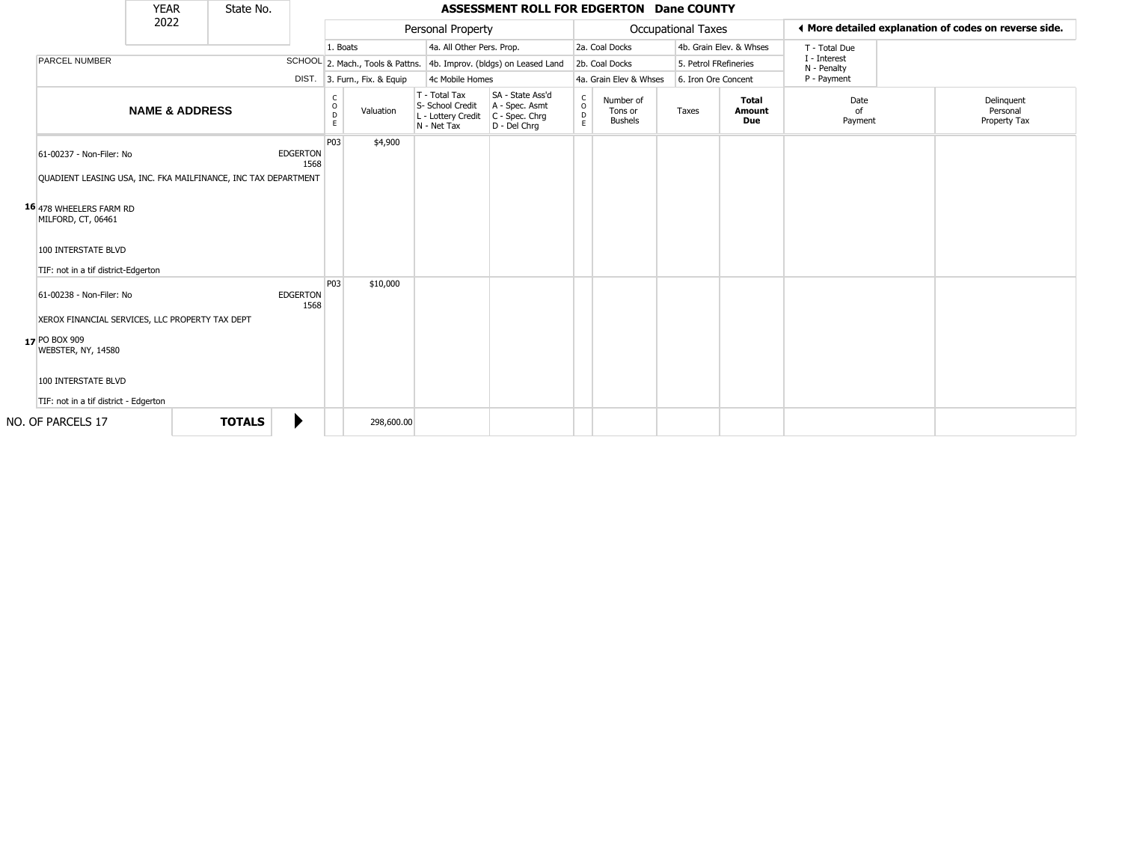|                                                                                                                                                                                                                           | <b>YEAR</b>               | State No.     |                         |                        |                              |                                                                        | <b>ASSESSMENT ROLL FOR EDGERTON Dane COUNTY</b>                      |                                   |                                        |                           |                               |                             |                                                       |
|---------------------------------------------------------------------------------------------------------------------------------------------------------------------------------------------------------------------------|---------------------------|---------------|-------------------------|------------------------|------------------------------|------------------------------------------------------------------------|----------------------------------------------------------------------|-----------------------------------|----------------------------------------|---------------------------|-------------------------------|-----------------------------|-------------------------------------------------------|
|                                                                                                                                                                                                                           | 2022                      |               |                         |                        |                              | Personal Property                                                      |                                                                      |                                   |                                        | <b>Occupational Taxes</b> |                               |                             | ◀ More detailed explanation of codes on reverse side. |
|                                                                                                                                                                                                                           |                           |               |                         | 1. Boats               |                              | 4a. All Other Pers. Prop.                                              |                                                                      |                                   | 2a. Coal Docks                         |                           | 4b. Grain Elev. & Whses       | T - Total Due               |                                                       |
| <b>PARCEL NUMBER</b>                                                                                                                                                                                                      |                           |               |                         |                        |                              |                                                                        | SCHOOL 2. Mach., Tools & Pattns. 4b. Improv. (bldgs) on Leased Land  |                                   | 2b. Coal Docks                         | 5. Petrol FRefineries     |                               | I - Interest<br>N - Penalty |                                                       |
|                                                                                                                                                                                                                           |                           |               |                         |                        | DIST. 3. Furn., Fix. & Equip | 4c Mobile Homes                                                        |                                                                      |                                   | 4a. Grain Elev & Whses                 | 6. Iron Ore Concent       |                               | P - Payment                 |                                                       |
|                                                                                                                                                                                                                           | <b>NAME &amp; ADDRESS</b> |               |                         | C<br>$\circ$<br>D<br>E | Valuation                    | T - Total Tax<br>S- School Credit<br>L - Lottery Credit<br>N - Net Tax | SA - State Ass'd<br>A - Spec. Asmt<br>C - Spec. Chrg<br>D - Del Chrq | $\mathsf{C}$<br>$\circ$<br>D<br>E | Number of<br>Tons or<br><b>Bushels</b> | Taxes                     | <b>Total</b><br>Amount<br>Due | Date<br>of<br>Payment       | Delinquent<br>Personal<br>Property Tax                |
| 61-00237 - Non-Filer: No<br>QUADIENT LEASING USA, INC. FKA MAILFINANCE, INC TAX DEPARTMENT<br>16 478 WHEELERS FARM RD<br>MILFORD, CT, 06461<br>100 INTERSTATE BLVD                                                        |                           |               | <b>EDGERTON</b><br>1568 | P <sub>03</sub>        | \$4,900                      |                                                                        |                                                                      |                                   |                                        |                           |                               |                             |                                                       |
| TIF: not in a tif district-Edgerton<br>61-00238 - Non-Filer: No<br>XEROX FINANCIAL SERVICES, LLC PROPERTY TAX DEPT<br>17 PO BOX 909<br>WEBSTER, NY, 14580<br>100 INTERSTATE BLVD<br>TIF: not in a tif district - Edgerton |                           |               | <b>EDGERTON</b><br>1568 | P03                    | \$10,000                     |                                                                        |                                                                      |                                   |                                        |                           |                               |                             |                                                       |
| NO. OF PARCELS 17                                                                                                                                                                                                         |                           | <b>TOTALS</b> | ▶                       |                        | 298,600.00                   |                                                                        |                                                                      |                                   |                                        |                           |                               |                             |                                                       |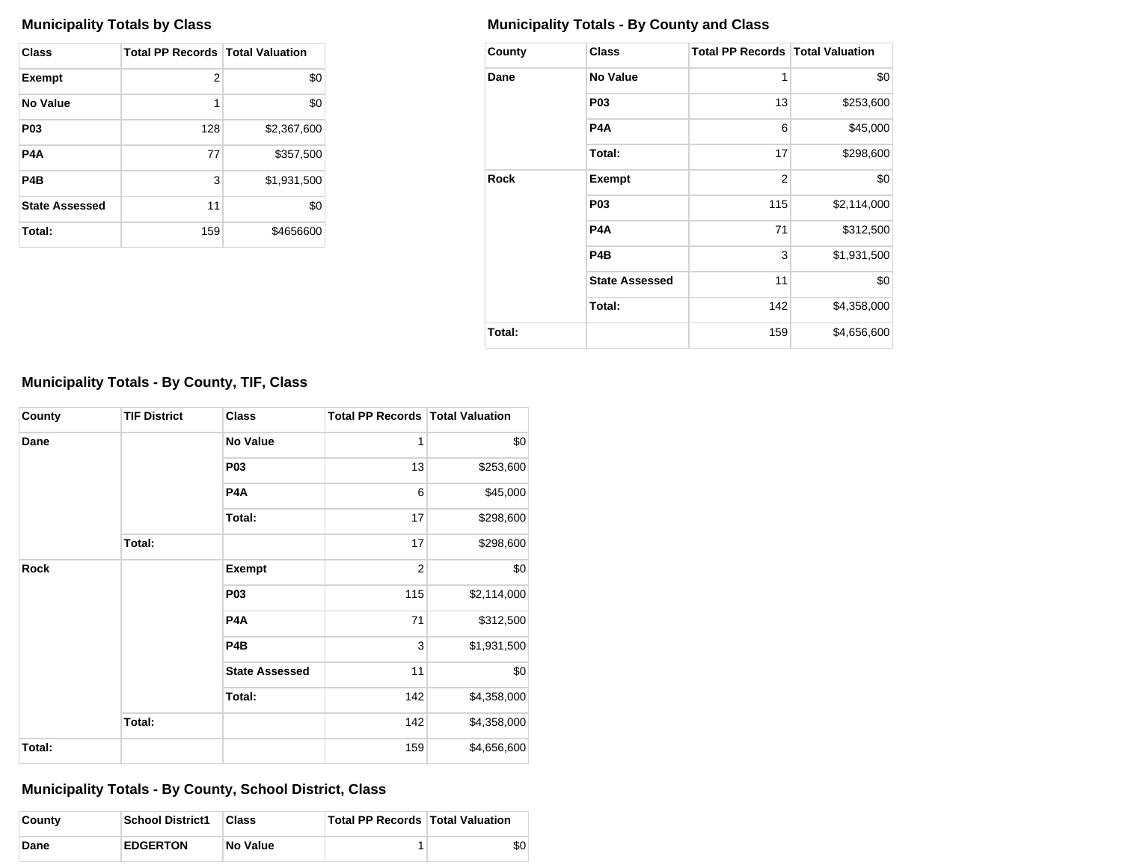| Class                 | <b>Total PP Records   Total Valuation</b> |             |
|-----------------------|-------------------------------------------|-------------|
| <b>Exempt</b>         | 2                                         | \$0         |
| No Value              | 1                                         | \$0         |
| P <sub>0</sub> 3      | 128                                       | \$2,367,600 |
| P4A                   | 77                                        | \$357,500   |
| P <sub>4</sub> B      | 3                                         | \$1,931,500 |
| <b>State Assessed</b> | 11                                        | \$0         |
| Total:                | 159                                       | \$4656600   |

# **Municipality Totals by Class Municipality Totals - By County and Class**

| County      | <b>Class</b>          | <b>Total PP Records   Total Valuation</b> |             |
|-------------|-----------------------|-------------------------------------------|-------------|
| Dane        | <b>No Value</b>       | 1                                         | \$0         |
|             | P <sub>0</sub> 3      | 13                                        | \$253,600   |
|             | P4A                   | 6                                         | \$45,000    |
|             | Total:                | 17                                        | \$298,600   |
| <b>Rock</b> | <b>Exempt</b>         | $\overline{2}$                            | \$0         |
|             | P <sub>0</sub> 3      | 115                                       | \$2,114,000 |
|             | P4A                   | 71                                        | \$312,500   |
|             | P <sub>4</sub> B      | 3                                         | \$1,931,500 |
|             | <b>State Assessed</b> | 11                                        | \$0         |
|             | Total:                | 142                                       | \$4,358,000 |
| Total:      |                       | 159                                       | \$4,656,600 |

# **Municipality Totals - By County, TIF, Class**

| County      | <b>TIF District</b> | <b>Class</b>          | <b>Total PP Records Total Valuation</b> |             |
|-------------|---------------------|-----------------------|-----------------------------------------|-------------|
| Dane        |                     | <b>No Value</b>       | 1                                       | \$0         |
|             |                     | <b>P03</b>            | 13                                      | \$253,600   |
|             |                     | P <sub>4</sub> A      | 6                                       | \$45,000    |
|             |                     | Total:                | 17                                      | \$298,600   |
|             | Total:              |                       | 17                                      | \$298,600   |
| <b>Rock</b> |                     | <b>Exempt</b>         | $\overline{2}$                          | \$0         |
|             |                     | <b>P03</b>            | 115                                     | \$2,114,000 |
|             |                     | P <sub>4</sub> A      | 71                                      | \$312,500   |
|             |                     | P <sub>4</sub> B      | 3                                       | \$1,931,500 |
|             |                     | <b>State Assessed</b> | 11                                      | \$0         |
|             |                     | Total:                | 142                                     | \$4,358,000 |
|             | Total:              |                       | 142                                     | \$4,358,000 |
| Total:      |                     |                       | 159                                     | \$4,656,600 |

**Municipality Totals - By County, School District, Class**

| County | <b>School District1</b> | Class           | <b>Total PP Records Total Valuation</b> |     |
|--------|-------------------------|-----------------|-----------------------------------------|-----|
| Dane   | <b>EDGERTON</b>         | <b>No Value</b> |                                         | \$0 |